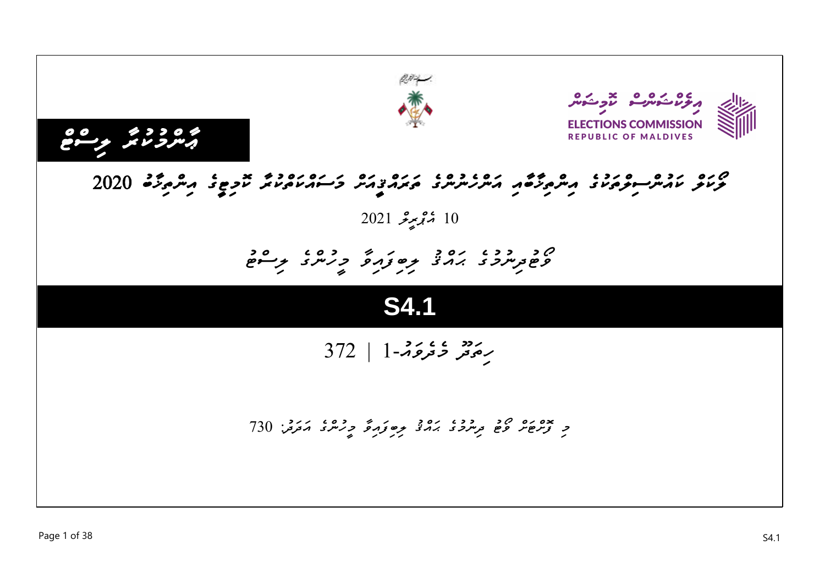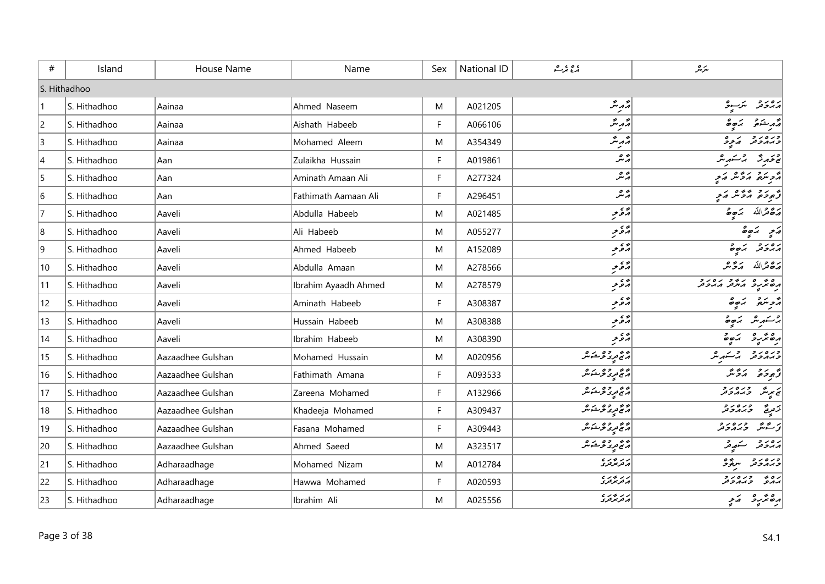| #              | Island       | House Name        | Name                 | Sex       | National ID | ، ه ، ره<br>د ، مرگ           | ىئرىتر                                                                                               |
|----------------|--------------|-------------------|----------------------|-----------|-------------|-------------------------------|------------------------------------------------------------------------------------------------------|
|                | S. Hithadhoo |                   |                      |           |             |                               |                                                                                                      |
|                | S. Hithadhoo | Aainaa            | Ahmed Naseem         | ${\sf M}$ | A021205     | رمجمه متنز                    | أربروتر الكرسوفى                                                                                     |
| $\overline{c}$ | S. Hithadhoo | Aainaa            | Aishath Habeeb       | F         | A066106     | رمجمه متنز                    | $rac{2}{\sqrt{2}}$                                                                                   |
| $\mathsf{3}$   | S. Hithadhoo | Aainaa            | Mohamed Aleem        | M         | A354349     | ا پژ <sub>مر</sub> یتر        | ورەرو رو                                                                                             |
| 4              | S. Hithadhoo | Aan               | Zulaikha Hussain     | F         | A019861     | پڑ میں                        | ى ئەر ئەسىر سىر                                                                                      |
| 5              | S. Hithadhoo | Aan               | Aminath Amaan Ali    | F         | A277324     | ىر ھ                          | أأدجر الملحم المتعجم أأتراخ                                                                          |
| $\,$ 6 $\,$    | S. Hithadhoo | Aan               | Fathimath Aamaan Ali | F         | A296451     | ىر ھ                          | و دو ووه کړې                                                                                         |
| $\overline{7}$ | S. Hithadhoo | Aaveli            | Abdulla Habeeb       | ${\sf M}$ | A021485     | ومحمر                         | ح قمرالله برَصِ قم                                                                                   |
| 8              | S. Hithadhoo | Aaveli            | Ali Habeeb           | ${\sf M}$ | A055277     | الرهجمعر                      | $\begin{bmatrix} 0 & 0 & 0 \\ 0 & 0 & 0 \\ 0 & 0 & 0 \end{bmatrix}$                                  |
| 9              | S. Hithadhoo | Aaveli            | Ahmed Habeeb         | M         | A152089     | پري<br>مرغومبر                | 5001                                                                                                 |
| 10             | S. Hithadhoo | Aaveli            | Abdulla Amaan        | M         | A278566     | ومحمو                         | حَدَّة مِنْ اللَّهُ حَدَّثَتْ                                                                        |
| 11             | S. Hithadhoo | Aaveli            | Ibrahim Ayaadh Ahmed | M         | A278579     | ومحمو                         | دە ئەر ئەر دەر د                                                                                     |
| 12             | S. Hithadhoo | Aaveli            | Aminath Habeeb       | F         | A308387     | وحمحم                         |                                                                                                      |
| 13             | S. Hithadhoo | Aaveli            | Hussain Habeeb       | ${\sf M}$ | A308388     | ومحمو                         | ج سَمر شرح مَرَ سِمْ حَمْدَ حَمْدِ حَمْدَ حَمْدَةِ حَمْدَةِ حَمْدَةِ حَمْدَةِ حَمْدَةِ حَمْدَةِ حَمْ |
| 14             | S. Hithadhoo | Aaveli            | Ibrahim Habeeb       | ${\sf M}$ | A308390     | پژځ مخه                       | رە ئرىرو ئوم                                                                                         |
| 15             | S. Hithadhoo | Aazaadhee Gulshan | Mohamed Hussain      | ${\sf M}$ | A020956     | ئۇ ئور ئى ئەشكە               | ورەرو ورىدىگ                                                                                         |
| 16             | S. Hithadhoo | Aazaadhee Gulshan | Fathimath Amana      | F         | A093533     | ئۇ ئېرىز قرىشەنگر             | ۇبوخۇ مۇش                                                                                            |
| 17             | S. Hithadhoo | Aazaadhee Gulshan | Zareena Mohamed      | F         | A132966     | ئەنئە يەر ئە ئۇ ئەنگە         | كالمحيض وبره برو                                                                                     |
| 18             | S. Hithadhoo | Aazaadhee Gulshan | Khadeeja Mohamed     | F         | A309437     | ئەتەر <i>بى</i> رى ئىشكىلىر   | كزمرة وبروبرو                                                                                        |
| 19             | S. Hithadhoo | Aazaadhee Gulshan | Fasana Mohamed       | F         | A309443     | ئەتەر <i>بى</i> رى ئىشكىلىر   | تر شهر وره رو                                                                                        |
| 20             | S. Hithadhoo | Aazaadhee Gulshan | Ahmed Saeed          | M         | A323517     | ئۇ ئېرىز قرىشەنگر             | دەرو سەرو                                                                                            |
| 21             | S. Hithadhoo | Adharaadhage      | Mohamed Nizam        | M         | A012784     | ر ر بر ر ،<br>پرکربرگری       | ورەرو سۇۋ                                                                                            |
| 22             | S. Hithadhoo | Adharaadhage      | Hawwa Mohamed        | F         | A020593     | ر ر بر بر بر<br>مرتز تر تر بر | و رە ر د<br><i>د بر</i> گەر<br>برە پچ                                                                |
| 23             | S. Hithadhoo | Adharaadhage      | Ibrahim Ali          | M         | A025556     | ر بر بر ر ،<br>پرتوبترتوبر    | أرەبۇر ئەير                                                                                          |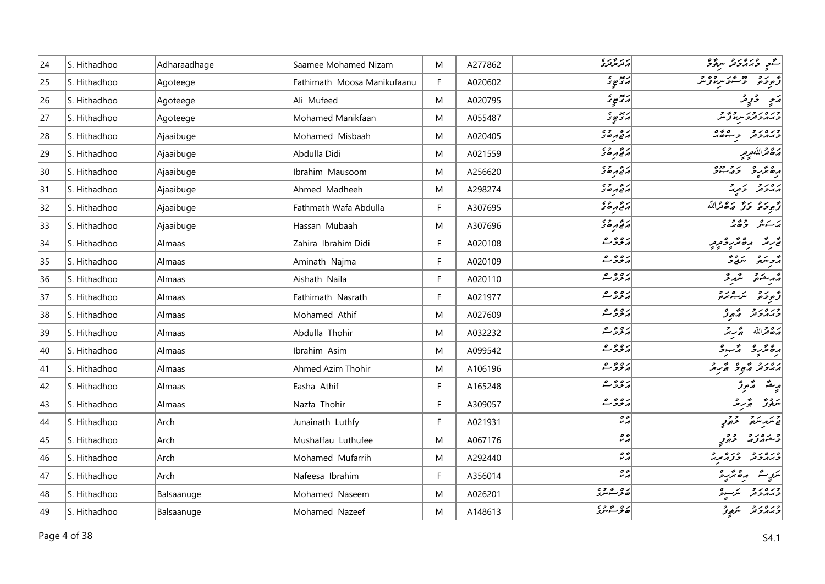| 24 | S. Hithadhoo | Adharaadhage | Saamee Mohamed Nizam        | M | A277862 | ر ر بر ر د<br>پرتربروری                              | شي وبرورو سرگو                                                                                                                                                                                                                                                                                                              |
|----|--------------|--------------|-----------------------------|---|---------|------------------------------------------------------|-----------------------------------------------------------------------------------------------------------------------------------------------------------------------------------------------------------------------------------------------------------------------------------------------------------------------------|
| 25 | S. Hithadhoo | Agoteege     | Fathimath Moosa Manikufaanu | F | A020602 | دبر<br>د د حٍ د                                      |                                                                                                                                                                                                                                                                                                                             |
| 26 | S. Hithadhoo | Agoteege     | Ali Mufeed                  | M | A020795 | ریو ء<br>  ریو یو تو                                 | ړکو څړند                                                                                                                                                                                                                                                                                                                    |
| 27 | S. Hithadhoo | Agoteege     | Mohamed Manikfaan           | M | A055487 | ریو ء<br>  ریو یو تو                                 | כנסגבה הקבוב<br>כממכתכתמוצית                                                                                                                                                                                                                                                                                                |
| 28 | S. Hithadhoo | Ajaaibuge    | Mohamed Misbaah             | M | A020405 | پرځ مرځ ځ                                            |                                                                                                                                                                                                                                                                                                                             |
| 29 | S. Hithadhoo | Ajaaibuge    | Abdulla Didi                | M | A021559 | <br>  د ځ د ه ی                                      | ریح فخر اللّه موجو <sub>ب</sub>                                                                                                                                                                                                                                                                                             |
| 30 | S. Hithadhoo | Ajaaibuge    | Ibrahim Mausoom             | M | A256620 | <br>  د ځ د ه د                                      | $\begin{array}{ccc} 0 & 2 & 2 & 0 & 0 & 0 \\ 0 & 0 & 0 & 0 & 0 & 0 \\ 0 & 0 & 0 & 0 & 0 & 0 \\ 0 & 0 & 0 & 0 & 0 & 0 \\ 0 & 0 & 0 & 0 & 0 & 0 \\ 0 & 0 & 0 & 0 & 0 & 0 \\ 0 & 0 & 0 & 0 & 0 & 0 \\ 0 & 0 & 0 & 0 & 0 & 0 \\ 0 & 0 & 0 & 0 & 0 & 0 \\ 0 & 0 & 0 & 0 & 0 & 0 & 0 \\ 0 & 0 & 0 & 0 & 0 & 0 & 0 \\ 0 & 0 & 0 &$ |
| 31 | S. Hithadhoo | Ajaaibuge    | Ahmed Madheeh               | M | A298274 | <br>  د ځ د ه د                                      | أرور وتمرد                                                                                                                                                                                                                                                                                                                  |
| 32 | S. Hithadhoo | Ajaaibuge    | Fathmath Wafa Abdulla       | F | A307695 | پرځ مرځ ځ                                            | وتجرح والله الله الله                                                                                                                                                                                                                                                                                                       |
| 33 | S. Hithadhoo | Ajaaibuge    | Hassan Mubaah               | M | A307696 | <br>  د ځ د ه د                                      | يركس وهاد                                                                                                                                                                                                                                                                                                                   |
| 34 | S. Hithadhoo | Almaas       | Zahira Ibrahim Didi         | F | A020108 | ىر ۋېۋىشە                                            | لتجربته وكالتربر ومرمر                                                                                                                                                                                                                                                                                                      |
| 35 | S. Hithadhoo | Almaas       | Aminath Najma               | F | A020109 | بروپۇر ھ                                             | أأدبتكم التراديم                                                                                                                                                                                                                                                                                                            |
| 36 | S. Hithadhoo | Almaas       | Aishath Naila               | F | A020110 | ىر ۋې <sup>م</sup> شە                                | ۇرىشقى سىرقى                                                                                                                                                                                                                                                                                                                |
| 37 | S. Hithadhoo | Almaas       | Fathimath Nasrath           | F | A021977 | بروپۇر ھ                                             | و ده شره ده                                                                                                                                                                                                                                                                                                                 |
| 38 | S. Hithadhoo | Almaas       | Mohamed Athif               | M | A027609 | بروپۇر ھ                                             | وره رو وه و                                                                                                                                                                                                                                                                                                                 |
| 39 | S. Hithadhoo | Almaas       | Abdulla Thohir              | M | A032232 | ىر ۋېۋىشە                                            | مَدْهُ قَدْ اللّهُ مَجْرَ مِنْ                                                                                                                                                                                                                                                                                              |
| 40 | S. Hithadhoo | Almaas       | Ibrahim Asim                | M | A099542 | روژے                                                 | رە ئەر ئەسر                                                                                                                                                                                                                                                                                                                 |
| 41 | S. Hithadhoo | Almaas       | Ahmed Azim Thohir           | M | A106196 | بروپۇر ھ                                             |                                                                                                                                                                                                                                                                                                                             |
| 42 | S. Hithadhoo | Almaas       | Easha Athif                 | F | A165248 | ىر ۋېۋىشە                                            | اريش گيږي<br>ا                                                                                                                                                                                                                                                                                                              |
| 43 | S. Hithadhoo | Almaas       | Nazfa Thohir                | F | A309057 | ىر ۋېۋىشە                                            | بروو پورېز                                                                                                                                                                                                                                                                                                                  |
| 44 | S. Hithadhoo | Arch         | Junainath Luthfy            | F | A021931 | $\overset{\circ}{\nu}{\overset{\circ}{\mathscr{A}}}$ | في سكم سكرة والتحريج في                                                                                                                                                                                                                                                                                                     |
| 45 | S. Hithadhoo | Arch         | Mushaffau Luthufee          | M | A067176 | $\overset{\circ}{\nu}{\overset{\circ}{\mathscr{A}}}$ | و رورو وو                                                                                                                                                                                                                                                                                                                   |
| 46 | S. Hithadhoo | Arch         | Mohamed Mufarrih            | M | A292440 | $\overset{\circ}{\nu}{\overset{\circ}{\mathscr{A}}}$ | כנסגב כצף ב                                                                                                                                                                                                                                                                                                                 |
| 47 | S. Hithadhoo | Arch         | Nafeesa Ibrahim             | F | A356014 | $\overset{\circ}{\nu}{\overset{\circ}{\mathscr{A}}}$ | سَمِيتُ مِـ صَمَّرِةٌ                                                                                                                                                                                                                                                                                                       |
| 48 | S. Hithadhoo | Balsaanuge   | Mohamed Naseem              | M | A026201 | ر ه په د ،                                           | דנסגר האי                                                                                                                                                                                                                                                                                                                   |
| 49 | S. Hithadhoo | Balsaanuge   | Mohamed Nazeef              | M | A148613 | ە ئەھمىيىتى بە                                       | ورەر دىكرو                                                                                                                                                                                                                                                                                                                  |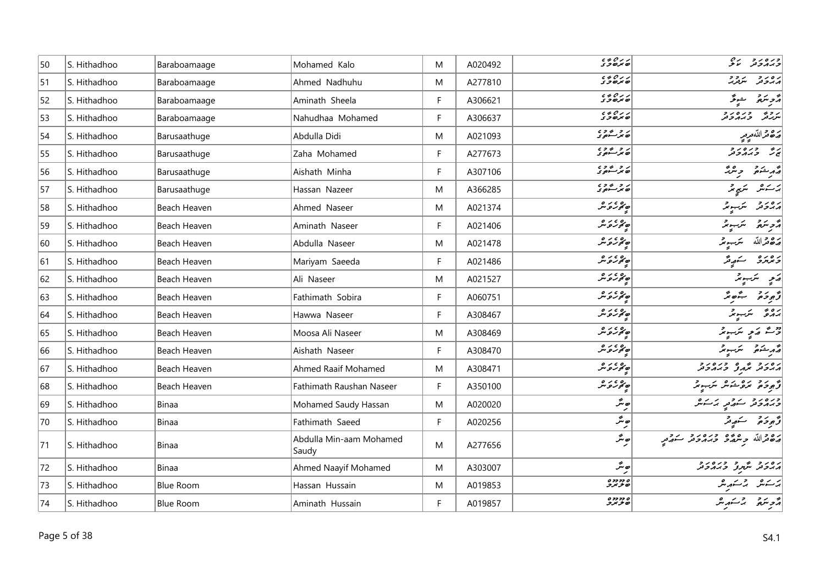| 50 | S. Hithadhoo | Baraboamaage     | Mohamed Kalo                     | M  | A020492 | ر ره و ،<br>ه <del>ب</del> ره <del>د</del> د         | دره دره دره                                  |
|----|--------------|------------------|----------------------------------|----|---------|------------------------------------------------------|----------------------------------------------|
| 51 | S. Hithadhoo | Baraboamaage     | Ahmed Nadhuhu                    | M  | A277810 | 590/0                                                | پروژو<br>سرور                                |
| 52 | S. Hithadhoo | Baraboamaage     | Aminath Sheela                   | F  | A306621 | 590/0                                                | أأترجم والمستوقر                             |
| 53 | S. Hithadhoo | Baraboamaage     | Nahudhaa Mohamed                 | F. | A306637 | 590/0                                                | ىر <i>دى</i> گە<br>ورەر د<br><i>دى</i> رمەتر |
| 54 | S. Hithadhoo | Barusaathuge     | Abdulla Didi                     | M  | A021093 | ر د پره د ،<br>ن مر شوې                              | <br>  پره قراللّه مرمر                       |
| 55 | S. Hithadhoo | Barusaathuge     | Zaha Mohamed                     | F  | A277673 | ر د پرو ،<br>جو سگهو د                               |                                              |
| 56 | S. Hithadhoo | Barusaathuge     | Aishath Minha                    | F. | A307106 | ر د پرو ،<br>ت <i>ر برگرمی</i> د                     | أقهر شنوته وبترك                             |
| 57 | S. Hithadhoo | Barusaathuge     | Hassan Nazeer                    | M  | A366285 | ر د پر د ،<br>جا پر سگهي ي                           | يُرْسَدُ مَعَ مِرَّةٍ مِرَّ                  |
| 58 | S. Hithadhoo | Beach Heaven     | Ahmed Naseer                     | M  | A021374 | ھەممەر ھە                                            | پره د د سرب پر                               |
| 59 | S. Hithadhoo | Beach Heaven     | Aminath Naseer                   | F  | A021406 | پەيمى ئەرەپەر                                        | أزويتكم الترسوير                             |
| 60 | S. Hithadhoo | Beach Heaven     | Abdulla Naseer                   | M  | A021478 | پەنزىر مىر<br>                                       | أرة قرالله ترجيحه                            |
| 61 | S. Hithadhoo | Beach Heaven     | Mariyam Saeeda                   | F  | A021486 | ھەممەر ئەر                                           | رەرە سەرىگە                                  |
| 62 | S. Hithadhoo | Beach Heaven     | Ali Naseer                       | M  | A021527 | پەنزىر مىر<br>                                       | أواقي المتكب والمحمد                         |
| 63 | S. Hithadhoo | Beach Heaven     | Fathimath Sobira                 | F  | A060751 | پەن <sub>م</sub> رىر بىر                             | أزودة بنوته                                  |
| 64 | S. Hithadhoo | Beach Heaven     | Hawwa Naseer                     | F  | A308467 | پەنزىر مىر                                           | رەپ س <i>ىب</i> دىر<br>بەرە سىبدىر           |
| 65 | S. Hithadhoo | Beach Heaven     | Moosa Ali Naseer                 | M  | A308469 | پەنزىر مىر                                           | رحمته المي الكرسولي                          |
| 66 | S. Hithadhoo | Beach Heaven     | Aishath Naseer                   | F. | A308470 | پەنزىر بىر                                           | أقرم شوقه سرجونهم                            |
| 67 | S. Hithadhoo | Beach Heaven     | Ahmed Raaif Mohamed              | M  | A308471 | پەنزىر بىر                                           | رورد محمدو ورەرد                             |
| 68 | S. Hithadhoo | Beach Heaven     | Fathimath Raushan Naseer         | F. | A350100 | $rac{1}{\sqrt{2\cdot\frac{1}{2}}}\frac{1}{\sqrt{2}}$ | و و ده بره شره برجر                          |
| 69 | S. Hithadhoo | Binaa            | Mohamed Saudy Hassan             | M  | A020020 | حویٹر                                                | ورەرو بەدىر بەسەر                            |
| 70 | S. Hithadhoo | Binaa            | Fathimath Saeed                  | F  | A020256 | حو مثر                                               | أرموخا فمستمياته                             |
| 71 | S. Hithadhoo | Binaa            | Abdulla Min-aam Mohamed<br>Saudy | M  | A277656 | حويثر                                                | ره و الله و سمدو وره در و در و               |
| 72 | S. Hithadhoo | Binaa            | Ahmed Naayif Mohamed             | M  | A303007 | ھېتر                                                 | رور شهرو ورورو                               |
| 73 | S. Hithadhoo | <b>Blue Room</b> | Hassan Hussain                   | M  | A019853 | ه دو ده ه<br>ن محر <i>م</i> ر <del>ر</del>           | برسك برسكه ش                                 |
| 74 | S. Hithadhoo | <b>Blue Room</b> | Aminath Hussain                  | F  | A019857 | ہ دو دو ہ<br>ن محر <i>ہر ج</i>                       | أأرج سكرة المريث المريش                      |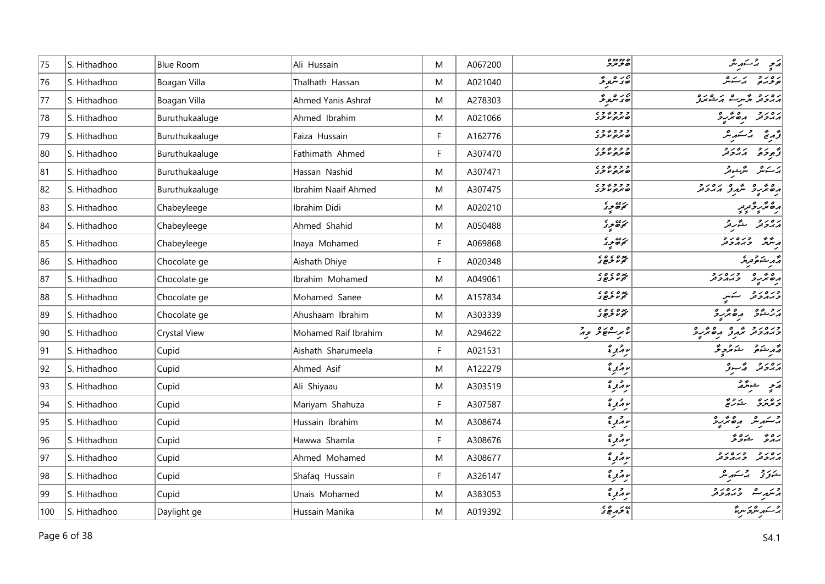| 75  | S. Hithadhoo | <b>Blue Room</b> | Ali Hussain          | M           | A067200 | ه دد ده<br>ص محر مر                                           | ە ئەسەر شەر                                       |
|-----|--------------|------------------|----------------------|-------------|---------|---------------------------------------------------------------|---------------------------------------------------|
| 76  | S. Hithadhoo | Boagan Villa     | Thalhath Hassan      | M           | A021040 | ەر ە <sub>ھ</sub> وقە                                         | وه د د کرده                                       |
| 77  | S. Hithadhoo | Boagan Villa     | Ahmed Yanis Ashraf   | ${\sf M}$   | A278303 | ەر مى <sub>م</sub> وگە                                        | رورد گرمزے کے معرو                                |
| 78  | S. Hithadhoo | Buruthukaaluge   | Ahmed Ibrahim        | M           | A021066 | د د د د د د<br>ح مره ما مرد                                   |                                                   |
| 79  | S. Hithadhoo | Buruthukaaluge   | Faiza Hussain        | F           | A162776 | د د د د د د<br>ح مره ما مرد                                   | ۇرىج برخىرىگە                                     |
| 80  | S. Hithadhoo | Buruthukaaluge   | Fathimath Ahmed      | $\mathsf F$ | A307470 | د د د د د د<br>ح مره ما مرد                                   | و دو ده دو                                        |
| 81  | S. Hithadhoo | Buruthukaaluge   | Hassan Nashid        | M           | A307471 | د د د د د د<br>ح مره ما مرد                                   | ىز كەش ئىگە بىلەر<br>مەسىر ئىسىر                  |
| 82  | S. Hithadhoo | Buruthukaaluge   | Ibrahim Naaif Ahmed  | ${\sf M}$   | A307475 | د د د د د د<br>ح <del>م</del> رمو مو د                        | رە ئرېر ئىگرۇ مەددىر                              |
| 83  | S. Hithadhoo | Chabeyleege      | Ibrahim Didi         | ${\sf M}$   | A020210 | ری ۔<br>کوھنچ د                                               | ر <i>ه نژر د در در</i><br>ر                       |
| 84  | S. Hithadhoo | Chabeyleege      | Ahmed Shahid         | M           | A050488 | ري<br>کوه پور                                                 | رەرو شەرقە                                        |
| 85  | S. Hithadhoo | Chabeyleege      | Inaya Mohamed        | F           | A069868 | ري ء<br>کوھ <del>و</del> ر                                    | ر میں مقدم دیکھیے<br>مقامتی مقدم مقدم             |
| 86  | S. Hithadhoo | Chocolate ge     | Aishath Dhiye        | F           | A020348 | پره وه و و<br>محم <sup>و</sup> موضح                           | و گهر ڪو تو پر پڙ<br>ه                            |
| 87  | S. Hithadhoo | Chocolate ge     | Ibrahim Mohamed      | M           | A049061 | پره ده ده د<br>محم <sup>و</sup> خر <u>ه</u> د                 | 1017 018                                          |
| 88  | S. Hithadhoo | Chocolate ge     | Mohamed Sanee        | ${\sf M}$   | A157834 | پره ده ده د<br>محم <sup>و</sup> موضح                          | ورەر دىكىر                                        |
| 89  | S. Hithadhoo | Chocolate ge     | Ahushaam Ibrahim     | ${\sf M}$   | A303339 | پره ده ده د<br>محم <sup>و</sup> خر <u>ه</u> د                 |                                                   |
| 90  | S. Hithadhoo | Crystal View     | Mohamed Raif Ibrahim | ${\sf M}$   | A294622 | مرعوع وړ                                                      | כנהבת האת הסתיב                                   |
| 91  | S. Hithadhoo | Cupid            | Aishath Sharumeela   | F           | A021531 | ىر قرېږ؟                                                      | أقهر مشكرة المستشرة وتحر                          |
| 92  | S. Hithadhoo | Cupid            | Ahmed Asif           | M           | A122279 | بروجوء                                                        | أرەر ئەسور                                        |
| 93  | S. Hithadhoo | Cupid            | Ali Shiyaau          | M           | A303519 | بروجوء                                                        |                                                   |
| 94  | S. Hithadhoo | Cupid            | Mariyam Shahuza      | $\mathsf F$ | A307587 | بروجره                                                        | ر ه ر ه<br><del>و</del> بوبرو<br>ستذريخ           |
| 95  | S. Hithadhoo | Cupid            | Hussain Ibrahim      | ${\sf M}$   | A308674 | بىر قربۇ                                                      | بر سکر مرگ بره مرکز د                             |
| 96  | S. Hithadhoo | Cupid            | Hawwa Shamla         | F           | A308676 | بروجره                                                        | برە پرە ئە                                        |
| 97  | S. Hithadhoo | Cupid            | Ahmed Mohamed        | M           | A308677 | بروجوء                                                        | و ره ر و<br><i>و پر</i> و تر<br>ر ەر د<br>م.رى تر |
| 98  | S. Hithadhoo | Cupid            | Shafaq Hussain       | F           | A326147 | بىرقرو                                                        | خۇتى ئەسكىرىكە                                    |
| 99  | S. Hithadhoo | Cupid            | Unais Mohamed        | M           | A383053 | بروجوء                                                        | و رە ر د<br>تر پر تر تر<br>وسكهر                  |
| 100 | S. Hithadhoo | Daylight ge      | Hussain Manika       | ${\sf M}$   | A019392 | $\begin{bmatrix} c & 0 & c & c \ s & e & g & g \end{bmatrix}$ | جر سەمر بىرى ئىرىد                                |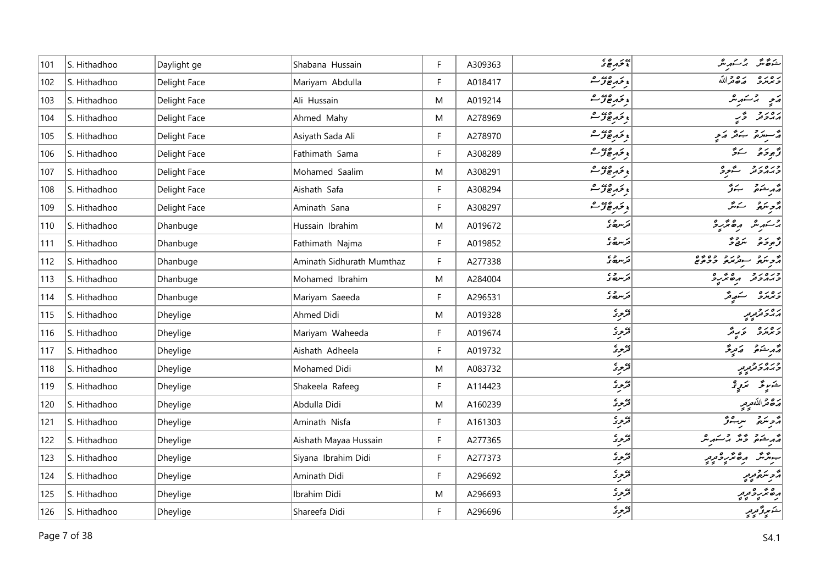| 101 | S. Hithadhoo | Daylight ge  | Shabana Hussain           | F  | A309363 | ەر مەر<br>ئامىر ھ            | شەڭ شىر شىكىر بىر                          |
|-----|--------------|--------------|---------------------------|----|---------|------------------------------|--------------------------------------------|
| 102 | S. Hithadhoo | Delight Face | Mariyam Abdulla           | F. | A018417 | بوزره فيمس                   | ترويره رودالله                             |
| 103 | S. Hithadhoo | Delight Face | Ali Hussain               | M  | A019214 | و ځرم ځون <sup>م</sup> شه    | أەيج برجستمبرىند                           |
| 104 | S. Hithadhoo | Delight Face | Ahmed Mahy                | M  | A278969 | د خ <sub>رم</sub> وي ه<br>م  | رەرە ئې                                    |
| 105 | S. Hithadhoo | Delight Face | Asiyath Sada Ali          | F  | A278970 | و ځه هغو <sup>ه</sup>        | و سورکار کے میکن کاریا<br>م                |
| 106 | S. Hithadhoo | Delight Face | Fathimath Sama            | F  | A308289 | ، ئەرھ <sup>ې م</sup>        | ۇپورۇ سۇ                                   |
| 107 | S. Hithadhoo | Delight Face | Mohamed Saalim            | M  | A308291 | و ځرم ع <sup>وم م</sup>      | و ر ه ر د<br>تر پر ژ تر                    |
| 108 | S. Hithadhoo | Delight Face | Aishath Safa              | F  | A308294 | و ځه هغ <sup>وم</sup> شر     |                                            |
| 109 | S. Hithadhoo | Delight Face | Aminath Sana              | F. | A308297 | و ځرم ځون <sup>و</sup> ک     | ړې سر سنگر                                 |
| 110 | S. Hithadhoo | Dhanbuge     | Hussain Ibrahim           | M  | A019672 | ترسره ی                      | بر سکه شهر مره تر برد                      |
| 111 | S. Hithadhoo | Dhanbuge     | Fathimath Najma           | F. | A019852 | ر رو ء<br>ترسرچ <sub>ک</sub> | و مرد برد و در د                           |
| 112 | S. Hithadhoo | Dhanbuge     | Aminath Sidhurath Mumthaz | F. | A277338 | ترسره ی                      | הקיימה - ינימה ככתים                       |
| 113 | S. Hithadhoo | Dhanbuge     | Mohamed Ibrahim           | M  | A284004 | ترسره ء                      | כנהגב השתנכ                                |
| 114 | S. Hithadhoo | Dhanbuge     | Mariyam Saeeda            | F  | A296531 | پر سره د<br>ترسره د          | ر ه ر ه<br><del>ر</del> بر بر<br>سە بەرتىر |
| 115 | S. Hithadhoo | Dheylige     | Ahmed Didi                | M  | A019328 | ەر<br>تىرىپى                 | پره بر و<br>  پر پر ترتویی                 |
| 116 | S. Hithadhoo | Dheylige     | Mariyam Waheeda           | F  | A019674 | قرمر ء<br>                   | رەرە كەيتر                                 |
| 117 | S. Hithadhoo | Dheylige     | Aishath Adheela           | F  | A019732 | قرمور<br>  قرمور             | أقهر شكوته المتحريح                        |
| 118 | S. Hithadhoo | Dheylige     | Mohamed Didi              | M  | A083732 | قرمور<br>                    | و ر ه ر و<br>و پر پر و ترترتر              |
| 119 | S. Hithadhoo | Dheylige     | Shakeela Rafeeq           | F  | A114423 | قرعر ء<br>                   |                                            |
| 120 | S. Hithadhoo | Dheylige     | Abdulla Didi              | M  | A160239 | قرمور<br>                    | <br>  پره وټراللّه وروړ                    |
| 121 | S. Hithadhoo | Dheylige     | Aminath Nisfa             | F  | A161303 | قرعر د                       | أأدويتهم برجو                              |
| 122 | S. Hithadhoo | Dheylige     | Aishath Mayaa Hussain     | F  | A277365 | قرمر ء<br>                   | مەر يەدە ئەي ئەسكىرىش                      |
| 123 | S. Hithadhoo | Dheylige     | Siyana Ibrahim Didi       | F  | A277373 | ە ئەر<br>ئىستىرىمى<br>كىستىر |                                            |
| 124 | S. Hithadhoo | Dheylige     | Aminath Didi              | F  | A296692 |                              | و<br>مرکز سره در در                        |
| 125 | S. Hithadhoo | Dheylige     | Ibrahim Didi              | M  | A296693 | ە<br>قرمور                   |                                            |
| 126 | S. Hithadhoo | Dheylige     | Shareefa Didi             | F  | A296696 | قرمور<br>                    | ے مورگوں<br>مسلم                           |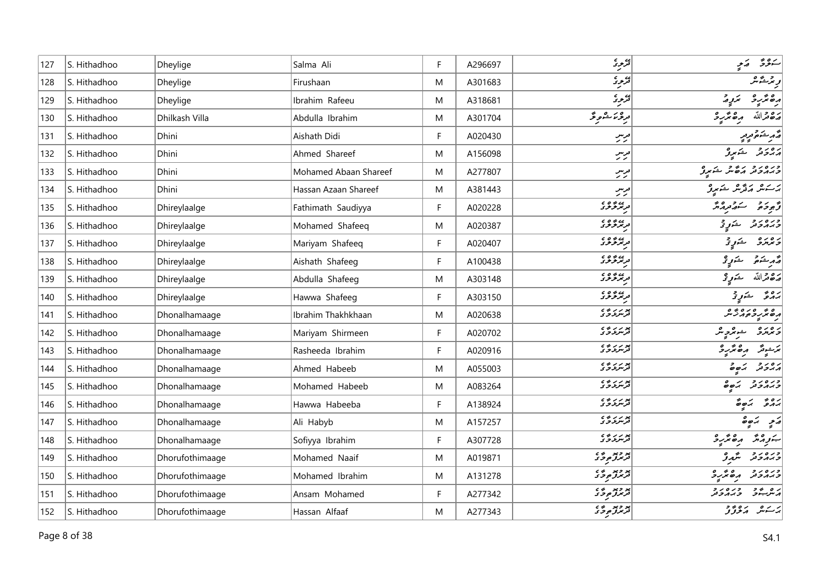| 127 | S. Hithadhoo | Dheylige        | Salma Ali             | F           | A296697 | ەر<br>قرىرى                                          | سەئەد<br>رځمنو                                                                                                                 |
|-----|--------------|-----------------|-----------------------|-------------|---------|------------------------------------------------------|--------------------------------------------------------------------------------------------------------------------------------|
| 128 | S. Hithadhoo | Dheylige        | Firushaan             | M           | A301683 | ە<br>قرىرى<br>——                                     | رېرىشەر                                                                                                                        |
| 129 | S. Hithadhoo | Dheylige        | Ibrahim Rafeeu        | M           | A318681 | ەر<br>قرموتە                                         | $rac{2}{3}$<br>سر و در<br>سر و در                                                                                              |
| 130 | S. Hithadhoo | Dhilkash Villa  | Abdulla Ibrahim       | M           | A301704 | ارور شورتخ                                           | ر صحرالله<br>ەھترىرى                                                                                                           |
| 131 | S. Hithadhoo | Dhini           | Aishath Didi          | $\mathsf F$ | A020430 | ىرسر<br>بر بر                                        | و<br>وگړ شوه تو تو تو                                                                                                          |
| 132 | S. Hithadhoo | Dhini           | Ahmed Shareef         | M           | A156098 | ىرسر<br>مركز                                         | رەرد خىرو                                                                                                                      |
| 133 | S. Hithadhoo | Dhini           | Mohamed Abaan Shareef | M           | A277807 | توسو<br>مرکز                                         | ورەر د رو د شهره                                                                                                               |
| 134 | S. Hithadhoo | <b>Dhini</b>    | Hassan Azaan Shareef  | M           | A381443 | توسو<br>مرکز                                         | ىرىكىش مەقرىش ھەمرۇ                                                                                                            |
| 135 | S. Hithadhoo | Dhireylaalge    | Fathimath Saudiyya    | F           | A020228 | د <i>ر ده</i> ۵ د<br>در مرمومو د                     | و ده سوړوه و                                                                                                                   |
| 136 | S. Hithadhoo | Dhireylaalge    | Mohamed Shafeeq       | M           | A020387 | د <i>ر پره و ب</i><br>تر تر تر تر ر                  | ورەر دېم ئىدۇر                                                                                                                 |
| 137 | S. Hithadhoo | Dhireylaalge    | Mariyam Shafeeq       | F           | A020407 | د <i>ر پر و ه</i><br>تر تر تر تر <sub>ک</sub>        | دەرو شەرىخ                                                                                                                     |
| 138 | S. Hithadhoo | Dhireylaalge    | Aishath Shafeeg       | $\mathsf F$ | A100438 | د ۵۵ و ۵<br>تر تر تر تر د                            | وكركو المحاريج                                                                                                                 |
| 139 | S. Hithadhoo | Dhireylaalge    | Abdulla Shafeeq       | M           | A303148 | د <i>ر پر و ع</i><br>تر تر تر تر <sub>ک</sub>        | <mark>برە ت</mark> راللە<br>شتور و گ                                                                                           |
| 140 | S. Hithadhoo | Dhireylaalge    | Hawwa Shafeeg         | $\mathsf F$ | A303150 | و پروه و د<br>د مرمونو د                             | $\begin{array}{cc} \mathcal{Z}_2 & \mathcal{Z}_3 & \mathcal{Z}_4 \\ \mathcal{Z}_5 & \mathcal{Z}_6 & \mathcal{Z}_7 \end{array}$ |
| 141 | S. Hithadhoo | Dhonalhamaage   | Ibrahim Thakhkhaan    | M           | A020638 | پو پر پر پر ہ<br>توسری تر ت                          | ە ئەرەبەرە بەر<br>مەنبەر <i>ۋە</i> رتىر                                                                                        |
| 142 | S. Hithadhoo | Dhonalhamaage   | Mariyam Shirmeen      | $\mathsf F$ | A020702 | یو ر ر بر بر د<br>توسربل <del>ت</del> ر <sub>ک</sub> | ر ه ر ه<br>تر <del>ب</del> ر بر<br>شونژ <sub>چ</sub> نژ                                                                        |
| 143 | S. Hithadhoo | Dhonalhamaage   | Rasheeda Ibrahim      | F           | A020916 | یو ر ر بر بر د<br>توسربل <del>ت</del> ر <sub>ک</sub> | ەرھەترىرى<br>ر<br>ا پر <sub>شوقر</sub><br>——                                                                                   |
| 144 | S. Hithadhoo | Dhonalhamaage   | Ahmed Habeeb          | M           | A055003 | یو پر پر پر ہ<br>توسری پر پ                          |                                                                                                                                |
| 145 | S. Hithadhoo | Dhonalhamaage   | Mohamed Habeeb        | M           | A083264 | یو پر پر پہ ہ<br>توسربل <del>چ</del> ر <sub>ک</sub>  | و ر ه ر د<br>تر پر تر تر<br>$\overset{\mathtt{o}}{\mathtt{\circ}}\overset{\mathtt{J}}{\mathtt{\circ}}$                         |
| 146 | S. Hithadhoo | Dhonalhamaage   | Hawwa Habeeba         | F           | A138924 | پو پر پر پہ<br>ترسربل <del>پ</del> ر پ               | ر ه بو<br>برد ق<br>$\overset{\ast}{\circ}\overset{\ast}{\circ}\mathcal{A}$                                                     |
| 147 | S. Hithadhoo | Dhonalhamaage   | Ali Habyb             | M           | A157257 | پو پر پر پر ہ<br>توسری تر ت                          | $rac{1}{2}$                                                                                                                    |
| 148 | S. Hithadhoo | Dhonalhamaage   | Sofiyya Ibrahim       | $\mathsf F$ | A307728 | پر ر ر ر ر<br>ترس ر تر ر                             |                                                                                                                                |
| 149 | S. Hithadhoo | Dhorufothimaage | Mohamed Naaif         | M           | A019871 | پر ويو<br>تر ټرتر تو څر                              | و ر ه ر د<br>تر پر تر تر<br>سڭەر ۋ                                                                                             |
| 150 | S. Hithadhoo | Dhorufothimaage | Mohamed Ibrahim       | M           | A131278 | پر ويو په په<br>ترېمرتو پوځ د                        | ەھ ئەرج<br>و رە ر د<br><i>د بر</i> گرىر                                                                                        |
| 151 | S. Hithadhoo | Dhorufothimaage | Ansam Mohamed         | F           | A277342 | بد وبد<br>تر برتر م <sub>و</sub> ر د                 | ىر ھەيبەدى <sub>ر</sub>                                                                                                        |
| 152 | S. Hithadhoo | Dhorufothimaage | Hassan Alfaaf         | M           | A277343 | پر ويو په په<br>تربرتر م <sub>و</sub> ر د            | يز کشش ايروژ ژ                                                                                                                 |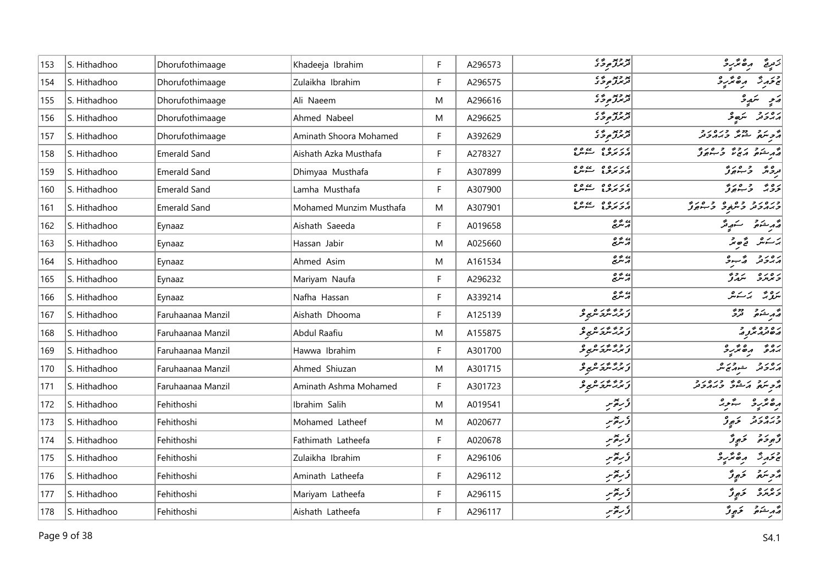| 153 | S. Hithadhoo | Dhorufothimaage     | Khadeeja Ibrahim        | $\mathsf F$ | A296573 | پر دېو<br>  تر ټرتر م <sub>و</sub> رځ د | رە ئەرىر<br>مەنبەر<br>ترىرى<br>مەر         |
|-----|--------------|---------------------|-------------------------|-------------|---------|-----------------------------------------|--------------------------------------------|
| 154 | S. Hithadhoo | Dhorufothimaage     | Zulaikha Ibrahim        | F           | A296575 | بد وبد<br>قریمرتر م <sub>و</sub> ری     | 5,50,<br>چ ئۇ <sub>م</sub> رتز             |
| 155 | S. Hithadhoo | Dhorufothimaage     | Ali Naeem               | M           | A296616 | بر دبر<br>تر بر زبر دبر                 | پړينه                                      |
| 156 | S. Hithadhoo | Dhorufothimaage     | Ahmed Nabeel            | M           | A296625 | پر ويو په په<br>  تر بر تر تر د         | رەرو ئىھۇ                                  |
| 157 | S. Hithadhoo | Dhorufothimaage     | Aminath Shoora Mohamed  | F           | A392629 | پر ويو په په<br>  تر بر تر تو د         | د برد دو دره در د                          |
| 158 | S. Hithadhoo | <b>Emerald Sand</b> | Aishath Azka Musthafa   | F           | A278327 | ، دره ه عده ه<br>در دره سوس             | ړه ده ده ده ده ده د                        |
| 159 | S. Hithadhoo | <b>Emerald Sand</b> | Dhimyaa Musthafa        | F           | A307899 | ، دره و عدوه<br>مربروه سنس              | دره و دره<br>دروش و ب                      |
| 160 | S. Hithadhoo | <b>Emerald Sand</b> | Lamha Musthafa          | F           | A307900 | ، دره ه عامره<br>مرحوج سنسرع            | ده و مرد                                   |
| 161 | S. Hithadhoo | <b>Emerald Sand</b> | Mohamed Munzim Musthafa | M           | A307901 | ، دره ه عده ه<br>در دره سوس             | ورەر د دە ە د ەرد<br>دىدرونر دىنزو دىبدوژ  |
| 162 | S. Hithadhoo | Eynaaz              | Aishath Saeeda          | F           | A019658 | ر، پر ہ<br>درس                          | ۇرىشكى كېرىگە                              |
| 163 | S. Hithadhoo | Eynaaz              | Hassan Jabir            | M           | A025660 | ر، پر ہ<br>مرس                          | يُرْسَدُ سَيَّ صَمَّر                      |
| 164 | S. Hithadhoo | Eynaaz              | Ahmed Asim              | M           | A161534 | ر، پر ہ<br>درس                          | ر ەر د<br>م.رى<br>رژب و                    |
| 165 | S. Hithadhoo | Eynaaz              | Mariyam Naufa           | $\mathsf F$ | A296232 | ر، پر ہ<br>مرس                          | ر ه ر ه<br><del>د</del> بربرگ<br>سروپی     |
| 166 | S. Hithadhoo | Eynaaz              | Nafha Hassan            | F           | A339214 | ر، پره<br>د سرچ                         | سرواو الاستاند                             |
| 167 | S. Hithadhoo | Faruhaanaa Manzil   | Aishath Dhooma          | F           | A125139 | ر و و ور ه                              | ود پر<br>تورگ<br>پ <sup>ر</sup> مرشو څخه د |
| 168 | S. Hithadhoo | Faruhaanaa Manzil   | Abdul Raafiu            | M           | A155875 | ر د په شرکه شرې لو                      | ره ده وي.<br>د ه مرد برو د                 |
| 169 | S. Hithadhoo | Faruhaanaa Manzil   | Hawwa Ibrahim           | F           | A301700 | ر و و پر پر مهم یو                      | برە ئۆرۈ<br>بروبح                          |
| 170 | S. Hithadhoo | Faruhaanaa Manzil   | Ahmed Shiuzan           | M           | A301715 | ر و و پر پر مه په و                     | رەرو ھەرىمى<br>مەرىر ھەم                   |
| 171 | S. Hithadhoo | Faruhaanaa Manzil   | Aminath Ashma Mohamed   | F           | A301723 | ر د وروره په و                          | د برد د وه درورد                           |
| 172 | S. Hithadhoo | Fehithoshi          | Ibrahim Salih           | M           | A019541 | ۇرىچىر                                  | ە ھەترىرى<br>برھىترىرى<br>سِدَّورٌ         |
| 173 | S. Hithadhoo | Fehithoshi          | Mohamed Latheef         | M           | A020677 | ې ريو<br>نر هوسر                        | و ره ر و<br><i>و پر</i> پر تر<br>ځږوگر     |
| 174 | S. Hithadhoo | Fehithoshi          | Fathimath Latheefa      | F           | A020678 | ې مهو<br>نور حومر                       | ۇ بوخ <sup>ى</sup><br>خبج وَ               |
| 175 | S. Hithadhoo | Fehithoshi          | Zulaikha Ibrahim        | F           | A296106 | ۇرىچىر<br>مەم                           | مەھترىرى<br>ە ئەرگە<br>ئ                   |
| 176 | S. Hithadhoo | Fehithoshi          | Aminath Latheefa        | F           | A296112 | ې مو<br>نور خو سر                       | ړګر سره<br>ځږوگړ                           |
| 177 | S. Hithadhoo | Fehithoshi          | Mariyam Latheefa        | F           | A296115 | ې په پو<br>نر حومر                      | ر ه ر ه<br><del>و</del> بربرو<br>ځږوگر     |
| 178 | S. Hithadhoo | Fehithoshi          | Aishath Latheefa        | F           | A296117 | ء ريو<br>تر په مر                       | لأرجنني الجبجور                            |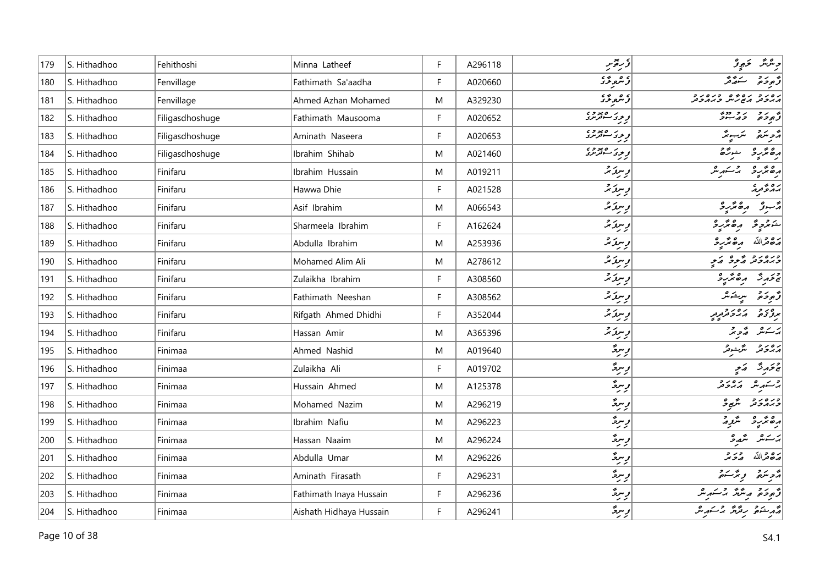| 179 | S. Hithadhoo | Fehithoshi      | Minna Latheef           | $\mathsf F$ | A296118 | ء ريو<br>فريرهوسر                 | ومثتر خوو                                                                   |
|-----|--------------|-----------------|-------------------------|-------------|---------|-----------------------------------|-----------------------------------------------------------------------------|
| 180 | S. Hithadhoo | Fenvillage      | Fathimath Sa'aadha      | F           | A020660 | ع ش <sub>عب</sub> وتحر            | قرم د د د به پر                                                             |
| 181 | S. Hithadhoo | Fenvillage      | Ahmed Azhan Mohamed     | M           | A329230 | <mark>ۇشھوڭ</mark> رى             | גם גם גם 40 כג <mark>ם גב</mark><br>הגב <sub>י</sub> ת ה <u>א</u> גידוק בית |
| 182 | S. Hithadhoo | Filigasdhoshuge | Fathimath Mausooma      | F.          | A020652 | توپوځ ستور دی<br>  توپوځ ستور پرې | ر و دوءِ<br>ۇ ب <sub>و</sub> ر د                                            |
| 183 | S. Hithadhoo | Filigasdhoshuge | Aminath Naseera         | $\mathsf F$ | A020653 | اړ پرې ه پېړۍ<br>په ر             | ىئرسە ئىر<br>أرمر برد                                                       |
| 184 | S. Hithadhoo | Filigasdhoshuge | Ibrahim Shihab          | M           | A021460 | اړ پر <u>صورت</u><br>اربرو سور    | شەرگەنچ<br>دە ئرىرد                                                         |
| 185 | S. Hithadhoo | Finifaru        | Ibrahim Hussain         | M           | A019211 | وسوتر                             | برسەمەرىش                                                                   |
| 186 | S. Hithadhoo | Finifaru        | Hawwa Dhie              | F.          | A021528 | ارسدنه<br><u>پ</u>                | بەدە ئىروگ                                                                  |
| 187 | S. Hithadhoo | Finifaru        | Asif Ibrahim            | M           | A066543 | ار سدنه چه<br><u>پ</u>            | ومجسور<br>ەرھ ئ <sup>ۆ</sup> ر ۋ                                            |
| 188 | S. Hithadhoo | Finifaru        | Sharmeela Ibrahim       | F.          | A162624 | ار بیدند<br>سیس                   | ەر ھەئرىر 2<br>ر<br>شە ئرىر ئۇ                                              |
| 189 | S. Hithadhoo | Finifaru        | Abdulla Ibrahim         | M           | A253936 | و سوتر تر                         | ەھىراللە<br>برە ئۇرۇ                                                        |
| 190 | S. Hithadhoo | Finifaru        | Mohamed Alim Ali        | M           | A278612 | و سوئړ تنر                        |                                                                             |
| 191 | S. Hithadhoo | Finifaru        | Zulaikha Ibrahim        | F           | A308560 | او بىرۇ قم <sup>ى</sup> ر<br>ئەس  | ە ھەمرىر 2<br>برھىمەر<br>چ ئۆەر ش                                           |
| 192 | S. Hithadhoo | Finifaru        | Fathimath Neeshan       | F           | A308562 | وسوتر                             | رًّمُ وَدَمَّ سِيدَسُ                                                       |
| 193 | S. Hithadhoo | Finifaru        | Rifgath Ahmed Dhidhi    | F           | A352044 | وسوتر                             | <br>  بروژه در در دورور                                                     |
| 194 | S. Hithadhoo | Finifaru        | Hassan Amir             | M           | A365396 | وسۇنم                             | برسك وتحريمه                                                                |
| 195 | S. Hithadhoo | Finimaa         | Ahmed Nashid            | M           | A019640 | وسردٌ                             | ره رح شرشونر<br>د برونر شرشونر                                              |
| 196 | S. Hithadhoo | Finimaa         | Zulaikha Ali            | F           | A019702 | وببرد                             | كمح يخبر بمجمع أيتخبخ                                                       |
| 197 | S. Hithadhoo | Finimaa         | Hussain Ahmed           | M           | A125378 | وسردٌ                             | ير سكور مدارج و مركز                                                        |
| 198 | S. Hithadhoo | Finimaa         | Mohamed Nazim           | M           | A296219 | وببرد                             | ورەرو گې و                                                                  |
| 199 | S. Hithadhoo | Finimaa         | Ibrahim Nafiu           | M           | A296223 | وسردٌ                             | رە ئرىر ئىستر                                                               |
| 200 | S. Hithadhoo | Finimaa         | Hassan Naaim            | M           | A296224 | وببرد                             | يَرْ سَرْ مَرْ مَرْ د                                                       |
| 201 | S. Hithadhoo | Finimaa         | Abdulla Umar            | M           | A296226 | وبىرد                             | برە تراللە<br>و ر و<br>در د بر                                              |
| 202 | S. Hithadhoo | Finimaa         | Aminath Firasath        | F           | A296231 | و سرچُ                            | أأرمز وبترسكم                                                               |
| 203 | S. Hithadhoo | Finimaa         | Fathimath Inaya Hussain | F.          | A296236 | وسردٌ                             | و و د د مرکز بر شهر شر                                                      |
| 204 | S. Hithadhoo | Finimaa         | Aishath Hidhaya Hussain | F           | A296241 | وببرد                             | م المستعدة المستعد المستعد المستعد                                          |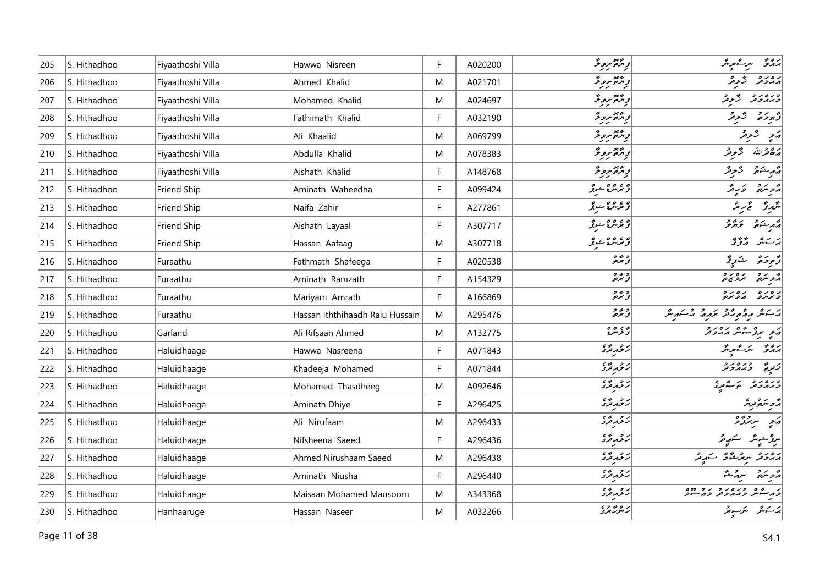| 205 | S. Hithadhoo | Fiyaathoshi Villa | Hawwa Nisreen                   | F           | A020200 | وېژيځ مره څه                | برەپچ<br>سرىشمىرىگر                             |
|-----|--------------|-------------------|---------------------------------|-------------|---------|-----------------------------|-------------------------------------------------|
| 206 | S. Hithadhoo | Fiyaathoshi Villa | Ahmed Khalid                    | M           | A021701 | و پژېڅ مره د څه             | ىر 2 مەر<br>مەركى قىر<br>رٌ وتر                 |
| 207 | S. Hithadhoo | Fiyaathoshi Villa | Mohamed Khalid                  | M           | A024697 | و پژ <sub>نیم مرحو</sub> تژ | رٌ وتر<br>و ره ر د<br><i>و پر</i> پر تر         |
| 208 | S. Hithadhoo | Fiyaathoshi Villa | Fathimath Khalid                | F           | A032190 | ر پر پر<br>اگر پڑھ سرہ بڑ   | و مرد<br>ترجو حرم<br>رٌ وتر                     |
| 209 | S. Hithadhoo | Fiyaathoshi Villa | Ali Khaalid                     | M           | A069799 | و پژ <sub>نیم مرحو</sub> تژ | ړې د ژوړ                                        |
| 210 | S. Hithadhoo | Fiyaathoshi Villa | Abdulla Khalid                  | M           | A078383 | ۔<br>ویژه نروی              | ة صرالله<br>ر پیچ ور                            |
| 211 | S. Hithadhoo | Fiyaathoshi Villa | Aishath Khalid                  | F           | A148768 | و پژ <sub>نیم مرحو</sub> تژ | و مر د کر د<br>مر<br>رٌ وتر                     |
| 212 | S. Hithadhoo | Friend Ship       | Aminath Waheedha                | F           | A099424 | <br>  ئۇيۇمىتى ھەمبۇر       | مەر ئىبر ئەر ئە                                 |
| 213 | S. Hithadhoo | Friend Ship       | Naifa Zahir                     | F           | A277861 | و بر حده عبد د<br>از مرس    | تتمدقه<br>پچ پر پر<br>س                         |
| 214 | S. Hithadhoo | Friend Ship       | Aishath Layaal                  | F           | A307717 | ە ئەھەم ھەبۇ                | پ <sub>چ م</sub> رشتون <sub>گر</sub><br>ىز پەر  |
| 215 | S. Hithadhoo | Friend Ship       | Hassan Aafaag                   | M           | A307718 | ە بى ھەم ھەبۇ               | ىر كەشقە ئۇچمۇ تۈ                               |
| 216 | S. Hithadhoo | Furaathu          | Fathmath Shafeega               | F           | A020538 | و بر د<br>تر بره            | وَّجْرِحَامُ شَرَوٍ وََّ                        |
| 217 | S. Hithadhoo | Furaathu          | Aminath Ramzath                 | F           | A154329 | د د د<br>تر بره             | ב הבי הסגב<br>הביתם הבהם                        |
| 218 | S. Hithadhoo | Furaathu          | Mariyam Amrath                  | $\mathsf F$ | A166869 | و بر د<br>تو بر م           | ג ם גם גם גב<br>קיבוב בי הביבות                 |
| 219 | S. Hithadhoo | Furaathu          | Hassan Iththihaadh Raiu Hussain | M           | A295476 | د د د<br>تر بره             | يُسَكِّسُ مِهْمُورَ مُحَمِّدَةٌ لِمُسَكِّرِيْشُ |
| 220 | S. Hithadhoo | Garland           | Ali Rifsaan Ahmed               | M           | A132775 | ءِ ۽ ه ه<br>رگوس            | ر<br>ديو برو شهر دره ده                         |
| 221 | S. Hithadhoo | Haluidhaage       | Hawwa Nasreena                  | F           | A071843 | ر 3 مرتز <sup>ء</sup>       | رەپ سەھىرىگە                                    |
| 222 | S. Hithadhoo | Haluidhaage       | Khadeeja Mohamed                | F           | A071844 | ر و در پر<br>رنگورند        | زَ پِرِ قَ دِرَہ دِ دِ                          |
| 223 | S. Hithadhoo | Haluidhaage       | Mohamed Thasdheeg               | M           | A092646 | ر و .<br>ر توپر تر .        | ورەرو بەرەپى                                    |
| 224 | S. Hithadhoo | Haluidhaage       | Aminath Dhiye                   | F           | A296425 | ر 3 درم.<br>تر 3 درم.       | و گر پر تو تر پر                                |
| 225 | S. Hithadhoo | Haluidhaage       | Ali Nirufaam                    | M           | A296433 | ر 3 درم.<br>تر 3 درم.       | ړي سربرون<br>م                                  |
| 226 | S. Hithadhoo | Haluidhaage       | Nifsheena Saeed                 | F           | A296436 | ژ څه د تر                   | سروے سر کے مقرر<br>سروے سر                      |
| 227 | S. Hithadhoo | Haluidhaage       | Ahmed Nirushaam Saeed           | M           | A296438 | ر 3 مرکزی<br>مرکز ترک       |                                                 |
| 228 | S. Hithadhoo | Haluidhaage       | Aminath Niusha                  | F           | A296440 | ر 3 مرتز <sup>ي</sup>       | أأدوسكم المستركة                                |
| 229 | S. Hithadhoo | Haluidhaage       | Maisaan Mohamed Mausoom         | M           | A343368 | ر و په په<br>رنگورند        |                                                 |
| 230 | S. Hithadhoo | Hanhaaruge        | Hassan Naseer                   | M           | A032266 | ر ۵ و و ۷<br>رکسرر مور      | يزكتان الكرسوني                                 |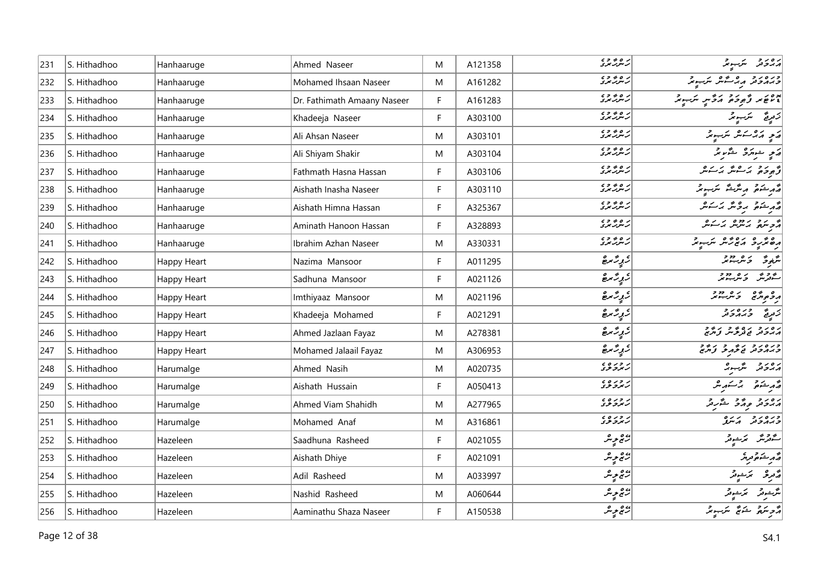| 231 | S. Hithadhoo | Hanhaaruge         | Ahmed Naseer                | ${\sf M}$ | A121358 | ر ه و و ،<br>ر نگرنری                       | أرەر دىكىبولا                                   |
|-----|--------------|--------------------|-----------------------------|-----------|---------|---------------------------------------------|-------------------------------------------------|
| 232 | S. Hithadhoo | Hanhaaruge         | Mohamed Ihsaan Naseer       | ${\sf M}$ | A161282 | ر ۵۶ و ،<br>رس                              | ورەرو روشگە سەر                                 |
| 233 | S. Hithadhoo | Hanhaaruge         | Dr. Fathimath Amaany Naseer | F         | A161283 | ر ۵۶ و ۲<br>رس                              | الدەر ئەردە مەڭبېر ئىكسىم                       |
| 234 | S. Hithadhoo | Hanhaaruge         | Khadeeja Naseer             | F         | A303100 | ر ۵ و و ،<br>رکسرر بوی                      | لزَمرِيحٌ - مَرَسومُرٌ -                        |
| 235 | S. Hithadhoo | Hanhaaruge         | Ali Ahsan Naseer            | M         | A303101 | ر ۵ ۶ و ۷<br>ترس ترموی                      | كالمجامع مكان المراسية المراجية                 |
| 236 | S. Hithadhoo | Hanhaaruge         | Ali Shiyam Shakir           | M         | A303104 | ر ۵ ۶ ۶ و <sup>ء</sup>                      | أرشمج المستركر التقرير                          |
| 237 | S. Hithadhoo | Hanhaaruge         | Fathmath Hasna Hassan       | F         | A303106 | ر ۵ ۶ و ۷<br>رسورتمبری                      | ۇ بەردىن ئەسىر بەسكىر                           |
| 238 | S. Hithadhoo | Hanhaaruge         | Aishath Inasha Naseer       | F         | A303110 | ر ۵ ۶ و ۷<br>ترس ترموی                      | ۇرىشو رىگىش ئىببوتر                             |
| 239 | S. Hithadhoo | Hanhaaruge         | Aishath Himna Hassan        | F         | A325367 | ر ه بر د ،<br>ر سر <i>ر بو</i> ر            | ە ئەسىم بىر ئەك ئەسكىر                          |
| 240 | S. Hithadhoo | Hanhaaruge         | Aminath Hanoon Hassan       | F         | A328893 | ر ۵ ۶ و ۷<br>ترس ترموی                      | أو مرد دوه بر مره                               |
| 241 | S. Hithadhoo | Hanhaaruge         | Ibrahim Azhan Naseer        | M         | A330331 | ر ۵ و و ۷<br>رسور بو ی                      | ופי בי היו בי היה בי                            |
| 242 | S. Hithadhoo | Happy Heart        | Nazima Mansoor              | F         | A011295 | <sup>ى</sup> ب <sub>و</sub> ر تە بىرغ       | أشهرته والمردوح                                 |
| 243 | S. Hithadhoo | Happy Heart        | Sadhuna Mansoor             | F         | A021126 | لنوپر <i>شرع</i>                            | گەر ئەر ئەر ئەر                                 |
| 244 | S. Hithadhoo | <b>Happy Heart</b> | Imthiyaaz Mansoor           | M         | A021196 | ارْبِرِيْهِ وَ                              |                                                 |
| 245 | S. Hithadhoo | Happy Heart        | Khadeeja Mohamed            | F         | A021291 | ع پ <sub>ر</sub> شرع ع                      | كتعريج وبره رو                                  |
| 246 | S. Hithadhoo | <b>Happy Heart</b> | Ahmed Jazlaan Fayaz         | M         | A278381 | ارْبِرِ رَّسْع                              | ر و ر و بر و بر و د<br>پربروتر بے فرقرس تو پڑتے |
| 247 | S. Hithadhoo | <b>Happy Heart</b> | Mohamed Jalaail Fayaz       | ${\sf M}$ | A306953 | الزوير معظم                                 | ورەرو رۇمۇ زەد                                  |
| 248 | S. Hithadhoo | Harumalge          | Ahmed Nasih                 | M         | A020735 | ر وره ،<br>ر <del>ى</del> رونو <sub>ك</sub> | د ه د د سرگرانده می                             |
| 249 | S. Hithadhoo | Harumalge          | Aishath Hussain             | F         | A050413 | ر وره ،<br>ربرونو <u>،</u>                  | ە ئەستىم بەسىمبەش                               |
| 250 | S. Hithadhoo | Harumalge          | Ahmed Viam Shahidh          | M         | A277965 | ر وره ،<br>ر <del>ب</del> رونوی             | أرور والمحمد المحارقه                           |
| 251 | S. Hithadhoo | Harumalge          | Mohamed Anaf                | ${\sf M}$ | A316861 | ر ور ه ،<br>ر پر <del>و</del> و د           | ورەر دىرە                                       |
| 252 | S. Hithadhoo | Hazeleen           | Saadhuna Rasheed            | F         | A021055 | رج وپر                                      | سەندىنى ئەسىيەتىر                               |
| 253 | S. Hithadhoo | Hazeleen           | Aishath Dhiye               | F         | A021091 | <br> ریم پر مر                              | وگەر شەھ تىرى <sup>دى</sup><br>م                |
| 254 | S. Hithadhoo | Hazeleen           | Adil Rasheed                | ${\sf M}$ | A033997 | ئەج م <sub>ۇ</sub> بىر                      | ە ئىرقى ئىم ئىش <sub>و</sub> ش                  |
| 255 | S. Hithadhoo | Hazeleen           | Nashid Rasheed              | M         | A060644 | رجم مویثر                                   | ش شوند كر ميكنوند.<br>مركز كر كر كرد بير        |
| 256 | S. Hithadhoo | Hazeleen           | Aaminathu Shaza Naseer      | F         | A150538 | ا شع پر مر<br>                              |                                                 |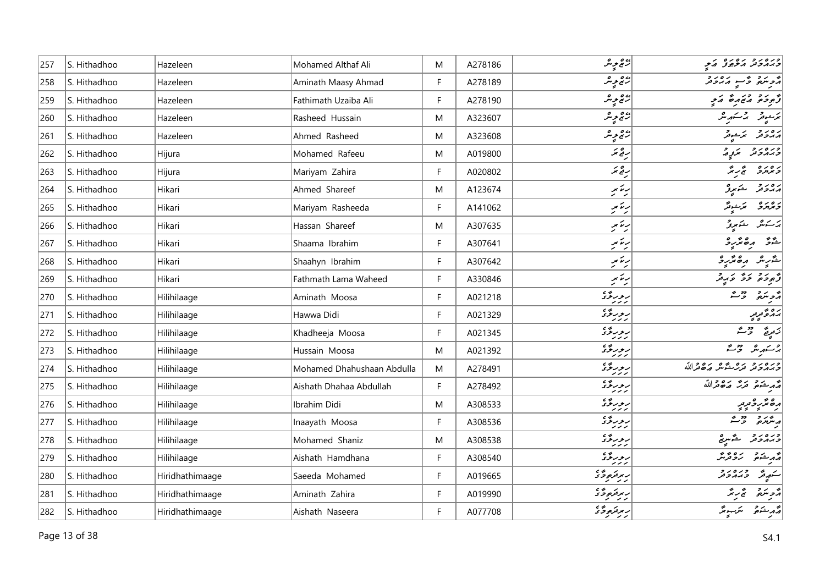| 257 | S. Hithadhoo | Hazeleen        | Mohamed Althaf Ali         | M           | A278186 | ا ئەج مەيتىر<br>م              | ورەرو رەرە ھېر                              |
|-----|--------------|-----------------|----------------------------|-------------|---------|--------------------------------|---------------------------------------------|
| 258 | S. Hithadhoo | Hazeleen        | Aminath Maasy Ahmad        | F           | A278189 | ا ئەج مەيتىر<br>م              | $5.201$ $2.20$                              |
| 259 | S. Hithadhoo | Hazeleen        | Fathimath Uzaiba Ali       | F           | A278190 | ر، پر په په په په موسر<br>مخ   | توجوحه متمارة مكم                           |
| 260 | S. Hithadhoo | Hazeleen        | Rasheed Hussain            | M           | A323607 | ر<br>ئەقمەسچە بىر              | ىر ھوقى ئەسكەر بىر<br>ئ                     |
| 261 | S. Hithadhoo | Hazeleen        | Ahmed Rasheed              | M           | A323608 | يەھ بېرىتر.<br>س               | برەرو برحوش                                 |
| 262 | S. Hithadhoo | Hijura          | Mohamed Rafeeu             | M           | A019800 | رقع تئر                        | ورەر د كړو.                                 |
| 263 | S. Hithadhoo | Hijura          | Mariyam Zahira             | F           | A020802 | رقع تئر                        | كالحامر محالياته                            |
| 264 | S. Hithadhoo | Hikari          | Ahmed Shareef              | M           | A123674 | رىكىر                          | أرجو والمتحمرة                              |
| 265 | S. Hithadhoo | Hikari          | Mariyam Rasheeda           | F           | A141062 | رىكىر                          | د ه بره موسیقه تر<br>  تر <i>پر بر</i> ه تر |
| 266 | S. Hithadhoo | Hikari          | Hassan Shareef             | M           | A307635 | رىئىر                          | ير سنڌ سنڌ ميرو <sup>9</sup>                |
| 267 | S. Hithadhoo | Hikari          | Shaama Ibrahim             | F           | A307641 | رىكىر                          | $rac{2}{3}$                                 |
| 268 | S. Hithadhoo | Hikari          | Shaahyn Ibrahim            | F           | A307642 | رىئىر                          | شَرِسْ رەتمرىرد                             |
| 269 | S. Hithadhoo | Hikari          | Fathmath Lama Waheed       | F           | A330846 | رِمَعرِ                        | أو برو برو بر به                            |
| 270 | S. Hithadhoo | Hilihilaage     | Aminath Moosa              | $\mathsf F$ | A021218 | ر د ر د د د<br>ر د ر د د       | ړ په ده ده د                                |
| 271 | S. Hithadhoo | Hilihilaage     | Hawwa Didi                 | F           | A021329 | ر و ر ۇ ؟<br><u>، ، ، ،</u>    | ر ٥ ۶ تو تو<br>بر پر گ                      |
| 272 | S. Hithadhoo | Hilihilaage     | Khadheeja Moosa            | F           | A021345 | ر د ر د د د<br>ر د ر           | زَمِرِجٌ وَ"ـدُّ                            |
| 273 | S. Hithadhoo | Hilihilaage     | Hussain Moosa              | M           | A021392 | ر ور ژُءَ<br>بربر              | برڪيز والگ                                  |
| 274 | S. Hithadhoo | Hilihilaage     | Mohamed Dhahushaan Abdulla | M           | A278491 | ر ور ژُءَ<br>بربر              | ورەرو رە جەھ رەقراللە                       |
| 275 | S. Hithadhoo | Hilihilaage     | Aishath Dhahaa Abdullah    | F           | A278492 | ار ورۇ ئى<br><u>مەمم</u>       | مەم خىم تىر ئەھمى الله                      |
| 276 | S. Hithadhoo | Hilihilaage     | Ibrahim Didi               | M           | A308533 | ار ورځۍ<br><u>ريز د</u>        | ەر ھەتئەر 2 دىرىر<br>ر                      |
| 277 | S. Hithadhoo | Hilihilaage     | Inaayath Moosa             | $\mathsf F$ | A308536 | ر ور ڈی<br>ر                   | ويتهزه ويدمج                                |
| 278 | S. Hithadhoo | Hilihilaage     | Mohamed Shaniz             | M           | A308538 | ر و ر ژ ؟<br>بر بر             | ورەرو شەرە                                  |
| 279 | S. Hithadhoo | Hilihilaage     | Aishath Hamdhana           | F           | A308540 | ر و ر ۇ ؟<br>بر بر             | ۇرىشمۇ كەنگە                                |
| 280 | S. Hithadhoo | Hiridhathimaage | Saeeda Mohamed             | F           | A019665 | ر بروگرو دی<br>مرکز م          | شهره دره در د                               |
| 281 | S. Hithadhoo | Hiridhathimaage | Aminath Zahira             | F           | A019990 | ر بر دره و د د<br>بر دره و د د | أأرمز المحاسبة                              |
| 282 | S. Hithadhoo | Hiridhathimaage | Aishath Naseera            | F           | A077708 | ر بروگرو دی<br><u>مر</u>       | ۇرمىشقى سىببوتر                             |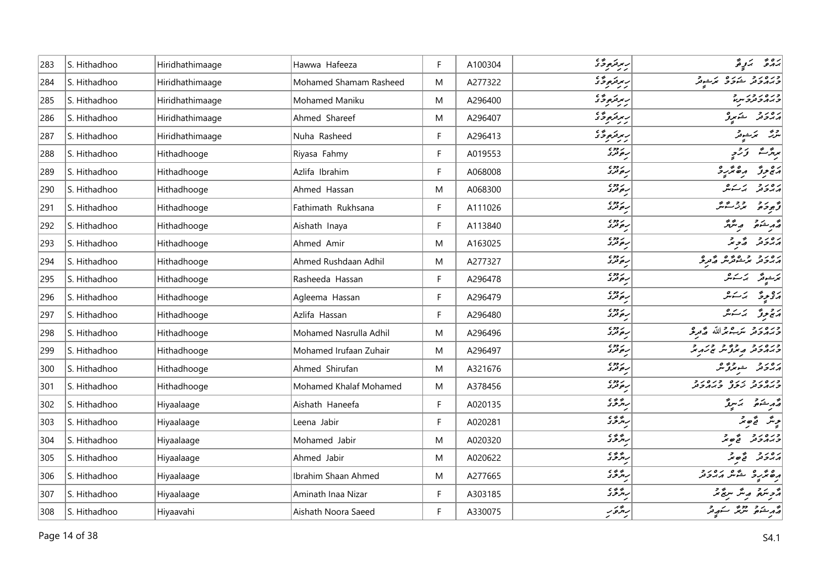| 283 | S. Hithadhoo | Hiridhathimaage | Hawwa Hafeeza          | F           | A100304 | ر بروگوچری<br><u>مرکز م</u> رکز    | برە ئەر ئەر                                              |
|-----|--------------|-----------------|------------------------|-------------|---------|------------------------------------|----------------------------------------------------------|
| 284 | S. Hithadhoo | Hiridhathimaage | Mohamed Shamam Rasheed | M           | A277322 | ر بروگرو <sup>و ی</sup>            | ورەرو شەرە كەشوتر                                        |
| 285 | S. Hithadhoo | Hiridhathimaage | Mohamed Maniku         | M           | A296400 | <br>  ربروگرو ژی                   | و ر ٥ ر و ر<br>تر <i>پر ۸ تر تر س</i> ربا                |
| 286 | S. Hithadhoo | Hiridhathimaage | Ahmed Shareef          | M           | A296407 | ر برتره و د <sup>ه</sup><br>بر بر  | رەرو خىرو                                                |
| 287 | S. Hithadhoo | Hiridhathimaage | Nuha Rasheed           | F           | A296413 | ر بروگړو دي<br><u>ريز م</u> ر      | روس -<br>سرگ - سکوشونگر                                  |
| 288 | S. Hithadhoo | Hithadhooge     | Riyasa Fahmy           | F           | A019553 | ر دو ء<br>پ@تری                    | برور وزو                                                 |
| 289 | S. Hithadhoo | Hithadhooge     | Azlifa Ibrahim         | F           | A068008 | ر دو ء<br>پره تر د                 | برج دِرَ بِهِ مِنْ بِرْ                                  |
| 290 | S. Hithadhoo | Hithadhooge     | Ahmed Hassan           | M           | A068300 | ر دد د<br>ره تر د                  | رەرد برىش                                                |
| 291 | S. Hithadhoo | Hithadhooge     | Fathimath Rukhsana     | F           | A111026 | ر دو ء<br>پرجو تر <sub>ک</sub>     | ۇيوخۇ بور ئەش                                            |
| 292 | S. Hithadhoo | Hithadhooge     | Aishath Inaya          | F           | A113840 | ر دو ء<br>رپموتری                  | ومرشكو ويتمتز                                            |
| 293 | S. Hithadhoo | Hithadhooge     | Ahmed Amir             | M           | A163025 | ر دو ء<br>پره تر د                 | גפיב בביב                                                |
| 294 | S. Hithadhoo | Hithadhooge     | Ahmed Rushdaan Adhil   | M           | A277327 | ر دو ء<br>پ@تری                    | رەر د دەپەە ئەربى<br>مەدومە ئەشەمەس ئەربى                |
| 295 | S. Hithadhoo | Hithadhooge     | Rasheeda Hassan        | $\mathsf F$ | A296478 | ر دو ء<br>پره تر د                 | ىكەشونگە كەسكەنلى                                        |
| 296 | S. Hithadhoo | Hithadhooge     | Agleema Hassan         | F           | A296479 | ر دو ء<br>پره تر د                 | أرَقِعٍ وَأَسْتَمَسُ                                     |
| 297 | S. Hithadhoo | Hithadhooge     | Azlifa Hassan          | F           | A296480 | ر دو ء<br>پره تر د                 | ەيج بوتۇ - ئەسكەنلە                                      |
| 298 | S. Hithadhoo | Hithadhooge     | Mohamed Nasrulla Adhil | M           | A296496 | ر دو ء<br>پرجو تر <sub>ک</sub>     | ورەرو ىرە داللە ھىرو                                     |
| 299 | S. Hithadhoo | Hithadhooge     | Mohamed Irufaan Zuhair | M           | A296497 | ر دو ،<br>ره تر د                  | ورەرو مەدۋىر بەر                                         |
| 300 | S. Hithadhoo | Hithadhooge     | Ahmed Shirufan         | M           | A321676 | ر دو ء<br>پرجو تر <sub>ک</sub>     | ره رو به دوه<br>دروند به رومن                            |
| 301 | S. Hithadhoo | Hithadhooge     | Mohamed Khalaf Mohamed | M           | A378456 | ر دو تا<br>برخ تری                 | ورەر د ررە درەرد<br><i>دېم</i> ردىر ئىۋۇ <i>دېم</i> ردىر |
| 302 | S. Hithadhoo | Hiyaalaage      | Aishath Haneefa        | F           | A020135 | رېژوي                              | أمار مشام أسبع                                           |
| 303 | S. Hithadhoo | Hiyaalaage      | Leena Jabir            | $\mathsf F$ | A020281 | رپڑی                               | ويتر وتحاصر                                              |
| 304 | S. Hithadhoo | Hiyaalaage      | Mohamed Jabir          | M           | A020320 | ر پور ہ<br>بر پور پی               | ورەر د ئەر                                               |
| 305 | S. Hithadhoo | Hiyaalaage      | Ahmed Jabir            | M           | A020622 | ر پر پر پر<br>ر پورنو <sub>ک</sub> |                                                          |
| 306 | S. Hithadhoo | Hiyaalaage      | Ibrahim Shaan Ahmed    | M           | A277665 | ر پر پر پر<br>بر پر پور            | ە ئەرەب ئەرەر دەرد                                       |
| 307 | S. Hithadhoo | Hiyaalaage      | Aminath Inaa Nizar     | F           | A303185 | ر پڑی م<br>ر پڑتو <sub>ک</sub>     | ومحر يتمو ويتر بروحم                                     |
| 308 | S. Hithadhoo | Hiyaavahi       | Aishath Noora Saeed    | F           | A330075 | رېژوَر                             | أشهر شده معر محمد الشهر ور                               |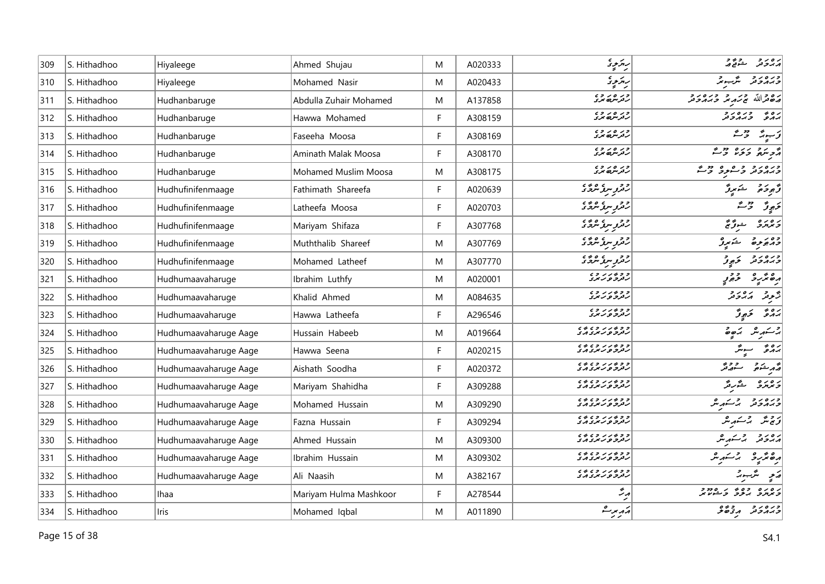| 309 | S. Hithadhoo | Hiyaleege             | Ahmed Shujau                | M  | A020333 | رېز پوت <sup>ې</sup>                        | ره رح در در<br>پرېرتر شو <sub>قي</sub> پر            |
|-----|--------------|-----------------------|-----------------------------|----|---------|---------------------------------------------|------------------------------------------------------|
| 310 | S. Hithadhoo | Hiyaleege             | Mohamed Nasir               | M  | A020433 | ىر پېړنو ئ                                  | و ر ه ر د<br>تر بر بر تر<br>ىئرىبەنر                 |
| 311 | S. Hithadhoo | Hudhanbaruge          | Abdulla Zuhair Mohamed      | M  | A137858 | و ر ه ر و ،<br>رترس@مری                     | ره و الله حرکه و وره رو<br>مصرالله می کرد مرکز حرک   |
| 312 | S. Hithadhoo | Hudhanbaruge          | Hawwa Mohamed               | F  | A308159 | و ر   ه ر   و   ه<br>ر ترسر <i>ه بر</i> ی   | و رە ر د<br><i>د بە</i> پەر<br>ر ه و<br>برد و        |
| 313 | S. Hithadhoo | Hudhanbaruge          | Faseeha Moosa               | F. | A308169 | و ر   ه ر   د   د<br>ر تر سره مرد           | دومثر<br>ۇ سېرىتە                                    |
| 314 | S. Hithadhoo | Hudhanbaruge          | Aminath Malak Moosa         | F. | A308170 | و رے رو ء<br>رقر سرے مر <sub>ک</sub>        | و دو دره دو م                                        |
| 315 | S. Hithadhoo | Hudhanbaruge          | <b>Mohamed Muslim Moosa</b> | M  | A308175 | و ر ه ر و د<br>ر ترس ته بر د                | ورەرو وە ەەدە                                        |
| 316 | S. Hithadhoo | Hudhufinifenmaage     | Fathimath Shareefa          | F  | A020639 | 3 قرىر مىرىگە ئىگەنگە<br>مەسرىر مىرىگە      | ۇ <sub>م</sub> ودۇ شىرۇ                              |
| 317 | S. Hithadhoo | Hudhufinifenmaage     | Latheefa Moosa              | F. | A020703 | 2 قرو سرو مرکز د                            | تزجوتر                                               |
| 318 | S. Hithadhoo | Hudhufinifenmaage     | Mariyam Shifaza             | F. | A307768 | د و به برو مرد و و<br>  را مرو ببرو مرد و   | ر ه ر ه<br><del>د</del> بر بر د<br>شەۋىج             |
| 319 | S. Hithadhoo | Hudhufinifenmaage     | Muththalib Shareef          | M  | A307769 | جمعر سرو عدد و<br>  سرو سرو سرو و           | و ه بر چ<br><del>ر</del> بر پوځو<br>شەمرى            |
| 320 | S. Hithadhoo | Hudhufinifenmaage     | Mohamed Latheef             | M  | A307770 | ار در برید مرد و با<br>استفریق              | و ره ر و<br><i>و پر</i> و تر<br>تزج تر               |
| 321 | S. Hithadhoo | Hudhumaavaharuge      | Ibrahim Luthfy              | M  | A020001 | و و بر ر و ،<br>رندگري ر بر ی               | وە ئەربى<br>تحبجوني                                  |
| 322 | S. Hithadhoo | Hudhumaavaharuge      | Khalid Ahmed                | M  | A084635 | و و بر ر ر و ،<br>رترو تو تر بو ی           | رَّجُ وَثَرُ<br>پروژو                                |
| 323 | S. Hithadhoo | Hudhumaavaharuge      | Hawwa Latheefa              | F. | A296546 | و و زر ر و ،<br>رتور و ر بو <u>،</u>        | ر ه پ<br>پروتو<br>خبجوتر                             |
| 324 | S. Hithadhoo | Hudhumaavaharuge Aage | Hussain Habeeb              | M  | A019664 | و و بر ر و ، پر ،<br>ر درج و ر بر د بر      | جامرش بالمومة                                        |
| 325 | S. Hithadhoo | Hudhumaavaharuge Aage | Hawwa Seena                 | F  | A020215 | و و بر ر و ، پر ،<br>ر درج و ر بر د بر      | برەپچ<br>سەمقر                                       |
| 326 | S. Hithadhoo | Hudhumaavaharuge Aage | Aishath Soodha              | F  | A020372 | و و بر ر و ، پر ،<br>رندگرن ر بو ، در د     | ر<br>د که د مشوځو<br>ستەرىتر                         |
| 327 | S. Hithadhoo | Hudhumaavaharuge Aage | Mariyam Shahidha            | F. | A309288 | و و بر ر و ، پ ،<br>ر در و ر بر د بر        | ر ه ر ه<br><del>و</del> بربرو<br>ستەرىتر             |
| 328 | S. Hithadhoo | Hudhumaavaharuge Aage | Mohamed Hussain             | M  | A309290 |                                             | و ر ه ر و<br>و پر پر <del>و</del> تر<br>جرىسىمە يىگە |
| 329 | S. Hithadhoo | Hudhumaavaharuge Aage | Fazna Hussain               | F  | A309294 | و و ز ر ر و ی ز ی<br>مرفوری مربور پری       | ۇچىگە بۇسكەرلىر                                      |
| 330 | S. Hithadhoo | Hudhumaavaharuge Aage | Ahmed Hussain               | M  | A309300 | و و بر ر و ، پر ،<br>رند <i>و د بر</i> پر د | رەرو جەسىرىر                                         |
| 331 | S. Hithadhoo | Hudhumaavaharuge Aage | Ibrahim Hussain             | M  | A309302 | و و بر بر و د بر بر<br>مرفوح مر بو پر پر    | مەمگرىق برىسمىر                                      |
| 332 | S. Hithadhoo | Hudhumaavaharuge Aage | Ali Naasih                  | M  | A382167 | و و بر بر و د بر بر<br>مرفوح مر بو پر پر    | أرَمِ مَرْجَدٍ                                       |
| 333 | S. Hithadhoo | Ihaa                  | Mariyam Hulma Mashkoor      | F  | A278544 | وح                                          | ג הג ה כה מג היה היה ה<br>המחה היה ה ביישי           |
| 334 | S. Hithadhoo | Iris                  | Mohamed Iqbal               | M  | A011890 | ە ئەمەسە<br>مەس                             | כנסנכ בשב<br>כגתכת הצפיב                             |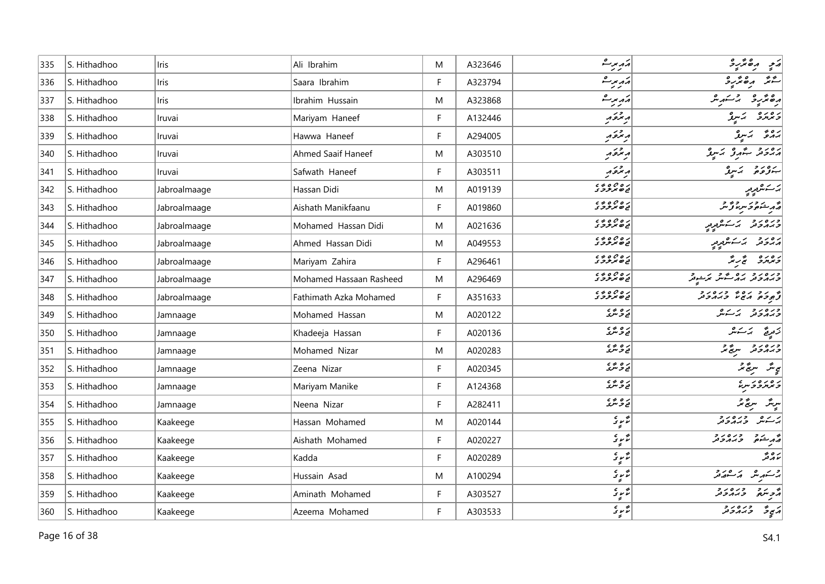| 335 | S. Hithadhoo | Iris         | Ali Ibrahim             | M  | A323646 | ە ئەبرىيە<br>سىرىيە                          | 5, 50, 50                                        |
|-----|--------------|--------------|-------------------------|----|---------|----------------------------------------------|--------------------------------------------------|
| 336 | S. Hithadhoo | Iris         | Saara Ibrahim           | F. | A323794 | ە ئەمەسىر<br>مەسرىر                          | ستمتر<br>برە ئۆرۈ                                |
| 337 | S. Hithadhoo | <b>Iris</b>  | Ibrahim Hussain         | M  | A323868 | رَ مر سه<br>                                 | مەھترىرى بر خمىر ش                               |
| 338 | S. Hithadhoo | Iruvai       | Mariyam Haneef          | F. | A132446 | وبخرعه                                       | ر ه ر ه<br><del>و</del> بربرو<br>برسره           |
| 339 | S. Hithadhoo | Iruvai       | Hawwa Haneef            | F  | A294005 | مرتزعهر                                      | برەۋ بەيدۇ                                       |
| 340 | S. Hithadhoo | Iruvai       | Ahmed Saaif Haneef      | M  | A303510 | وبخرعه                                       | رەرد جەرۋ ئەب                                    |
| 341 | S. Hithadhoo | Iruvai       | Safwath Haneef          | F  | A303511 | وبخرعه                                       | بەدەرە بەيدۇ                                     |
| 342 | S. Hithadhoo | Jabroalmaage | Hassan Didi             | M  | A019139 |                                              | ئەسەئىرى <i>س</i>                                |
| 343 | S. Hithadhoo | Jabroalmaage | Aishath Manikfaanu      | F. | A019860 | ره ۵ ۵ و ء<br>  بی حا مرمونو <sub>ک</sub>    | ه<br>دهر شوه د سرد و س                           |
| 344 | S. Hithadhoo | Jabroalmaage | Mohamed Hassan Didi     | M  | A021636 | ر ه ۵ ۵ و پر و<br>مح ه مرمونو <sub>ک</sub>   | ورەرو كەكتىرىر                                   |
| 345 | S. Hithadhoo | Jabroalmaage | Ahmed Hassan Didi       | M  | A049553 | ر ه ۵ ۵ و » ›<br>ق خ خرمونو د                | ره رو گرگ میگرید.<br>در دو گرگ میگرید            |
| 346 | S. Hithadhoo | Jabroalmaage | Mariyam Zahira          | F  | A296461 | ر ه <i>۵ ه و »</i><br>ق <i>ه پر و</i> و      | دەرە ئېرىگە                                      |
| 347 | S. Hithadhoo | Jabroalmaage | Mohamed Hassaan Rasheed | M  | A296469 | ره ۵ ۵ و ء<br>  بی حا مرمونو <sub>ک</sub>    | وره رو ره شهر برشوتر<br>وبردوتر برد گسر برشوتر   |
| 348 | S. Hithadhoo | Jabroalmaage | Fathimath Azka Mohamed  | F  | A351633 | ر ه ۵ ۵ و » ،<br>ق ح مرمونو د                | و د د ده د دره د د<br>ژبوده می ترکیدونر          |
| 349 | S. Hithadhoo | Jamnaage     | Mohamed Hassan          | M  | A020122 | ر ه پر ،<br>ق و سر <sub>ک</sub>              | ورەرو پەسكىر                                     |
| 350 | S. Hithadhoo | Jamnaage     | Khadeeja Hassan         | F. | A020136 | ر و پر ۽<br>يح مرگز                          | ترىرىق كەسكەش                                    |
| 351 | S. Hithadhoo | Jamnaage     | Mohamed Nizar           | M  | A020283 | ر و پر ۽<br>يح مر <i>گ</i> ز                 | כממכת תשת                                        |
| 352 | S. Hithadhoo | Jamnaage     | Zeena Nizar             | F. | A020345 | ره پر ۽<br>  ق <del>ر</del> سمد              | <sub>مج</sub> سم سرچ تمر                         |
| 353 | S. Hithadhoo | Jamnaage     | Mariyam Manike          | F  | A124368 | ر ٥ پر ٢<br>قع قر سر <sub>ک</sub> ر          | ر ەرەر پر                                        |
| 354 | S. Hithadhoo | Jamnaage     | Neena Nizar             | F  | A282411 | ر ه پر ،<br>ق تر سر <sub>ک</sub>             | سرمگر سرگانگر                                    |
| 355 | S. Hithadhoo | Kaakeege     | Hassan Mohamed          | M  | A020144 | لتنمي                                        | يركبش وره رد                                     |
| 356 | S. Hithadhoo | Kaakeege     | Aishath Mohamed         | F  | A020227 | پر<br>ماسيو                                  | و رە ر د<br>تر پروتر<br>پ <sup>و</sup> پر شوې    |
| 357 | S. Hithadhoo | Kaakeege     | Kadda                   | F  | A020289 | په په<br>مړين<br>$\mathcal{L}_{\mathcal{L}}$ | رە بۇ<br>مەمرىتر                                 |
| 358 | S. Hithadhoo | Kaakeege     | Hussain Asad            | M  | A100294 | پر<br>ماسيد                                  | جر کشمر میں کر کے مرکز میں تعلیم تعلی            |
| 359 | S. Hithadhoo | Kaakeege     | Aminath Mohamed         | F  | A303527 | پر<br>مذہبی                                  | لأحر مئرو<br>و ره ر د<br>تر پر ژنر               |
| 360 | S. Hithadhoo | Kaakeege     | Azeema Mohamed          | F. | A303533 | په مونه<br>مونو                              | ر<br>پر پ <sub>ن</sub> ج<br>و رە ر د<br>تر پروتر |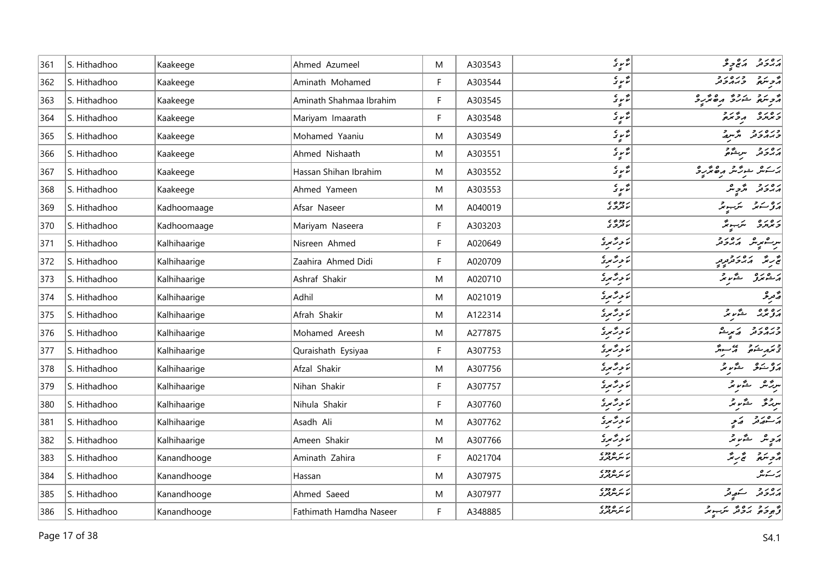| 361 | S. Hithadhoo | Kaakeege     | Ahmed Azumeel           | M | A303543 | لتنمي                                        | أرور والملح والمحمد والمحمد                   |
|-----|--------------|--------------|-------------------------|---|---------|----------------------------------------------|-----------------------------------------------|
| 362 | S. Hithadhoo | Kaakeege     | Aminath Mohamed         | F | A303544 | ېږي<br>تاريخ                                 | أترضع وره دو                                  |
| 363 | S. Hithadhoo | Kaakeege     | Aminath Shahmaa Ibrahim | F | A303545 | لتعميم                                       |                                               |
| 364 | S. Hithadhoo | Kaakeege     | Mariyam Imaarath        | F | A303548 | پرېده<br>موند                                | נים נים המינים                                |
| 365 | S. Hithadhoo | Kaakeege     | Mohamed Yaaniu          | M | A303549 | په مونه<br>مون                               | כנסנכ בית                                     |
| 366 | S. Hithadhoo | Kaakeege     | Ahmed Nishaath          | M | A303551 | ېږي<br>تاريخ                                 | رەر دىرىشىم                                   |
| 367 | S. Hithadhoo | Kaakeege     | Hassan Shihan Ibrahim   | M | A303552 | په په<br>مړين<br>$\mathcal{L}_{\mathcal{L}}$ | يُرَ سُوَسٌ حَدِيثَ وِ 20 مُرْبِرُ            |
| 368 | S. Hithadhoo | Kaakeege     | Ahmed Yameen            | M | A303553 | ېږي<br>تاريخ                                 | גפגב ב <sub>ב</sub> ב                         |
| 369 | S. Hithadhoo | Kadhoomaage  | Afsar Naseer            | M | A040019 | ر دو ر.<br>را تورگ                           | أروت تر سربيريز                               |
| 370 | S. Hithadhoo | Kadhoomaage  | Mariyam Naseera         | F | A303203 | ر دون تا<br>ما تورگ                          | دەرە سەبدىر                                   |
| 371 | S. Hithadhoo | Kalhihaarige | Nisreen Ahmed           | F | A020649 | ئەبەر تەبىرى<br>                             | سرے پر شہر اس کے مقدم                         |
| 372 | S. Hithadhoo | Kalhihaarige | Zaahira Ahmed Didi      | F | A020709 | ر<br>ئۈرتە بىرى                              | ڭرىر مەدەرىرىر                                |
| 373 | S. Hithadhoo | Kalhihaarige | Ashraf Shakir           | M | A020710 | تزرعيرة                                      | برەيرو شرىد                                   |
| 374 | S. Hithadhoo | Kalhihaarige | Adhil                   | M | A021019 | ئەر شەرى<br>ئار شەرى                         | پ <sup>و</sup> مبرېڅ                          |
| 375 | S. Hithadhoo | Kalhihaarige | Afrah Shakir            | M | A122314 | ر<br>ئىمور تىمىرى                            | رە بور شەر                                    |
| 376 | S. Hithadhoo | Kalhihaarige | Mohamed Areesh          | M | A277875 | ر<br>ئىرىرىگىرى                              | وبرورو كالمربط                                |
| 377 | S. Hithadhoo | Kalhihaarige | Quraishath Eysiyaa      | F | A307753 | ىدىر<br>ئىرىرى                               | و بر ديکھو ديگر ديگر<br>تحصير مشکو ديگر سورگر |
| 378 | S. Hithadhoo | Kalhihaarige | Afzal Shakir            | M | A307756 | ر<br>ئىزىرگىرى                               | رەبنو شەرىر                                   |
| 379 | S. Hithadhoo | Kalhihaarige | Nihan Shakir            | F | A307757 | ئەرشىرى<br>ئىرىشىرى                          | سررتمبر القرابر                               |
| 380 | S. Hithadhoo | Kalhihaarige | Nihula Shakir           | F | A307760 | ر<br>ئىمىر شىرىگى                            | ىشەرىر<br>سرچیڅه                              |
| 381 | S. Hithadhoo | Kalhihaarige | Asadh Ali               | M | A307762 | ىدىر<br>ئىرىشىرى                             | بر عرد ترد                                    |
| 382 | S. Hithadhoo | Kalhihaarige | Ameen Shakir            | M | A307766 | تزيرة                                        | أرَجٍ مَّرْ مُدَّمَّ مِرْ                     |
| 383 | S. Hithadhoo | Kanandhooge  | Aminath Zahira          | F | A021704 | ر ر ۵ وو ،<br>را سرسربری                     | أروشي<br>ىتى سەتتىر                           |
| 384 | S. Hithadhoo | Kanandhooge  | Hassan                  | M | A307975 | ر ر د د د ه<br>را سرسربر د                   | بزسەيىتىر                                     |
| 385 | S. Hithadhoo | Kanandhooge  | Ahmed Saeed             | M | A307977 | ر ر د د د ه<br>را سرسربر د                   | رەر ئەر                                       |
| 386 | S. Hithadhoo | Kanandhooge  | Fathimath Hamdha Naseer | F | A348885 | ر ر ۵ وو د<br>را سرسربری                     | توجوح بروتر ترجيح                             |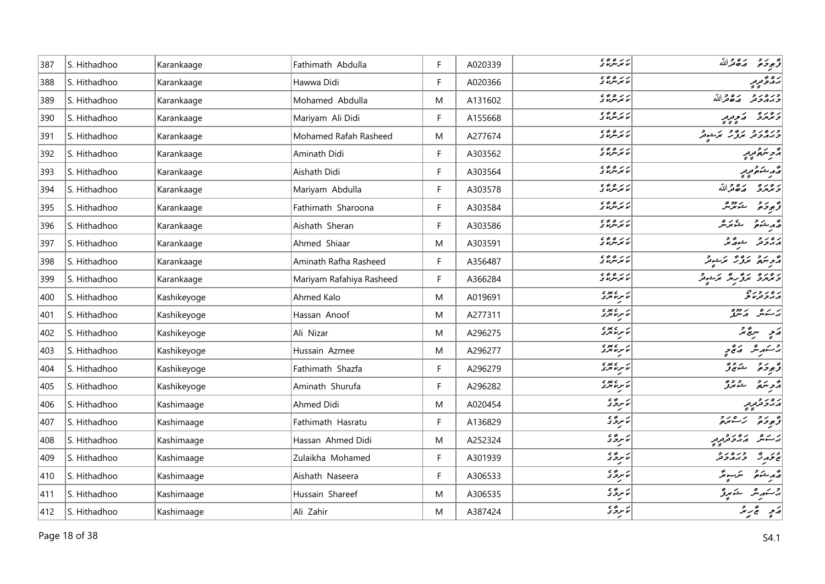| 387 | S. Hithadhoo | Karankaage  | Fathimath Abdulla        | $\mathsf F$ | A020339 | ر ره ۶۵<br>ما بر مرما د                    | مَە قىراللّه<br>ۇ بور د                                                                                            |
|-----|--------------|-------------|--------------------------|-------------|---------|--------------------------------------------|--------------------------------------------------------------------------------------------------------------------|
| 388 | S. Hithadhoo | Karankaage  | Hawwa Didi               | F           | A020366 | ر ر ه و ،<br>ما مرس د د                    | ر ە بە<br>بەھەتە بەير                                                                                              |
| 389 | S. Hithadhoo | Karankaage  | Mohamed Abdulla          | M           | A131602 | ر ره ۶ و.<br>ما مرس دا                     | وره رو ده دالله                                                                                                    |
| 390 | S. Hithadhoo | Karankaage  | Mariyam Ali Didi         | F           | A155668 | ر ر ه و د ،<br>ما <del>ب</del> ر سربا د    | ره دو گروربر<br>د پرکرو گروربر                                                                                     |
| 391 | S. Hithadhoo | Karankaage  | Mohamed Rafah Rasheed    | M           | A277674 | ر ره ۶۵<br>ما بر مرما د                    | وره رو روو ر<br>وبروون برؤث برشونر                                                                                 |
| 392 | S. Hithadhoo | Karankaage  | Aminath Didi             | F.          | A303562 | ر ره ۶۵<br>ما بر مرما د                    | ړٌ د سَرُه ورِ درِ                                                                                                 |
| 393 | S. Hithadhoo | Karankaage  | Aishath Didi             | F           | A303564 | ر ر ه و د ،<br>ما <del>ب</del> رس          | ا<br>د که رشه کارورو په کارونو په کارونو کارونو کارونو کارونو کارونو کارونو کارونو کارونو کارونو کارونو کارونو کار |
| 394 | S. Hithadhoo | Karankaage  | Mariyam Abdulla          | F           | A303578 | ر ره ۶۵<br>ما بر مرما د                    | تره بره بردورالله                                                                                                  |
| 395 | S. Hithadhoo | Karankaage  | Fathimath Sharoona       | F           | A303584 | ر ره ۶۵<br>ما <del>ب</del> رمر <i>ما</i> ی | قهوزة شهرش                                                                                                         |
| 396 | S. Hithadhoo | Karankaage  | Aishath Sheran           | F           | A303586 | ر ره ۶۵<br>ما بر مرما د                    | ۇرمىشى ھەرە                                                                                                        |
| 397 | S. Hithadhoo | Karankaage  | Ahmed Shiaar             | M           | A303591 | ر ر ه و د ،<br>ما بر سرد د                 | ره رو شور پور<br>مدوند شور پر                                                                                      |
| 398 | S. Hithadhoo | Karankaage  | Aminath Rafha Rasheed    | F           | A356487 | ر ر ه و »<br>ما <del>ب</del> رسرد د        | و ده دوم کرد.<br>اگر شهر مرکز کرد.                                                                                 |
| 399 | S. Hithadhoo | Karankaage  | Mariyam Rafahiya Rasheed | $\mathsf F$ | A366284 | ر ره ۶۵<br>ما بر مرما د                    | و وره برژبرهٔ برخونه                                                                                               |
| 400 | S. Hithadhoo | Kashikeyoge | Ahmed Kalo               | M           | A019691 | ر پر پر پر پر<br>ماسر ملاحری               | ر ە ر د رە<br>مەر دىرىم ئو                                                                                         |
| 401 | S. Hithadhoo | Kashikeyoge | Hassan Anoof             | M           | A277311 | ر<br>مأمورا الري                           | ير کے معرفہ مرکز کر                                                                                                |
| 402 | S. Hithadhoo | Kashikeyoge | Ali Nizar                | M           | A296275 | ر به بره بره<br>  مدیر مدیری               | أوسمج يتمرجم                                                                                                       |
| 403 | S. Hithadhoo | Kashikeyoge | Hussain Azmee            | M           | A296277 | ر پر پر پر<br>موس                          | جسكر شره كدعج حي                                                                                                   |
| 404 | S. Hithadhoo | Kashikeyoge | Fathimath Shazfa         | F           | A296279 | ر بر پر پر پر<br>  ما سر ما مر پر          | ۇپروڭ ئىنى                                                                                                         |
| 405 | S. Hithadhoo | Kashikeyoge | Aminath Shurufa          | F           | A296282 | ر<br>ما مورا مرد                           | أثربه بنرو<br>ے چرقر                                                                                               |
| 406 | S. Hithadhoo | Kashimaage  | Ahmed Didi               | M           | A020454 | ئەبرۇ ئ                                    | ر ە ر د ترىرىر<br>مەركىرىرىر                                                                                       |
| 407 | S. Hithadhoo | Kashimaage  | Fathimath Hasratu        | F           | A136829 | ر سوء<br>ما مرچ <sub>م</sub>               | و دو ده دو                                                                                                         |
| 408 | S. Hithadhoo | Kashimaage  | Hassan Ahmed Didi        | M           | A252324 | ر سوچ<br>ماسرچۍ                            | ر رو ده دورو<br>پرېش مدد ترترترتر                                                                                  |
| 409 | S. Hithadhoo | Kashimaage  | Zulaikha Mohamed         | F           | A301939 | ر<br>مأمرچۍ                                | يحور محمد ورود                                                                                                     |
| 410 | S. Hithadhoo | Kashimaage  | Aishath Naseera          | F           | A306533 | ر<br>مأمرچۍ                                | ۇرمىشقى سىسبوتى                                                                                                    |
| 411 | S. Hithadhoo | Kashimaage  | Hussain Shareef          | M           | A306535 | ر رو ء<br>ما مرچ <sub>م</sub>              | رحم شكر متكافير والمحمد والمحر                                                                                     |
| 412 | S. Hithadhoo | Kashimaage  | Ali Zahir                | M           | A387424 | ىز مەدىجە<br>مەسرىپى                       | أوسمج سيتمر يتمر                                                                                                   |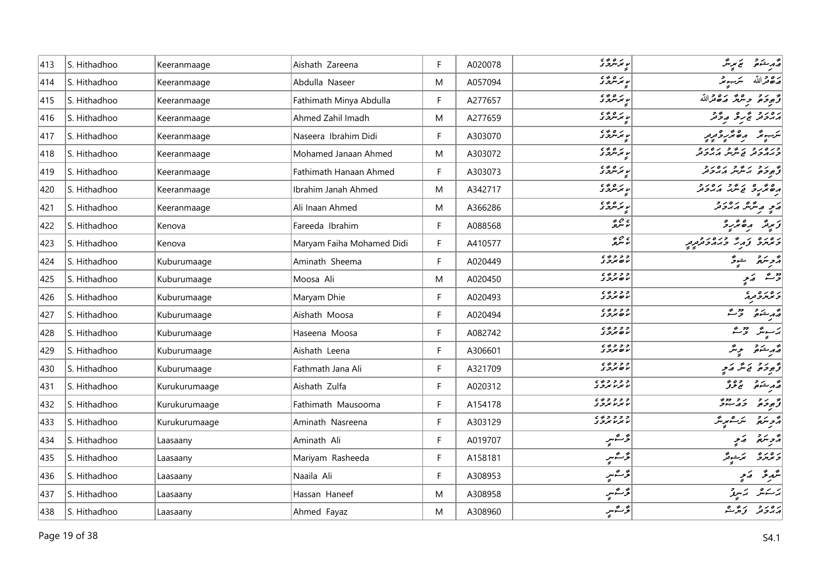| 413 | S. Hithadhoo | Keeranmaage   | Aishath Zareena           | F           | A020078 | لېږېدنه                        | قەرشكۇ توپىر                            |
|-----|--------------|---------------|---------------------------|-------------|---------|--------------------------------|-----------------------------------------|
| 414 | S. Hithadhoo | Keeranmaage   | Abdulla Naseer            | M           | A057094 | بە برەھ ي                      | أرة قرالله ترجيحه                       |
| 415 | S. Hithadhoo | Keeranmaage   | Fathimath Minya Abdulla   | F           | A277657 | لإبرجودي                       | ومجمع وسمع ره قرالله                    |
| 416 | S. Hithadhoo | Keeranmaage   | Ahmed Zahil Imadh         | M           | A277659 | لېو پره دي                     | رەرد ئېرو مۇت                           |
| 417 | S. Hithadhoo | Keeranmaage   | Naseera Ibrahim Didi      | F           | A303070 | لېږېدنه دي.<br>پوسرچينې        | يتزيبونني المصرير وفرقر                 |
| 418 | S. Hithadhoo | Keeranmaage   | Mohamed Janaan Ahmed      | M           | A303072 | لې تر ده دي.<br>په تر تر د د   | כנסניכי היית הסניכ<br>בההכת ביתית ההכת  |
| 419 | S. Hithadhoo | Keeranmaage   | Fathimath Hanaan Ahmed    | F           | A303073 | ر ۵ پر پ                       | و دو رو د ره د و                        |
| 420 | S. Hithadhoo | Keeranmaage   | Ibrahim Janah Ahmed       | ${\sf M}$   | A342717 | لېپرووي                        | دە ئەرە يەش مەدەر                       |
| 421 | S. Hithadhoo | Keeranmaage   | Ali Inaan Ahmed           | M           | A366286 | پر پر پر چ                     | أيمو أير شهر أيرومر                     |
| 422 | S. Hithadhoo | Kenova        | Fareeda Ibrahim           | F           | A088568 | ى شەھ                          | زَىرِنَدْ رەئزىرد                       |
| 423 | S. Hithadhoo | Kenova        | Maryam Faiha Mohamed Didi | F           | A410577 | ى مەھ<br>مەسرچ                 | כמתכ צתל כמתכתתת                        |
| 424 | S. Hithadhoo | Kuburumaage   | Aminath Sheema            | F           | A020449 | د د د » ><br>مان مرد د         | أأرجع المستوجد                          |
| 425 | S. Hithadhoo | Kuburumaage   | Moosa Ali                 | M           | A020450 | 59999                          | وحث المأمج                              |
| 426 | S. Hithadhoo | Kuburumaage   | Maryam Dhie               | F           | A020493 | د د د ه ،<br>مان مرد د         | ر ه ر ه د ه<br>د بر پر د بر             |
| 427 | S. Hithadhoo | Kuburumaage   | Aishath Moosa             | F           | A020494 | 59999                          | أمار منسكرة المحافظة                    |
| 428 | S. Hithadhoo | Kuburumaage   | Haseena Moosa             | F           | A082742 | د و د » ›<br>ما ت مرد د        | ىز سەبىئە <sub>ق</sub> ارىقە            |
| 429 | S. Hithadhoo | Kuburumaage   | Aishath Leena             | F           | A306601 | د د د پ ،<br>مان مرد د         | أقهر يشتموا المحياته                    |
| 430 | S. Hithadhoo | Kuburumaage   | Fathmath Jana Ali         | F           | A321709 | د د د پ ،<br>مان مرد د         | توجدة والتماتين                         |
| 431 | S. Hithadhoo | Kurukurumaage | Aishath Zulfa             | F           | A020312 | د د د د په په<br>ما برما برو ت | د ديد ده ده د ده د                      |
| 432 | S. Hithadhoo | Kurukurumaage | Fathimath Mausooma        | F           | A154178 | د د د د ه ،<br>ما بور بور د    |                                         |
| 433 | S. Hithadhoo | Kurukurumaage | Aminath Nasreena          | $\mathsf F$ | A303129 | د د د د ه ،<br>ما مرم مرو د    | أدويتم التركيبير                        |
| 434 | S. Hithadhoo | Laasaany      | Aminath Ali               | F           | A019707 | ۇ ئەسىر<br>ئ                   | أأترسم أأتمني                           |
| 435 | S. Hithadhoo | Laasaany      | Mariyam Rasheeda          | F           | A158181 | ۇ ئەسىر<br>ئ                   | وبروه<br>ىمەرىشىرەتىر                   |
| 436 | S. Hithadhoo | Laasaany      | Naaila Ali                | F           | A308953 | اقرشقسي                        | شمرقر الأمير                            |
| 437 | S. Hithadhoo | Laasaany      | Hassan Haneef             | M           | A308958 | ۇرگە <sub>س</sub>              | رىكىش رىكى ئەسىمى<br>مەسىمىتىش سىرىمىتى |
| 438 | S. Hithadhoo | Laasaany      | Ahmed Fayaz               | ${\sf M}$   | A308960 | ۇ ئەسىر                        | برەر ئەرب                               |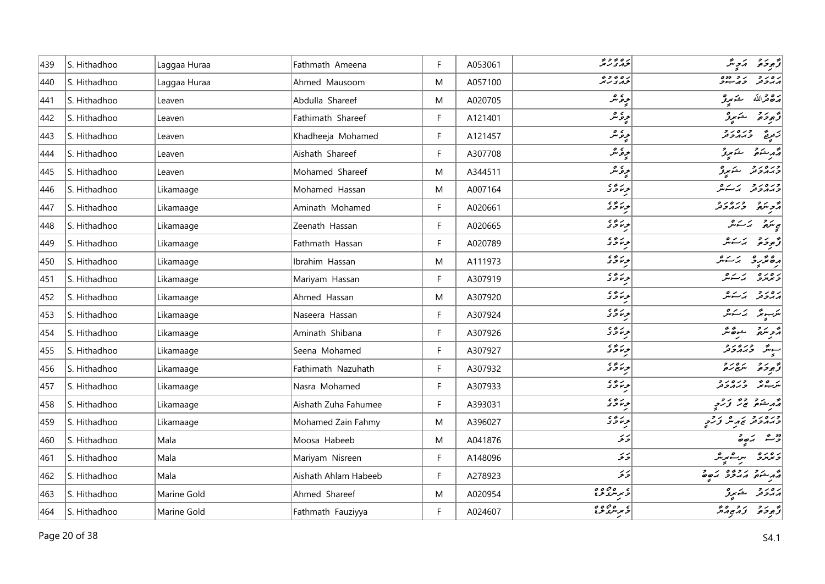| 439 | S. Hithadhoo | Laggaa Huraa | Fathmath Ameena      | F  | A053061 | ر ه ۶ و و<br>نوپر تاریخ | أواودة أرديثر                                                 |
|-----|--------------|--------------|----------------------|----|---------|-------------------------|---------------------------------------------------------------|
| 440 | S. Hithadhoo | Laggaa Huraa | Ahmed Mausoom        | M  | A057100 | ر ه ۶ و ۶<br>مود تر تر  | נפני ני כי                                                    |
| 441 | S. Hithadhoo | Leaven       | Abdulla Shareef      | M  | A020705 | مجيره يثر               | ره والله شمیرو                                                |
| 442 | S. Hithadhoo | Leaven       | Fathimath Shareef    | F  | A121401 | مجيره يثر               | ۇمۇمۇ شېرۇ                                                    |
| 443 | S. Hithadhoo | Leaven       | Khadheeja Mohamed    | F  | A121457 | موځ مګر                 | و ره ر و<br>تر پروتر<br>ر<br>ترورچّ<br>پ                      |
| 444 | S. Hithadhoo | Leaven       | Aishath Shareef      | F  | A307708 | موځ مګر                 | أقهر مشكاتهم المستعمرة                                        |
| 445 | S. Hithadhoo | Leaven       | Mohamed Shareef      | M  | A344511 | مەغ بىر                 | ورەرو ئىيرو                                                   |
| 446 | S. Hithadhoo | Likamaage    | Mohamed Hassan       | M  | A007164 | جەرى                    | ورەرو پەسەر                                                   |
| 447 | S. Hithadhoo | Likamaage    | Aminath Mohamed      | F  | A020661 | ورءء                    | أترجم وره دو                                                  |
| 448 | S. Hithadhoo | Likamaage    | Zeenath Hassan       | F  | A020665 | و رَءٌ وَ د             | يې سَرَهْر - ئەسەسْر                                          |
| 449 | S. Hithadhoo | Likamaage    | Fathmath Hassan      | F. | A020789 | ورپي                    | ۇ بۇرۇ برىكە                                                  |
| 450 | S. Hithadhoo | Likamaage    | Ibrahim Hassan       | M  | A111973 | اوړنو د                 | رەپرىر ئەسەر                                                  |
| 451 | S. Hithadhoo | Likamaage    | Mariyam Hassan       | F  | A307919 | جرئا وي                 | ووده برسه                                                     |
| 452 | S. Hithadhoo | Likamaage    | Ahmed Hassan         | M  | A307920 | جرئا وي                 | رەرو پەسكىر                                                   |
| 453 | S. Hithadhoo | Likamaage    | Naseera Hassan       | F  | A307924 | جرئائزى                 | لترسيعي" المركباهل                                            |
| 454 | S. Hithadhoo | Likamaage    | Aminath Shibana      | F  | A307926 | جرنامی                  | أأترسكم والمستوقف متكر                                        |
| 455 | S. Hithadhoo | Likamaage    | Seena Mohamed        | F  | A307927 | جەرى                    | سوش وره دو                                                    |
| 456 | S. Hithadhoo | Likamaage    | Fathimath Nazuhath   | F  | A307932 | ورَءٌ                   | و دو سره د و                                                  |
| 457 | S. Hithadhoo | Likamaage    | Nasra Mohamed        | F. | A307933 | لجرندمي                 | ش دره دره                                                     |
| 458 | S. Hithadhoo | Likamaage    | Aishath Zuha Fahumee | F  | A393031 | اوړنونو                 | وأرسكتم بالمجاثر وكراحي                                       |
| 459 | S. Hithadhoo | Likamaage    | Mohamed Zain Fahmy   | M  | A396027 | ورَءٌ                   | 37073 37073                                                   |
| 460 | S. Hithadhoo | Mala         | Moosa Habeeb         | M  | A041876 | ىز                      | $rac{2}{\infty}$ $rac{2}{\sim}$ $rac{2}{\sim}$ $rac{2}{\sim}$ |
| 461 | S. Hithadhoo | Mala         | Mariyam Nisreen      | F  | A148096 | ىزى                     | ويروو سرعيري                                                  |
| 462 | S. Hithadhoo | Mala         | Aishath Ahlam Habeeb | F  | A278923 | ىزى                     | התשים גדור הםם                                                |
| 463 | S. Hithadhoo | Marine Gold  | Ahmed Shareef        | M  | A020954 | ې موړه وه<br>حرم مرکز د | رەرد خىرو                                                     |
| 464 | S. Hithadhoo | Marine Gold  | Fathmath Fauziyya    | F  | A024607 | الخبر مقومة             | وٌ وَدَ وَدَ مِنْ                                             |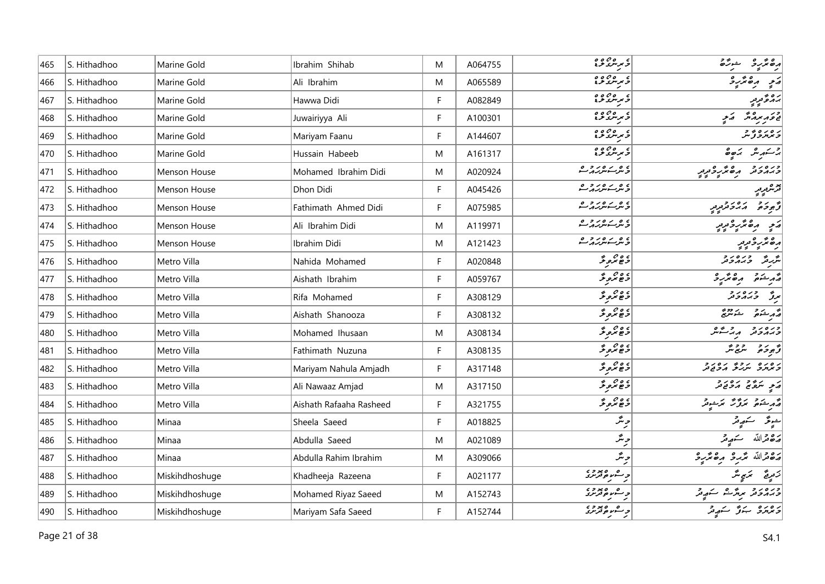| 465 | S. Hithadhoo | Marine Gold    | Ibrahim Shihab          | M         | A064755 | ې په ۹۵۵ وه<br>د سرسرۍ مخ            | سنبوره<br>دە ئەرچ                                |
|-----|--------------|----------------|-------------------------|-----------|---------|--------------------------------------|--------------------------------------------------|
| 466 | S. Hithadhoo | Marine Gold    | Ali Ibrahim             | M         | A065589 | ې په ۱۵۵۵ و<br>خ <sup>ر</sup> سر نړۍ | ړې د هڅريز                                       |
| 467 | S. Hithadhoo | Marine Gold    | Hawwa Didi              | F         | A082849 | وبرمروه                              | پروژنور<br>  پروژنور                             |
| 468 | S. Hithadhoo | Marine Gold    | Juwairiyya Ali          | F         | A100301 | ې مەمۇم<br>مەسمەم                    | כן<br>בסקיקות<br>ەتىر                            |
| 469 | S. Hithadhoo | Marine Gold    | Mariyam Faanu           | F         | A144607 | ې په ۹۵۵ وه<br>د سرسرۍ مخه           | ر ه ر ه و و<br><del>د</del> بربرو ژ س            |
| 470 | S. Hithadhoo | Marine Gold    | Hussain Habeeb          | M         | A161317 | ې په ۵۵موه<br>د سرسرۍ م              | ج ڪري جي ص                                       |
| 471 | S. Hithadhoo | Menson House   | Mohamed Ibrahim Didi    | ${\sf M}$ | A020924 | <sup>ى</sup> مەسەئەرىر ق             | כמה כני תפתעבות                                  |
| 472 | S. Hithadhoo | Menson House   | Dhon Didi               | F         | A045426 | <sup>ى م</sup> ەر <i>مەر جە</i> ر    | پر م <sub>ربور</sub><br>مستق                     |
| 473 | S. Hithadhoo | Menson House   | Fathimath Ahmed Didi    | F         | A075985 | <sup>ى</sup> مەر <i>مەر جە</i> ر     |                                                  |
| 474 | S. Hithadhoo | Menson House   | Ali Ibrahim Didi        | M         | A119971 | ءِ م <i>وسکورید م</i>                | پر ده تر دوسر<br>  پر ده تر دوسر                 |
| 475 | S. Hithadhoo | Menson House   | Ibrahim Didi            | M         | A121423 | <sup>ى</sup> مەسەئەر ئەر             | <br>  د ځه تر په د ويوبو                         |
| 476 | S. Hithadhoo | Metro Villa    | Nahida Mohamed          | F         | A020848 | دءيموقه                              | و رە ر د<br>تر پر تر تر<br>ىتزرىتر               |
| 477 | S. Hithadhoo | Metro Villa    | Aishath Ibrahim         | F         | A059767 | وعوعر                                | أمرشوه وكالمره                                   |
| 478 | S. Hithadhoo | Metro Villa    | Rifa Mohamed            | F         | A308129 | ه ۵۵۵ مخر<br><i>د ه</i> نگرمرمگر     | بر وره رو<br>برق وبردونر                         |
| 479 | S. Hithadhoo | Metro Villa    | Aishath Shanooza        | F         | A308132 | <sup>ي و م</sup> رمر گر              | و در دور<br>درگردشوه شوسری                       |
| 480 | S. Hithadhoo | Metro Villa    | Mohamed Ihusaan         | M         | A308134 | ه ه هم ه محر                         | ورەرو مەئسىر                                     |
| 481 | S. Hithadhoo | Metro Villa    | Fathimath Nuzuna        | F         | A308135 | ئۇغۇغۇغۇ                             | ۇ بوخۇ ھەم بىر                                   |
| 482 | S. Hithadhoo | Metro Villa    | Mariyam Nahula Amjadh   | F         | A317148 | ە ھەجمەمە ئۇ                         | ג סגם גבוב גםגב<br><mark>כמחב יינגל הכ</mark> בב |
| 483 | S. Hithadhoo | Metro Villa    | Ali Nawaaz Amjad        | M         | A317150 | وعوعر                                | أە ئېچ شركة مدىر دىكر                            |
| 484 | S. Hithadhoo | Metro Villa    | Aishath Rafaaha Rasheed | F         | A321755 | ە ھەجمى <i>رى</i> گە                 | ەگەرشۇم كۆڭ كەشۈش<br>مەرشۇم كۆڭ كەشۈش            |
| 485 | S. Hithadhoo | Minaa          | Sheela Saeed            | F         | A018825 | حريثر                                |                                                  |
| 486 | S. Hithadhoo | Minaa          | Abdulla Saeed           | ${\sf M}$ | A021089 | و مگر                                | حَدَّةَ اللَّهُ سَمَّ صَدَّ                      |
| 487 | S. Hithadhoo | Minaa          | Abdulla Rahim Ibrahim   | ${\sf M}$ | A309066 | و متر                                | رەمداللە ئەرو مەئزىد                             |
| 488 | S. Hithadhoo | Miskihdhoshuge | Khadheeja Razeena       | F         | A021177 | <br> حر سور موفر مرد                 | تزمريح تتمري مكر                                 |
| 489 | S. Hithadhoo | Miskihdhoshuge | Mohamed Riyaz Saeed     | M         | A152743 | و په وېوو ،<br>تر سره ترېرد          | ورەرو برېژے شهرتر                                |
| 490 | S. Hithadhoo | Miskihdhoshuge | Mariyam Safa Saeed      | F         | A152744 | د صوره ده د د ،<br>د سوره تر رو      | دەرە بەر ئەر                                     |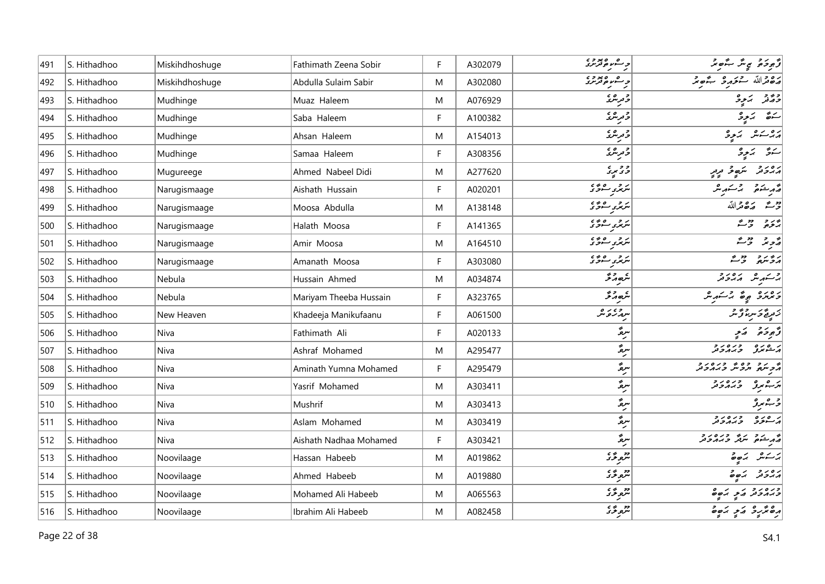| 491 | S. Hithadhoo | Miskihdhoshuge | Fathimath Zeena Sobir  | F  | A302079 | د مصر ه مورد و ،<br>  د مصر هو تعریبری         | توجود بي تربيعي                         |
|-----|--------------|----------------|------------------------|----|---------|------------------------------------------------|-----------------------------------------|
| 492 | S. Hithadhoo | Miskihdhoshuge | Abdulla Sulaim Sabir   | M  | A302080 | احر صر معروج<br>احر سور مرمزد                  | رە داللە گے خرىر ئىس ئىچ                |
| 493 | S. Hithadhoo | Mudhinge       | Muaz Haleem            | M  | A076929 | وترشر                                          | دوود برود                               |
| 494 | S. Hithadhoo | Mudhinge       | Saba Haleem            | F  | A100382 | وترشح                                          | سَنَ سَنَ بَرِ دِ                       |
| 495 | S. Hithadhoo | Mudhinge       | Ahsan Haleem           | M  | A154013 | وترشر                                          | رە بەشكىر ئېچە                          |
| 496 | S. Hithadhoo | Mudhinge       | Samaa Haleem           | F  | A308356 | وترسمه                                         | ئەنۋە بەردە                             |
| 497 | S. Hithadhoo | Mugureege      | Ahmed Nabeel Didi      | M  | A277620 | و و<br>تر <sub>که مح</sub> رک                  | رورد شهر وبد                            |
| 498 | S. Hithadhoo | Narugismaage   | Aishath Hussain        | F  | A020201 |                                                | أقهر شوكر في مكرم المحمد                |
| 499 | S. Hithadhoo | Narugismaage   | Moosa Abdulla          | M  | A138148 | ىر بر بەر بەر بەر<br>سىر بىر بەر بەر           | وحث مَه صَدَاللّه                       |
| 500 | S. Hithadhoo | Narugismaage   | Halath Moosa           | F. | A141365 |                                                | پر د ديگ                                |
| 501 | S. Hithadhoo | Narugismaage   | Amir Moosa             | M  | A164510 | يزېږي سفرځ د                                   | أروبر وحرث                              |
| 502 | S. Hithadhoo | Narugismaage   | Amanath Moosa          | F  | A303080 | ير چمه چم چم چم                                | روبرو ووث                               |
| 503 | S. Hithadhoo | Nebula         | Hussain Ahmed          | M  | A034874 | تكرجونه                                        | ج سکه شهر از مرکز مرد                   |
| 504 | S. Hithadhoo | Nebula         | Mariyam Theeba Hussain | F  | A323765 | تكرجونه                                        | - 2010 من المسكن المسكن                 |
| 505 | S. Hithadhoo | New Heaven     | Khadeeja Manikufaanu   | F  | A061500 | سرد ، د ه                                      | ئە <sub>قب</sub> ەقچە <i>قەتتى</i> ر    |
| 506 | S. Hithadhoo | Niva           | Fathimath Ali          | F  | A020133 | سرچٌ                                           | ومجودة وكمع                             |
| 507 | S. Hithadhoo | Niva           | Ashraf Mohamed         | M  | A295477 | سرچ                                            | ر وره وره دو<br>مشمر ورمرونر            |
| 508 | S. Hithadhoo | Niva           | Aminath Yumna Mohamed  | F  | A295479 | سرچ                                            | و دو وه وده دوره<br>مرد شي مرد ش در مرد |
| 509 | S. Hithadhoo | Niva           | Yasrif Mohamed         | M  | A303411 | سرچ                                            | أترجع وبرورد                            |
| 510 | S. Hithadhoo | Niva           | Mushrif                | M  | A303413 | سرچ                                            | د مه مرو<br>د سه مرو                    |
| 511 | S. Hithadhoo | Niva           | Aslam Mohamed          | M  | A303419 | سرچ                                            | ر وره دره در<br>ړکرو درگردن             |
| 512 | S. Hithadhoo | Niva           | Aishath Nadhaa Mohamed | F  | A303421 | سرچٌ                                           |                                         |
| 513 | S. Hithadhoo | Noovilaage     | Hassan Habeeb          | M  | A019862 | دد<br>متره مرد                                 | يُرَ سَوَسَى بِرَحِ صَ                  |
| 514 | S. Hithadhoo | Noovilaage     | Ahmed Habeeb           | M  | A019880 | دو په <sup>پ</sup> ه<br>سر <sub>گرم</sub> وگری | رەرو بەرە                               |
| 515 | S. Hithadhoo | Noovilaage     | Mohamed Ali Habeeb     | M  | A065563 | دد پر ،<br>سره څرن                             |                                         |
| 516 | S. Hithadhoo | Noovilaage     | Ibrahim Ali Habeeb     | M  | A082458 | دد<br>متر <sub>عر</sub> و د                    | رە ئەر ئەس ئەھ                          |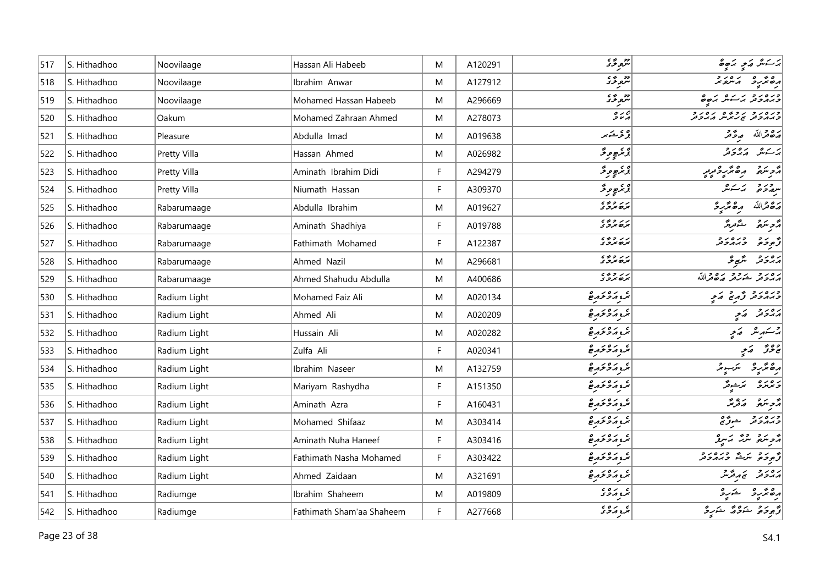| 517 | S. Hithadhoo | Noovilaage   | Hassan Ali Habeeb         | M  | A120291 | دد<br>متر <sub>جو</sub> بحری | يُا سَاسٌ ۾َ جِي پُرُوهُ                     |
|-----|--------------|--------------|---------------------------|----|---------|------------------------------|----------------------------------------------|
| 518 | S. Hithadhoo | Noovilaage   | Ibrahim Anwar             | M  | A127912 | دد<br>سره مرگ                | رەپرىر ئەرەپ                                 |
| 519 | S. Hithadhoo | Noovilaage   | Mohamed Hassan Habeeb     | M  | A296669 | دد<br>متر <sub>جو</sub> بحری | ورەرو رىمى ئەھ                               |
| 520 | S. Hithadhoo | Oakum        | Mohamed Zahraan Ahmed     | M  | A278073 | چره                          | כנסג כ-גרשים - גסג כ<br>כמהכת-גלמית המכת     |
| 521 | S. Hithadhoo | Pleasure     | Abdulla Imad              | M  | A019638 | وكاشكاسر                     | رەقراللە مەرقىر                              |
| 522 | S. Hithadhoo | Pretty Villa | Hassan Ahmed              | M  | A026982 | إدبرج وقر                    | يز کشش امرچ وجر                              |
| 523 | S. Hithadhoo | Pretty Villa | Aminath Ibrahim Didi      | F  | A294279 | إدبرج وقر                    | أأرمنهم وكالأروبور                           |
| 524 | S. Hithadhoo | Pretty Villa | Niumath Hassan            | F  | A309370 | إدبرءٍ وقر                   | سەدرە ئەسكىگە                                |
| 525 | S. Hithadhoo | Rabarumaage  | Abdulla Ibrahim           | M  | A019627 | ر ر د » ،<br>بره برو د       | برە ئۆرۈ<br>بر25 الله                        |
| 526 | S. Hithadhoo | Rabarumaage  | Aminath Shadhiya          | F  | A019788 | ر ر د ه ،<br>بره برو د       | ے تھ <i>و</i> رگر<br>أرمز برد                |
| 527 | S. Hithadhoo | Rabarumaage  | Fathimath Mohamed         | F. | A122387 | ر ر د د »<br>برن برو د       | و ره ر د<br>تربر پر تر<br>ا تو بر د<br>ا     |
| 528 | S. Hithadhoo | Rabarumaage  | Ahmed Nazil               | M  | A296681 | ر ر د » ،<br>بره برو د       |                                              |
| 529 | S. Hithadhoo | Rabarumaage  | Ahmed Shahudu Abdulla     | M  | A400686 | ر ر د » ،<br>بره برو د       | بره برو بروو بره و الله                      |
| 530 | S. Hithadhoo | Radium Light | Mohamed Faiz Ali          | M  | A020134 | يجع وكالحرام                 |                                              |
| 531 | S. Hithadhoo | Radium Light | Ahmed Ali                 | M  | A020209 |                              | ړ ور د کړې                                   |
| 532 | S. Hithadhoo | Radium Light | Hussain Ali               | M  | A020282 | پروگرویج                     | برسكريش كذمي                                 |
| 533 | S. Hithadhoo | Radium Light | Zulfa Ali                 | F. | A020341 | بمور د څرمو                  | ة وَوَّدَ الْمَاسِ                           |
| 534 | S. Hithadhoo | Radium Light | Ibrahim Naseer            | M  | A132759 | بمورة حرر هي                 | رە ئەر ئىسىر                                 |
| 535 | S. Hithadhoo | Radium Light | Mariyam Rashydha          | F  | A151350 | يجع وكالحرام                 | ر ه بر ه<br><del>ر</del> بر بر ژ<br>ىمەھىتىر |
| 536 | S. Hithadhoo | Radium Light | Aminath Azra              | F  | A160431 | بمورة وخمره                  | ړې سره پره پر                                |
| 537 | S. Hithadhoo | Radium Light | Mohamed Shifaaz           | M  | A303414 | بموتر و خرم ه                | ورەرو ھۆتى                                   |
| 538 | S. Hithadhoo | Radium Light | Aminath Nuha Haneef       | F  | A303416 |                              | أأرو المروج والمستعمل                        |
| 539 | S. Hithadhoo | Radium Light | Fathimath Nasha Mohamed   | F  | A303422 | بمورة حرمره                  | و د د کرک وره د د                            |
| 540 | S. Hithadhoo | Radium Light | Ahmed Zaidaan             | M  | A321691 | بموز حر خرم ه                | גפלב המבנית                                  |
| 541 | S. Hithadhoo | Radiumge     | Ibrahim Shaheem           | M  | A019809 | ې ده په<br>مرد تر د د        | رەترىرو شەرو                                 |
| 542 | S. Hithadhoo | Radiumge     | Fathimath Sham'aa Shaheem | F. | A277668 | ې په ده دی<br>مربو د ک       | و دو ده ده کرد                               |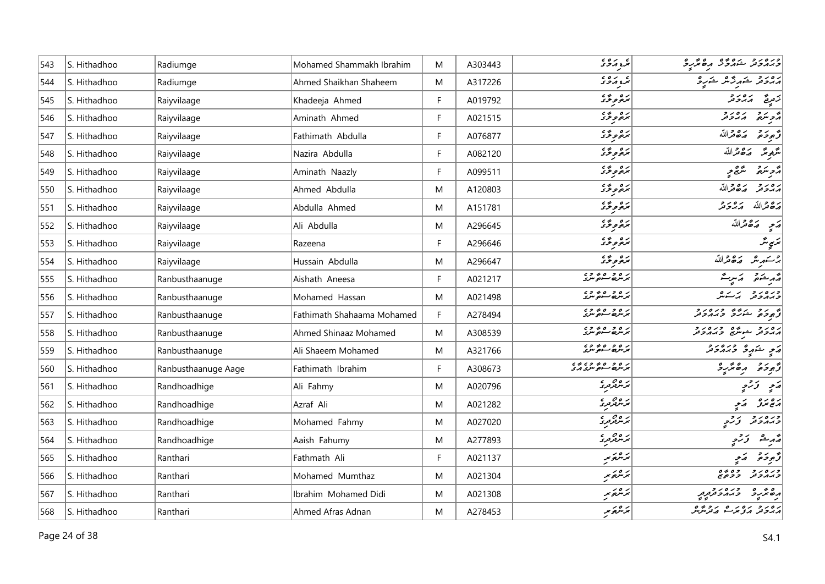| 543 | S. Hithadhoo | Radiumge            | Mohamed Shammakh Ibrahim   | M  | A303443 | بمع وكروى                         | ورەرو رەۋە مەئرى                                         |
|-----|--------------|---------------------|----------------------------|----|---------|-----------------------------------|----------------------------------------------------------|
| 544 | S. Hithadhoo | Radiumge            | Ahmed Shaikhan Shaheem     | M  | A317226 | ې د ده د<br>مرو تر چر             | رەرو خىرىگىر خىرو                                        |
| 545 | S. Hithadhoo | Raiyvilaage         | Khadeeja Ahmed             | F. | A019792 | برە و ڈی                          | كَمَدِيعٌ   مَا يَدْوَنْدُ                               |
| 546 | S. Hithadhoo | Raiyvilaage         | Aminath Ahmed              | F. | A021515 | ره و د ،<br>مره د د د             | بر 2 پر 15<br>مربر <del>3</del> تو<br>أثرم يترة          |
| 547 | S. Hithadhoo | Raiyvilaage         | Fathimath Abdulla          | F  | A076877 | ىرە ھەتىي<br>ئىرە ھەرىخە          | و برد ره دالله                                           |
| 548 | S. Hithadhoo | Raiyvilaage         | Nazira Abdulla             | F  | A082120 | ره<br>بر <sub>هو</sub> مونور      | سَّعْرِ مَدَّ مَدَّاللَّهُ                               |
| 549 | S. Hithadhoo | Raiyvilaage         | Aminath Naazly             | F. | A099511 | بره و پر ،<br>مره و پژی           | أأترجع التلقيم                                           |
| 550 | S. Hithadhoo | Raiyvilaage         | Ahmed Abdulla              | M  | A120803 | ره<br>بر <sub>هو</sub> مونور      | م و د م م م الله                                         |
| 551 | S. Hithadhoo | Raiyvilaage         | Abdulla Ahmed              | M  | A151781 | ر ه<br>برگوموڅر                   | صقعرالله<br>پروژو                                        |
| 552 | S. Hithadhoo | Raiyvilaage         | Ali Abdulla                | M  | A296645 | برە و ڈی                          | أصحي صكاه متعاللة                                        |
| 553 | S. Hithadhoo | Raiyvilaage         | Razeena                    | F. | A296646 | برە و ڈی                          | ىمە پىگر                                                 |
| 554 | S. Hithadhoo | Raiyvilaage         | Hussain Abdulla            | M  | A296647 | ر ه<br>برگوموڅر                   | جرسكريثر الاقاقدالله                                     |
| 555 | S. Hithadhoo | Ranbusthaanuge      | Aishath Aneesa             | F  | A021217 | ر و و و ه و و ،<br>بر سره سوه سرد | أقرم شوقو أترسيس                                         |
| 556 | S. Hithadhoo | Ranbusthaanuge      | Mohamed Hassan             | M  | A021498 | ر و و و ه و و ،<br>بر سره سوه سرد | ورەرو برىش                                               |
| 557 | S. Hithadhoo | Ranbusthaanuge      | Fathimath Shahaama Mohamed | F. | A278494 | ر ه د ه ه و و ،<br>برس            | و د د شرکه دره د د                                       |
| 558 | S. Hithadhoo | Ranbusthaanuge      | Ahmed Shinaaz Mohamed      | M  | A308539 | ر و و و ه و و ،<br>بر سره سوه سرد | رور و شوشی ورور و<br>مرکز در شوشی وبرمرونر               |
| 559 | S. Hithadhoo | Ranbusthaanuge      | Ali Shaeem Mohamed         | M  | A321766 | ر و و و ه و و ،<br>برس ه سوه سرد  | أرو الشرار وبروارد                                       |
| 560 | S. Hithadhoo | Ranbusthaanuge Aage | Fathimath Ibrahim          | F  | A308673 | ر ه و ه ه و ، و ،<br>برس          | ومجددة مقتررة                                            |
| 561 | S. Hithadhoo | Randhoadhige        | Ali Fahmy                  | M  | A020796 | بر و <i>ہ</i><br>بر نروگرور       | أريمو أورقمني                                            |
| 562 | S. Hithadhoo | Randhoadhige        | Azraf Ali                  | M  | A021282 | بر و <i>ہ</i><br>بر مربز دری      | ړه پرو کمی                                               |
| 563 | S. Hithadhoo | Randhoadhige        | Mohamed Fahmy              | M  | A027020 | ر وہ<br> ترسرفربری                | ورەرو زور                                                |
| 564 | S. Hithadhoo | Randhoadhige        | Aaish Fahumy               | M  | A277893 | ر وہ<br>بر سربر دیری              | أوجمه وكرحي                                              |
| 565 | S. Hithadhoo | Ranthari            | Fathmath Ali               | F. | A021137 | ابريقهوسر                         | وًجوحا وكمع                                              |
| 566 | S. Hithadhoo | Ranthari            | Mohamed Mumthaz            | M  | A021304 | برەر                              | 0 4 0 3 7 7 0 7 7<br>C 2 0 7 7 7 7 7 7 7                 |
| 567 | S. Hithadhoo | Ranthari            | Ibrahim Mohamed Didi       | M  | A021308 | برمريم                            | و ره ر و د ورمړ<br>ەر ھەتمەر 2<br>س                      |
| 568 | S. Hithadhoo | Ranthari            | Ahmed Afras Adnan          | M  | A278453 | ابتر يثرهرسر                      | ره ر د به د م د د به در د و.<br>م.پروتر م.تر بر ب م.تر ش |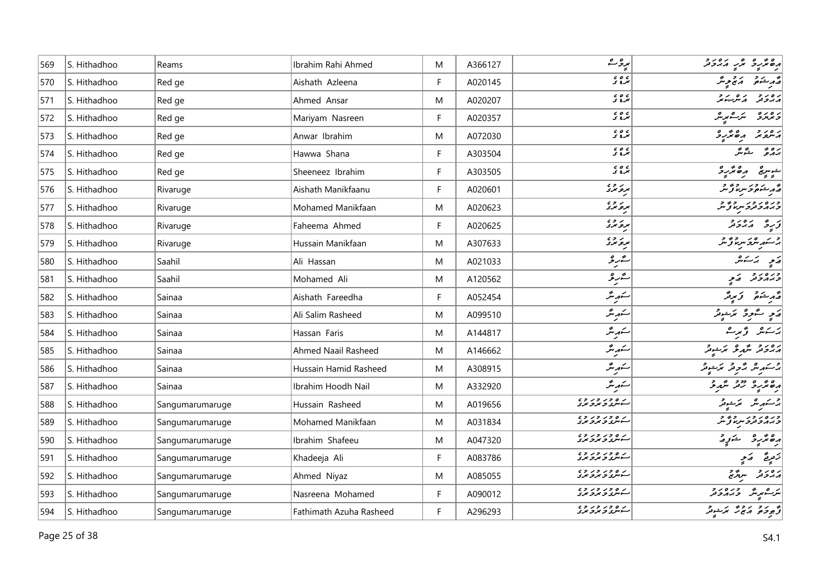| 569 | S. Hithadhoo | Reams           | Ibrahim Rahi Ahmed      | M  | A366127 | ابروث                                         | رە ئەر ئەر ئەرەر د                                         |
|-----|--------------|-----------------|-------------------------|----|---------|-----------------------------------------------|------------------------------------------------------------|
| 570 | S. Hithadhoo | Red ge          | Aishath Azleena         | F  | A020145 | ړه د<br>مرغ ک                                 | ۇرىشكە رېم بېشر                                            |
| 571 | S. Hithadhoo | Red ge          | Ahmed Ansar             | M  | A020207 | ړه د<br>مرغ ک                                 | بر ٥ پر و<br>م <i>ر</i> بر <del>و</del> تر<br>ىر نەرىبە ئە |
| 572 | S. Hithadhoo | Red ge          | Mariyam Nasreen         | F  | A020357 | ې ه ې<br>مونځ ک                               | ىئرىشمېرىتر<br>ر ه ر ه<br><del>ر</del> بربرگ               |
| 573 | S. Hithadhoo | Red ge          | Anwar Ibrahim           | M  | A072030 | ې ه ې<br>مونځ ک                               | وە ئۈرۈ<br>بر ه پر ج<br>مرغونتر                            |
| 574 | S. Hithadhoo | Red ge          | Hawwa Shana             | F  | A303504 | ې ه ې<br>مونځ ک                               | شَدُّمَّر<br>برەپچ                                         |
| 575 | S. Hithadhoo | Red ge          | Sheeneez Ibrahim        | F  | A303505 | ړه د<br>مرغ ک                                 | ەھ ئۈرۈ<br>اڪوسرچ<br>ڪ                                     |
| 576 | S. Hithadhoo | Rivaruge        | Aishath Manikfaanu      | F  | A020601 | ر و ،<br>موح موی                              | ۇر شەۋ ئەر ئۇ ئەر                                          |
| 577 | S. Hithadhoo | Rivaruge        | Mohamed Manikfaan       | M  | A020623 | ر و ،<br>موح موی                              | وره ر ور<br>د بر د تر تر تر تر تر تر                       |
| 578 | S. Hithadhoo | Rivaruge        | Faheema Ahmed           | F. | A020625 | ر و ،<br>موح موی                              | كوريح مدرور                                                |
| 579 | S. Hithadhoo | Rivaruge        | Hussain Manikfaan       | M  | A307633 | مریح مرد                                      | 2 سەر بىرى ئىرىدۇ ئەش                                      |
| 580 | S. Hithadhoo | Saahil          | Ali Hassan              | M  | A021033 | سەر بۇ                                        | أقدم أناسك                                                 |
| 581 | S. Hithadhoo | Saahil          | Mohamed Ali             | M  | A120562 | سەر بۇ                                        | ورەرو كەيپ                                                 |
| 582 | S. Hithadhoo | Sainaa          | Aishath Fareedha        | F  | A052454 | سەرىتر                                        | وكرماشكم وتمير                                             |
| 583 | S. Hithadhoo | Sainaa          | Ali Salim Rasheed       | M  | A099510 | سەرىتر                                        | أړنې څرنو ټرمونه                                           |
| 584 | S. Hithadhoo | Sainaa          | Hassan Faris            | M  | A144817 | سەرىتر                                        | ىز سىنقى ئۇيرىشە                                           |
| 585 | S. Hithadhoo | Sainaa          | Ahmed Naail Rasheed     | M  | A146662 | سەرىتر                                        | أرور ومحمد ومنفور                                          |
| 586 | S. Hithadhoo | Sainaa          | Hussain Hamid Rasheed   | M  | A308915 | سەرىتر<br>—                                   | بر کے مربر برگرد کر کے مرکز                                |
| 587 | S. Hithadhoo | Sainaa          | Ibrahim Hoodh Nail      | M  | A332920 | سەمەتىر                                       | رە ئەر دىن شەر                                             |
| 588 | S. Hithadhoo | Sangumarumaruge | Hussain Rasheed         | M  | A019656 | ر ه و ر و ر و ،<br>سوسری تر <del>و</del> ترو  | برسكهر مكرشوقر                                             |
| 589 | S. Hithadhoo | Sangumarumaruge | Mohamed Manikfaan       | M  | A031834 | ر ه و د و د و و<br>ستوسري <del>بر</del> و بود | ور ه ر ور<br><i>د ب</i> رمرترک <i>ی سربا</i> تو س          |
| 590 | S. Hithadhoo | Sangumarumaruge | Ibrahim Shafeeu         | M  | A047320 | ر ۵ ۶ ۶ ۶ ۶ و ۶<br>سوسری <del>ت</del> رن ترو  | رە ئەر ئىنى ئ                                              |
| 591 | S. Hithadhoo | Sangumarumaruge | Khadeeja Ali            | F. | A083786 | ر ده و د و د و د<br>ستوسری مرد مرد            | تزمرقے الگامی                                              |
| 592 | S. Hithadhoo | Sangumarumaruge | Ahmed Niyaz             | M  | A085055 | ر ه و د و د و و و<br>سومبر بر برو بور         | رەرو سۆر                                                   |
| 593 | S. Hithadhoo | Sangumarumaruge | Nasreena Mohamed        | F. | A090012 | ر ه و د و د و و<br>سومبرو مرد                 | ىرگەپرىگە <i>دىم</i> ەرد                                   |
| 594 | S. Hithadhoo | Sangumarumaruge | Fathimath Azuha Rasheed | F  | A296293 | ے 2010 ور 20<br>سے مترکب محرک محری            | أو رو روژ پر دو                                            |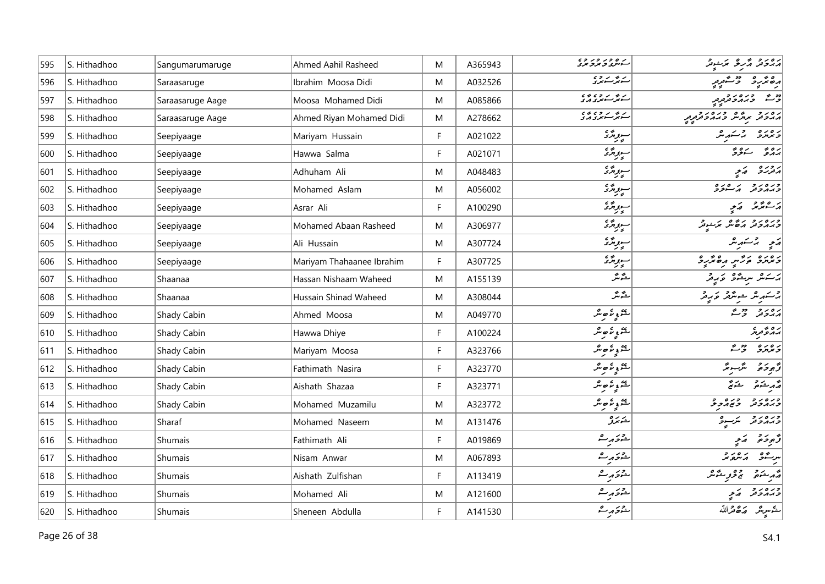| 595 | S. Hithadhoo | Sangumarumaruge  | <b>Ahmed Aahil Rasheed</b> | M           | A365943 | ر ده و د و د و د<br>سوسرۍ <del>ت</del> ر تر | أرود و المرو المسوار                         |
|-----|--------------|------------------|----------------------------|-------------|---------|---------------------------------------------|----------------------------------------------|
| 596 | S. Hithadhoo | Saraasaruge      | Ibrahim Moosa Didi         | M           | A032526 | ئە ئەرگە ئەرى                               | رە ئەر ئەس ئەربىر<br>بەھ ئەر ئەن ئ           |
| 597 | S. Hithadhoo | Saraasaruge Aage | Moosa Mohamed Didi         | M           | A085866 | ر پر د د د د د د د<br>سوټرسوټرۍ درې         |                                              |
| 598 | S. Hithadhoo | Saraasaruge Aage | Ahmed Riyan Mohamed Didi   | M           | A278662 | ر پر در و ، پر ،<br>سوئر سوئبری پر ی        | גם גב תוצים בגם בתובת.<br>הגבת תוצית בגהכתית |
| 599 | S. Hithadhoo | Seepiyaage       | Mariyam Hussain            | F.          | A021022 | ا سوپوری<br>اسوپوری                         | ومره ورمره                                   |
| 600 | S. Hithadhoo | Seepiyaage       | Hawwa Salma                | F.          | A021071 | –وړ پرې<br>په ر                             | رەپ سەھ                                      |
| 601 | S. Hithadhoo | Seepiyaage       | Adhuham Ali                | M           | A048483 | سوږ پرې<br>په تر                            | پروژی که پر                                  |
| 602 | S. Hithadhoo | Seepiyaage       | Mohamed Aslam              | M           | A056002 | سە بورگرى<br>ئ                              | ورەر د رەرە                                  |
| 603 | S. Hithadhoo | Seepiyaage       | Asrar Ali                  | F           | A100290 | سوږونه <sup>ه</sup>                         | ېر هېڅنگ پرې                                 |
| 604 | S. Hithadhoo | Seepiyaage       | Mohamed Abaan Rasheed      | M           | A306977 | سەرىۋى<br>ئ <sup>ۆ</sup> ر                  |                                              |
| 605 | S. Hithadhoo | Seepiyaage       | Ali Hussain                | M           | A307724 | ا سوپوری<br>اسوپوری                         | ە ئەسىمبە                                    |
| 606 | S. Hithadhoo | Seepiyaage       | Mariyam Thahaanee Ibrahim  | F           | A307725 | ا سوپوری<br>اسوپوری                         | גם גם גל <sub>ית ה</sub> סתקב                |
| 607 | S. Hithadhoo | Shaanaa          | Hassan Nishaam Waheed      | M           | A155139 | شَرْسَّر                                    | يُاسَمَّسُ سِيشُوْ أَوَبِيْتُرْ              |
| 608 | S. Hithadhoo | Shaanaa          | Hussain Shinad Waheed      | M           | A308044 | شَہ شَر                                     | چرىكەر ئىگە ئىشتىر كەيدىگە                   |
| 609 | S. Hithadhoo | Shady Cabin      | Ahmed Moosa                | M           | A049770 | يقوم ھېر                                    | رەر دىگە                                     |
| 610 | S. Hithadhoo | Shady Cabin      | Hawwa Dhiye                | $\mathsf F$ | A100224 | يشوء وهر                                    | برە ئەربى                                    |
| 611 | S. Hithadhoo | Shady Cabin      | Mariyam Moosa              | F           | A323766 | يقوم ئەھ                                    | د ه ده در م                                  |
| 612 | S. Hithadhoo | Shady Cabin      | Fathimath Nasira           | F           | A323770 | يسمونه                                      | قەردە ئىر                                    |
| 613 | S. Hithadhoo | Shady Cabin      | Aishath Shazaa             | F           | A323771 | يشوء وأ                                     | وكرم شكوم الشكامج                            |
| 614 | S. Hithadhoo | Shady Cabin      | Mohamed Muzamilu           | M           | A323772 | يشيء وشر                                    | כנסני כנסיב                                  |
| 615 | S. Hithadhoo | Sharaf           | Mohamed Naseem             | M           | A131476 | ر<br>شەھرىق                                 | ورەرو سرب                                    |
| 616 | S. Hithadhoo | Shumais          | Fathimath Ali              | F           | A019869 | ش <i>تر د پر</i> شه                         | و څو څخه ورم                                 |
| 617 | S. Hithadhoo | Shumais          | Nisam Anwar                | M           | A067893 | مشتر <i>كتر م</i> ش                         | سرسمو رەرد                                   |
| 618 | S. Hithadhoo | Shumais          | Aishath Zulfishan          | F           | A113419 | يەنجەر م                                    | ۇرىشى تۈرشەر                                 |
| 619 | S. Hithadhoo | Shumais          | Mohamed Ali                | M           | A121600 | مشتر <i>كتر م</i> شر                        | ورەر دېږ                                     |
| 620 | S. Hithadhoo | Shumais          | Sheneen Abdulla            | F           | A141530 | ىش <sub>ۇ تە</sub> رگ                       | شمسر <i>ین مقوم ا</i> لله                    |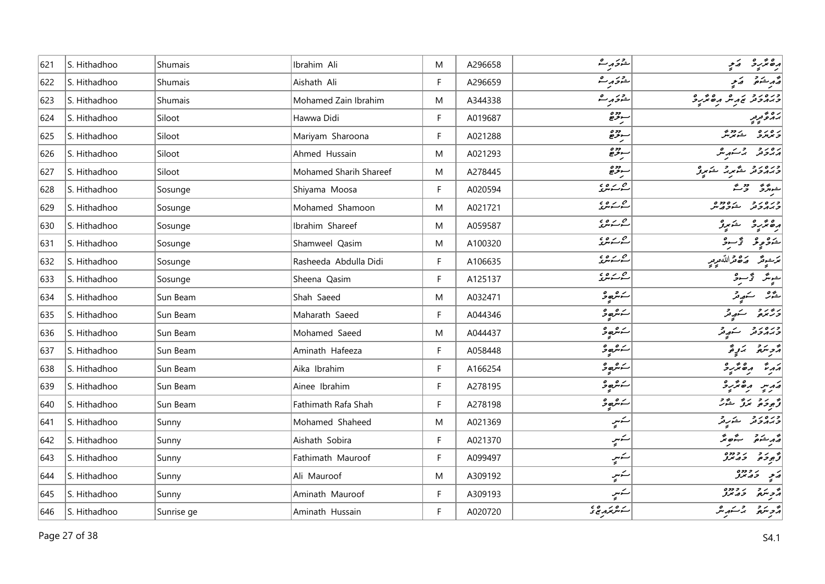| 621 | S. Hithadhoo | Shumais    | Ibrahim Ali            | M  | A296658 | شۇ <sub>م</sub> رى<br>سىر |                                                                                                                                                                                                                                                                                                                                                                                                                                                                               |
|-----|--------------|------------|------------------------|----|---------|---------------------------|-------------------------------------------------------------------------------------------------------------------------------------------------------------------------------------------------------------------------------------------------------------------------------------------------------------------------------------------------------------------------------------------------------------------------------------------------------------------------------|
| 622 | S. Hithadhoo | Shumais    | Aishath Ali            | F. | A296659 | شقە <i>خەر</i> شە         |                                                                                                                                                                                                                                                                                                                                                                                                                                                                               |
| 623 | S. Hithadhoo | Shumais    | Mohamed Zain Ibrahim   | M  | A344338 | مشتر <i>د مر</i> مش       |                                                                                                                                                                                                                                                                                                                                                                                                                                                                               |
| 624 | S. Hithadhoo | Siloot     | Hawwa Didi             | F. | A019687 | سودھ                      | بره و <sub>مح</sub> مومر<br>پروگورمو                                                                                                                                                                                                                                                                                                                                                                                                                                          |
| 625 | S. Hithadhoo | Siloot     | Mariyam Sharoona       | F  | A021288 | سوده                      | رەرە دەپر<br><i>دى</i> رىرى شەھرىس                                                                                                                                                                                                                                                                                                                                                                                                                                            |
| 626 | S. Hithadhoo | Siloot     | Ahmed Hussain          | M  | A021293 | سوده                      | رەرو ئەسكىرىگ                                                                                                                                                                                                                                                                                                                                                                                                                                                                 |
| 627 | S. Hithadhoo | Siloot     | Mohamed Sharih Shareef | M  | A278445 | سوده                      | ورەرو ئىرىگە ئىر                                                                                                                                                                                                                                                                                                                                                                                                                                                              |
| 628 | S. Hithadhoo | Sosunge    | Shiyama Moosa          | F  | A020594 | <u>م ئەيۋە ي</u>          | $\stackrel{\phi}{\longleftarrow} \stackrel{\rho}{\rightarrow} \stackrel{\phi}{\longrightarrow} \stackrel{\phi}{\longleftarrow}$                                                                                                                                                                                                                                                                                                                                               |
| 629 | S. Hithadhoo | Sosunge    | Mohamed Shamoon        | M  | A021721 | <u>م</u> مەكەندى          | ورەرو رەددە<br><i>دىد</i> رونر شو <i>د</i> ەس                                                                                                                                                                                                                                                                                                                                                                                                                                 |
| 630 | S. Hithadhoo | Sosunge    | Ibrahim Shareef        | M  | A059587 | <u>مى ئەيتى ي</u>         | دەبرىرى خىي كەلگەن كەنتى بولۇغا بولۇغا بولۇغا بولۇغا بولۇغا بولۇغا بولۇغا بولۇغا بولۇغا بولۇغا بولۇغا بولۇغا ب<br>ئىستون بولۇغا بولۇغا بولۇغا بولۇغا بولۇغا بولۇغا بولۇغا بولۇغا بولۇغا بولۇغا بولۇغا بولۇغا بولۇغا بولۇغا بولۇغ                                                                                                                                                                                                                                              |
| 631 | S. Hithadhoo | Sosunge    | Shamweel Qasim         | M  | A100320 | <u>م</u> مەسىرى           |                                                                                                                                                                                                                                                                                                                                                                                                                                                                               |
| 632 | S. Hithadhoo | Sosunge    | Rasheeda Abdulla Didi  | F  | A106635 | <u>م</u> ئەسىرى           | -<br>بمرشونگر - رکھ فراللّه مربر                                                                                                                                                                                                                                                                                                                                                                                                                                              |
| 633 | S. Hithadhoo | Sosunge    | Sheena Qasim           | F  | A125137 | <u>م</u> مەسىرى           | جونگر گر جو در معنی<br>مونگر می گر                                                                                                                                                                                                                                                                                                                                                                                                                                            |
| 634 | S. Hithadhoo | Sun Beam   | Shah Saeed             | M  | A032471 | سەھەر                     | $\begin{array}{ccc} \hline \overline{\phantom{0}} & \phantom{0} & \phantom{0} & \phantom{0} \\ \phantom{0} & \phantom{0} & \phantom{0} & \phantom{0} \\ \phantom{0} & \phantom{0} & \phantom{0} & \phantom{0} \\ \phantom{0} & \phantom{0} & \phantom{0} & \phantom{0} \\ \phantom{0} & \phantom{0} & \phantom{0} & \phantom{0} \\ \phantom{0} & \phantom{0} & \phantom{0} & \phantom{0} \\ \phantom{0} & \phantom{0} & \phantom{0} & \phantom{0} \\ \phantom{0} & \phantom{$ |
| 635 | S. Hithadhoo | Sun Beam   | Maharath Saeed         | F  | A044346 | سەھەر                     | رورو سکھیے                                                                                                                                                                                                                                                                                                                                                                                                                                                                    |
| 636 | S. Hithadhoo | Sun Beam   | Mohamed Saeed          | M  | A044437 | سەمپەر                    | ورەرو سەرى                                                                                                                                                                                                                                                                                                                                                                                                                                                                    |
| 637 | S. Hithadhoo | Sun Beam   | Aminath Hafeeza        | F  | A058448 | سەمپەر                    | أأروسكم أأراد فتحجج                                                                                                                                                                                                                                                                                                                                                                                                                                                           |
| 638 | S. Hithadhoo | Sun Beam   | Aika Ibrahim           | F  | A166254 | سەمپەر                    |                                                                                                                                                                                                                                                                                                                                                                                                                                                                               |
| 639 | S. Hithadhoo | Sun Beam   | Ainee Ibrahim          | F  | A278195 | سەھەر                     |                                                                                                                                                                                                                                                                                                                                                                                                                                                                               |
| 640 | S. Hithadhoo | Sun Beam   | Fathimath Rafa Shah    | F  | A278198 | سەھەر                     | و دو دو شود                                                                                                                                                                                                                                                                                                                                                                                                                                                                   |
| 641 | S. Hithadhoo | Sunny      | Mohamed Shaheed        | M  | A021369 | سەمىر                     | ورەرو شەرىر                                                                                                                                                                                                                                                                                                                                                                                                                                                                   |
| 642 | S. Hithadhoo | Sunny      | Aishath Sobira         | F  | A021370 | سەمىر                     |                                                                                                                                                                                                                                                                                                                                                                                                                                                                               |
| 643 | S. Hithadhoo | Sunny      | Fathimath Mauroof      | F  | A099497 | سەمىر                     | و د د دوه                                                                                                                                                                                                                                                                                                                                                                                                                                                                     |
| 644 | S. Hithadhoo | Sunny      | Ali Mauroof            | M  | A309192 | ڪيبر<br>پخ                | مَرِ سِمَرَ وَ مِسْرَو                                                                                                                                                                                                                                                                                                                                                                                                                                                        |
| 645 | S. Hithadhoo | Sunny      | Aminath Mauroof        | F  | A309193 | سەمىر                     | و ده دوره<br>مرح شهر دوربر                                                                                                                                                                                                                                                                                                                                                                                                                                                    |
| 646 | S. Hithadhoo | Sunrise ge | Aminath Hussain        | F. | A020720 | ر<br>سەنترىرى <i>م ئ</i>  | مەمەمىق باسىمباش                                                                                                                                                                                                                                                                                                                                                                                                                                                              |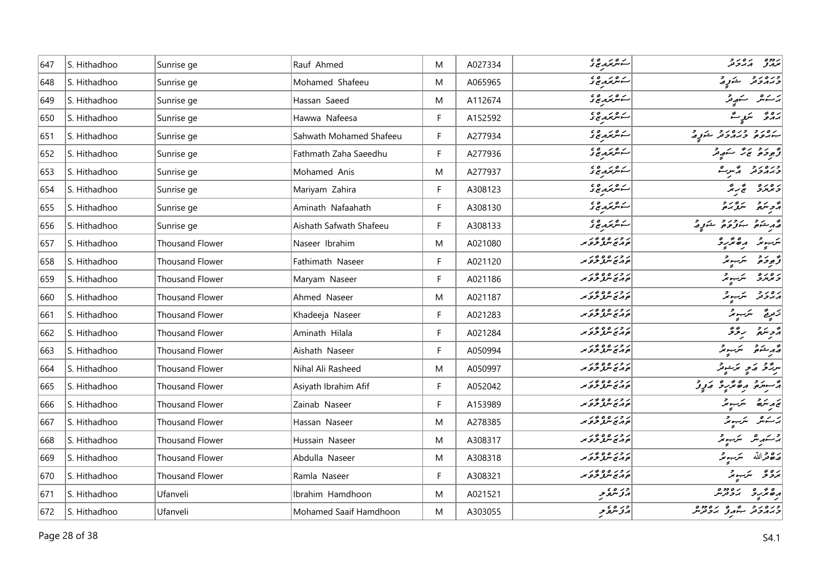| 647 | S. Hithadhoo | Sunrise ge             | Rauf Ahmed              | M  | A027334 | ر<br>سەنئەتمەرى <i>ي</i>                        | נחם נפנים.<br><i>תחצ</i> הנכנת                                  |
|-----|--------------|------------------------|-------------------------|----|---------|-------------------------------------------------|-----------------------------------------------------------------|
| 648 | S. Hithadhoo | Sunrise ge             | Mohamed Shafeeu         | M  | A065965 | ر مرد مرد ه م                                   | <i>د بر ه ب</i> ر د<br>ڪُورِ ۾                                  |
| 649 | S. Hithadhoo | Sunrise ge             | Hassan Saeed            | M  | A112674 | ر مه شهر مي د                                   | پرستمبر سندہ تھر                                                |
| 650 | S. Hithadhoo | Sunrise ge             | Hawwa Nafeesa           | F  | A152592 | ر<br>سەنئەتمە ج                                 | پر و بح                                                         |
| 651 | S. Hithadhoo | Sunrise ge             | Sahwath Mohamed Shafeeu | F  | A277934 | سەتىرى <i>م ۋە</i>                              | رورد درورد شرړه                                                 |
| 652 | S. Hithadhoo | Sunrise ge             | Fathmath Zaha Saeedhu   | F  | A277936 | سەنترى <i>رى ئ</i>                              | توجوحو بالمحر سكويتر                                            |
| 653 | S. Hithadhoo | Sunrise ge             | Mohamed Anis            | M  | A277937 | ئەش <i>رىكى</i> رى<br>سەسرى <i>كىرى</i>         | ورەرو شىرك                                                      |
| 654 | S. Hithadhoo | Sunrise ge             | Mariyam Zahira          | F  | A308123 | سەتىرى <i>م يى</i>                              | ر ه ر ه<br><del>ر</del> بربرگر<br>سچ سر میٹر                    |
| 655 | S. Hithadhoo | Sunrise ge             | Aminath Nafaahath       | F. | A308130 | ر مرکز مرضی د                                   | پر پور و<br>سرقی بر <i>ه</i><br>پ <sup>ر</sup> تر سرچ           |
| 656 | S. Hithadhoo | Sunrise ge             | Aishath Safwath Shafeeu | F  | A308133 | سەنترى <i>ر ۋە</i> ئ                            | ړٌ پرځند د د د د ځوړ د                                          |
| 657 | S. Hithadhoo | <b>Thousand Flower</b> | Naseer Ibrahim          | M  | A021080 | ر ور ٥٥ ء ر<br>حەد بح سرفى شركتو تىر            | يرسونر المقتربرة                                                |
| 658 | S. Hithadhoo | <b>Thousand Flower</b> | Fathimath Naseer        | F  | A021120 | ر ور ٥٥ ور<br>حواري سرتي څو تر                  | وٌمودَمْ<br>ىئرسېدىر                                            |
| 659 | S. Hithadhoo | <b>Thousand Flower</b> | Maryam Naseer           | F  | A021186 | ر ور ٥٥ ور<br>حواری سرتی شوش سر                 | ر ه ر ه<br><del>ر</del> بربرگ<br>ىئەسبەتىر                      |
| 660 | S. Hithadhoo | <b>Thousand Flower</b> | Ahmed Naseer            | M  | A021187 | ر در ۵۵ ور<br>ه د م سرتي تو کار                 | رەرد شبەتر                                                      |
| 661 | S. Hithadhoo | <b>Thousand Flower</b> | Khadeeja Naseer         | F  | A021283 | ر و ر ه ه ه و ر<br>ح در بح سرتی خونجر           | ترمرقح الكرسومر                                                 |
| 662 | S. Hithadhoo | <b>Thousand Flower</b> | Aminath Hilala          | F. | A021284 | ر ور ٥٥ ء ر<br>ح د بح سرتي څو بر                | ۇ بەينى بەقە                                                    |
| 663 | S. Hithadhoo | <b>Thousand Flower</b> | Aishath Naseer          | F. | A050994 | ر ور ٥٥ ور<br>حواری سرتی شوش سر                 | كالمرشكاني الكرسوند                                             |
| 664 | S. Hithadhoo | <b>Thousand Flower</b> | Nihal Ali Rasheed       | M  | A050997 | ر ور ٥٥ ور<br>حواري سرتي څو تر                  | لرندة كالمج الاسيانة                                            |
| 665 | S. Hithadhoo | <b>Thousand Flower</b> | Asiyath Ibrahim Afif    | F. | A052042 | ر ور ٥٥ ء ر<br>حەد بح سرفى شركتو تىر            | ה ליחוד הסתיב הן ל                                              |
| 666 | S. Hithadhoo | Thousand Flower        | Zainab Naseer           | F  | A153989 | ر ور ۵۵ ور<br>بود. بح سرتي تونو سر              | ىئرىبەر<br>تأويته                                               |
| 667 | S. Hithadhoo | <b>Thousand Flower</b> | Hassan Naseer           | M  | A278385 | ر ور ۵۵ ور<br>به دې سرتي څو سر                  | ىرىكەش ئىرلىيەنچە                                               |
| 668 | S. Hithadhoo | <b>Thousand Flower</b> | Hussain Naseer          | M  | A308317 | ر ور ٥٥ <u>د</u> ر<br>ح <i>٨ ی</i> سرتی شو کو س | يرسكهاش الكرسوير                                                |
| 669 | S. Hithadhoo | <b>Thousand Flower</b> | Abdulla Naseer          | M  | A308318 | ر ور ٥٥ ء ر<br>حەد بح سرفى شركتو تىر            | مَصْحَرَاللّهُ سَرَجِعَرُ                                       |
| 670 | S. Hithadhoo | Thousand Flower        | Ramla Naseer            | F. | A308321 | ر و ر ه ه ه و ر<br>ح در بح سرتی خونجر           | بروثى الكرسوش                                                   |
| 671 | S. Hithadhoo | Ufanveli               | Ibrahim Hamdhoon        | M  | A021521 | جۇ بىر <sub>ەك</sub> ە بىر                      | رە ئۈرۈ<br>بر ه دو ه<br>بر <del>و</del> تر س                    |
| 672 | S. Hithadhoo | Ufanveli               | Mohamed Saaif Hamdhoon  | M  | A303055 | جۇ بىر <sub>ى</sub> جە                          | ورەر د په ده رەپره<br><i>دېدم</i> وتر سوم <sub>ر</sub> و بروترس |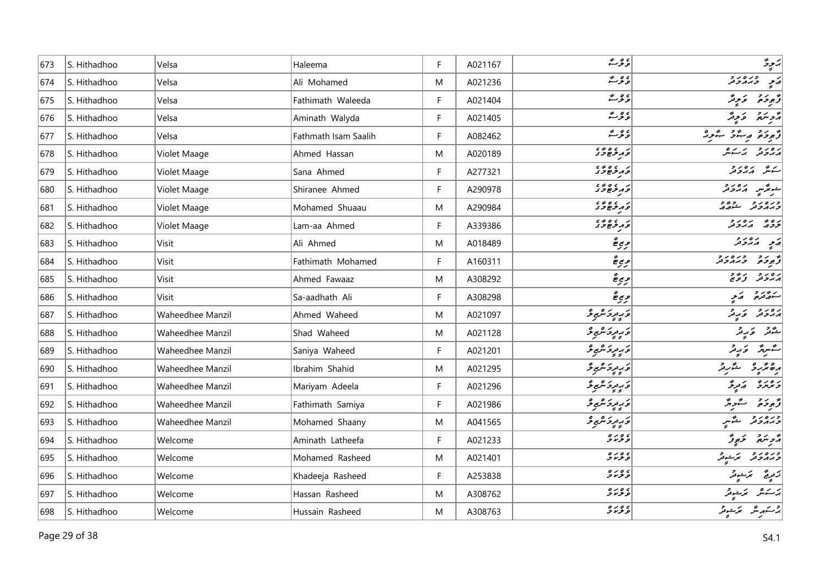| 673 | S. Hithadhoo | Velsa            | Haleema              | F  | A021167 | ه و شه<br>و م                     |                                                        |
|-----|--------------|------------------|----------------------|----|---------|-----------------------------------|--------------------------------------------------------|
| 674 | S. Hithadhoo | Velsa            | Ali Mohamed          | M  | A021236 | ءوثه                              | ر<br>مړينې<br>و ره ر و<br><i>و پر</i> و تر             |
| 675 | S. Hithadhoo | Velsa            | Fathimath Waleeda    | F  | A021404 | ءوية                              | تزودة وكموثر                                           |
| 676 | S. Hithadhoo | Velsa            | Aminath Walyda       | F  | A021405 | ه و شه<br>حرم شه                  | ومحر يتموهم<br>ءَ وِتَر                                |
| 677 | S. Hithadhoo | Velsa            | Fathmath Isam Saalih | F  | A082462 | ه و شه<br>و م                     | وتجوحتم وسنح سنور                                      |
| 678 | S. Hithadhoo | Violet Maage     | Ahmed Hassan         | M  | A020189 | أقار وقومي                        | رەرو برىكە                                             |
| 679 | S. Hithadhoo | Violet Maage     | Sana Ahmed           | F. | A277321 | ر<br>ءَ ٻر ڦره ٿ                  | سەش كەردىر                                             |
| 680 | S. Hithadhoo | Violet Maage     | Shiranee Ahmed       | F  | A290978 | ۇر ۋە ئ                           | أحويرس وبروتر                                          |
| 681 | S. Hithadhoo | Violet Maage     | Mohamed Shuaau       | M  | A290984 | ر پروه د <sup>پ</sup>             | وره رو دو و<br><i>وبرو</i> و توره                      |
| 682 | S. Hithadhoo | Violet Maage     | Lam-aa Ahmed         | F  | A339386 |                                   | تزویژ<br>پروژو                                         |
| 683 | S. Hithadhoo | Visit            | Ali Ahmed            | M  | A018489 | حربح هح                           | أەيد مەردىر                                            |
| 684 | S. Hithadhoo | Visit            | Fathimath Mohamed    | F  | A160311 | وبيء                              | و ره ر د<br><i>د ب</i> رگرفر<br>ءُ <sub>م</sub> جرحر ج |
| 685 | S. Hithadhoo | Visit            | Ahmed Fawaaz         | M  | A308292 | حرمح هح                           | بره بر بر بر بر بر                                     |
| 686 | S. Hithadhoo | Visit            | Sa-aadhath Ali       | F  | A308298 | وبيء                              | سەۋرىر ھەمچە                                           |
| 687 | S. Hithadhoo | Waheedhee Manzil | Ahmed Waheed         | M  | A021097 | ۇ <i>بەيدۇ</i> ئىرى<br>مۇسىم      | أرور و المرمز                                          |
| 688 | S. Hithadhoo | Waheedhee Manzil | Shad Waheed          | M  | A021128 | ائەر مەرىجە مىسى<br>ئىستىرى مىسىر | الحقيقر التحريد في التحري <i>د</i>                     |
| 689 | S. Hithadhoo | Waheedhee Manzil | Saniya Waheed        | F  | A021201 | <br>  قەبەبەيرى مىرىجە            | سە ئەر ئەر                                             |
| 690 | S. Hithadhoo | Waheedhee Manzil | Ibrahim Shahid       | M  | A021295 | ۇ بەيرۇ ئىرى ۋ                    | $rac{2}{3}$<br>ڪ مرمر<br>ر                             |
| 691 | S. Hithadhoo | Waheedhee Manzil | Mariyam Adeela       | F. | A021296 | <br> وَرِسٍوَ مَرْبِحِ قَرْ       | ر ه ر ه<br><del>و</del> بربرو<br>ەر تېرىتى             |
| 692 | S. Hithadhoo | Waheedhee Manzil | Fathimath Samiya     | F  | A021986 |                                   | ستنجير<br>ترجوحهم                                      |
| 693 | S. Hithadhoo | Waheedhee Manzil | Mohamed Shaany       | M  | A041565 | <br> وَبِرِمِرِدَ مَرْبِحِ قَرْ   | دره دو گیر<br>در دولا گیر                              |
| 694 | S. Hithadhoo | Welcome          | Aminath Latheefa     | F  | A021233 | ه وره<br>د نر                     | أأروسكم تكوير                                          |
| 695 | S. Hithadhoo | Welcome          | Mohamed Rasheed      | M  | A021401 | <sup>ى ج</sup> ە ئەرە             | ورەرو كەنبەتر                                          |
| 696 | S. Hithadhoo | Welcome          | Khadeeja Rasheed     | F  | A253838 | ءوره                              | ر <i>ُ مِرةٌ مَرْ</i> حُومٌرُ                          |
| 697 | S. Hithadhoo | Welcome          | Hassan Rasheed       | M  | A308762 | ه وره<br>ونژنړ                    | ر<br>برکسر برشونر                                      |
| 698 | S. Hithadhoo | Welcome          | Hussain Rasheed      | M  | A308763 | <sup>ى ج</sup> ە ئەرە             | بركسكر مكرجومر                                         |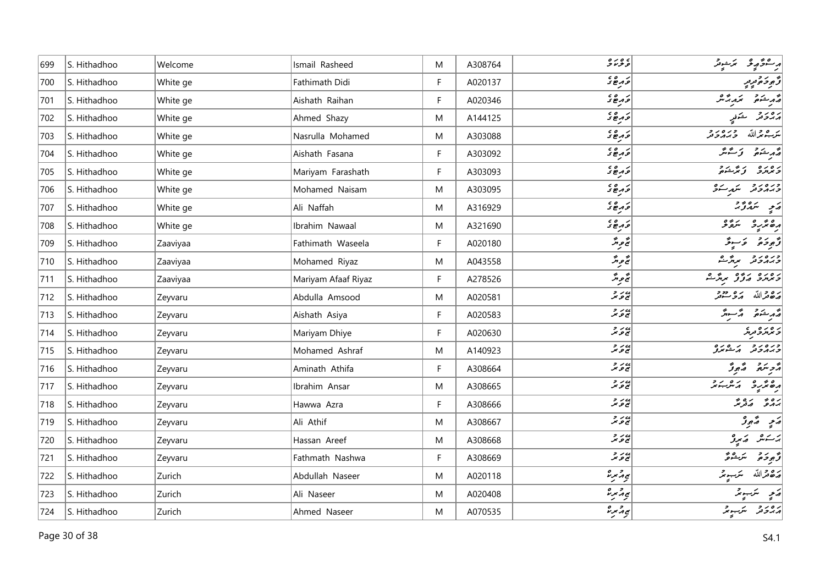| 699 | S. Hithadhoo | Welcome  | Ismail Rasheed      | ${\sf M}$ | A308764 | ء و ر ه<br> و یر ر       | رەم ئوق ئەسىر<br>مەسىر ئىچە ئىشىر         |
|-----|--------------|----------|---------------------|-----------|---------|--------------------------|-------------------------------------------|
| 700 | S. Hithadhoo | White ge | Fathimath Didi      | F         | A020137 | ترم می<br>  توریخ د      | ر<br>توجو <i>ح</i> کورمي                  |
| 701 | S. Hithadhoo | White ge | Aishath Raihan      | F         | A020346 | <br>  تو ہو ہے ی         | ر<br>مەر شەق ئىمەر ئىش                    |
| 702 | S. Hithadhoo | White ge | Ahmed Shazy         | M         | A144125 | تەرىقى                   | رەر <del>د</del> شەنرٍ                    |
| 703 | S. Hithadhoo | White ge | Nasrulla Mohamed    | M         | A303088 | <br>  تو ہر ہے ی         | يربه والله وبرورو                         |
| 704 | S. Hithadhoo | White ge | Aishath Fasana      | F         | A303092 | <br>  تو ہو ہے ی         | قەرشۇق بۇ شەتتى                           |
| 705 | S. Hithadhoo | White ge | Mariyam Farashath   | F         | A303093 | ءَميرهء                  | رەرە رەردە<br><mark>جەيرى تى ش</mark> ىم  |
| 706 | S. Hithadhoo | White ge | Mohamed Naisam      | ${\sf M}$ | A303095 | $\overset{\circ}{s}$ ens | ورەرو شەسكى                               |
| 707 | S. Hithadhoo | White ge | Ali Naffah          | ${\sf M}$ | A316929 | تەرھ ئ                   | أەيجە سەئەتەر                             |
| 708 | S. Hithadhoo | White ge | Ibrahim Nawaal      | M         | A321690 | $\overset{\circ}{s}$ ens | ە ئەرە ئەرەم<br>ئەھەرىرە ئىرەك            |
| 709 | S. Hithadhoo | Zaaviyaa | Fathimath Waseela   | F         | A020180 | تج حر پر                 | وَجِعِدَةٍ وَسِيعٌ                        |
| 710 | S. Hithadhoo | Zaaviyaa | Mohamed Riyaz       | ${\sf M}$ | A043558 | پ <sup>ج</sup> عر پر     | ورەرو بروگ                                |
| 711 | S. Hithadhoo | Zaaviyaa | Mariyam Afaaf Riyaz | F         | A278526 | تج عر مرَّ               | دەرە رەە بەر                              |
| 712 | S. Hithadhoo | Zeyvaru  | Abdulla Amsood      | M         | A020581 | ی ر ح<br>مح حر سر        | رەقراللە رە «د                            |
| 713 | S. Hithadhoo | Zeyvaru  | Aishath Asiya       | F         | A020583 | ی ر و<br>مح حر مر        | أقرم شوه ومستقر                           |
| 714 | S. Hithadhoo | Zeyvaru  | Mariyam Dhiye       | F         | A020630 | ،، ر ح<br>سی حر          | ر ه بر و <sub>مری</sub> ر<br>د بر بر د مر |
| 715 | S. Hithadhoo | Zeyvaru  | Mohamed Ashraf      | ${\sf M}$ | A140923 | ،، ر و<br>مح حر          | وره رو کرده ده<br><i>د بر د د</i> ر کرشتر |
| 716 | S. Hithadhoo | Zeyvaru  | Aminath Athifa      | F         | A308664 | ،، ر و<br>مح حر          | ړٌ پر په په پور                           |
| 717 | S. Hithadhoo | Zeyvaru  | Ibrahim Ansar       | M         | A308665 | ی ر ح<br>مح حر سر        |                                           |
| 718 | S. Hithadhoo | Zeyvaru  | Hawwa Azra          | F         | A308666 | ی ر و<br>مح حر مر        | ره و سره و<br>بروژ م <i>ی</i> فرنتر       |
| 719 | S. Hithadhoo | Zeyvaru  | Ali Athif           | ${\sf M}$ | A308667 | ی ر و<br>مح حر مر        | أيمني أيمجونى                             |
| 720 | S. Hithadhoo | Zeyvaru  | Hassan Areef        | ${\sf M}$ | A308668 | ،، ر و<br>مح حر          | بر کے مرید و                              |
| 721 | S. Hithadhoo | Zeyvaru  | Fathmath Nashwa     | F         | A308669 | ،، ر و<br>مح حر مر       | توجوخ مرشوة                               |
| 722 | S. Hithadhoo | Zurich   | Abdullah Naseer     | ${\sf M}$ | A020118 | ىيەر<br>ئىرىدىن          | برە قرالله مترجومتر                       |
| 723 | S. Hithadhoo | Zurich   | Ali Naseer          | M         | A020408 | بر جمهر ره<br>           | أوأجي التكبيبوند                          |
| 724 | S. Hithadhoo | Zurich   | Ahmed Naseer        | ${\sf M}$ | A070535 | ىبى ترىمرى <i>ن</i>      | رەرد سكب پر                               |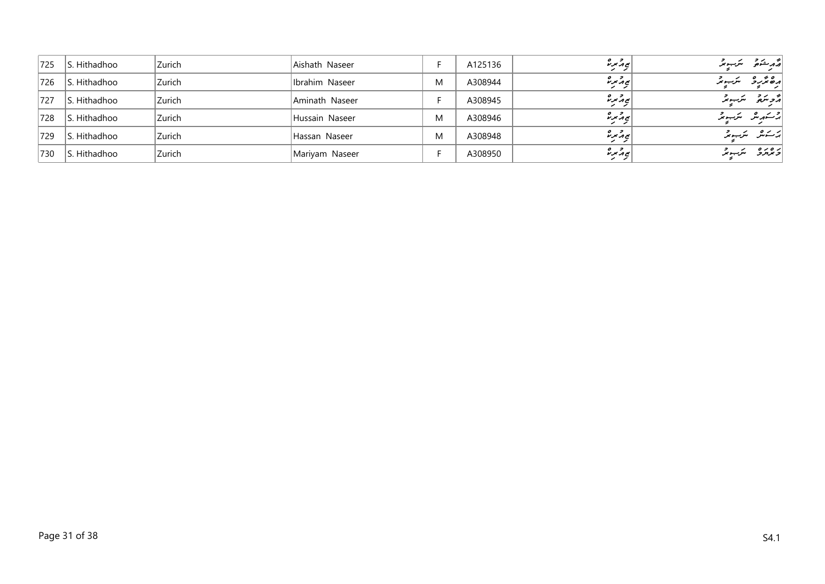| '725 | l S. Hithadhoo | Zurich | Aishath Naseer |   | A125136 | ىي د حمير مىش | أقدم شوقت الكرسوسي      |
|------|----------------|--------|----------------|---|---------|---------------|-------------------------|
| 726  | S. Hithadhoo   | Zurich | Ibrahim Naseer | M | A308944 | مح مر مر      | رەپۇر ۋ<br>اسربيوس      |
| 727  | S. Hithadhoo   | Zurich | Aminath Naseer |   | A308945 | می تمریز      | أأرد سرو الكرسوسي       |
| 728  | S. Hithadhoo   | Zurich | Hussain Naseer | M | A308946 | ى در سر ر     | پرستہریش مترجبہ پر      |
| 729  | IS. Hithadhoo  | Zurich | Hassan Naseer  | M | A308948 | ى ئەڭرىم      | - ئەسكەر سىر سىر ئەسكەر |
| 730  | S. Hithadhoo   | Zurich | Mariyam Naseer |   | A308950 | ى ئەڭرىم      | ئە ئەرە<br>سكرسبة تحر   |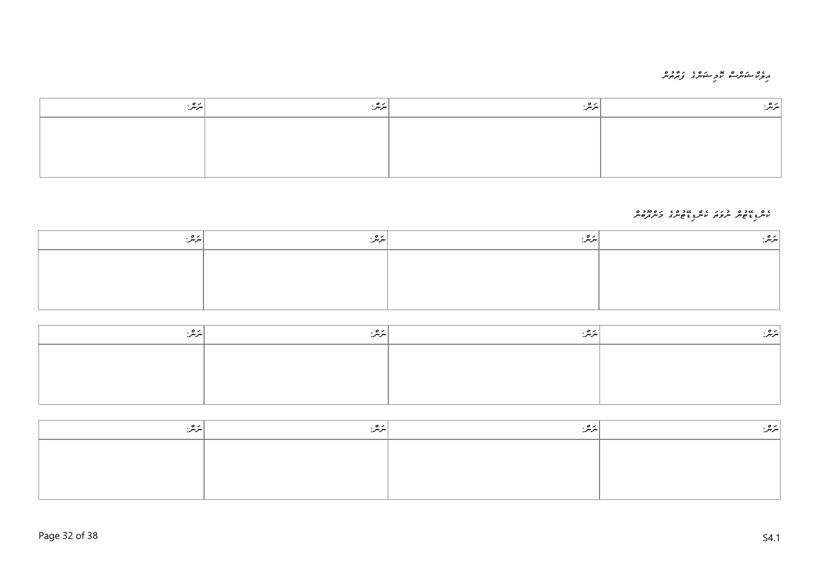## *w7qAn8m? sCw7mRo>u; wEw7mRw;sBo<*

| ' مرمر | 'يئرىثر: |
|--------|----------|
|        |          |
|        |          |
|        |          |

## *w7q9r@w7m> sCw7qHtFoFw7s; mAm=q7 w7qHtFoFw7s;*

| ىر تە | $\mathcal{O} \times$<br>$\sim$ | $\sim$<br>. . | لترنثر |
|-------|--------------------------------|---------------|--------|
|       |                                |               |        |
|       |                                |               |        |
|       |                                |               |        |

| $\frac{2}{n}$ | $^{\circ}$ | $\frac{2}{n}$ | $^{\circ}$<br>سرسر. |
|---------------|------------|---------------|---------------------|
|               |            |               |                     |
|               |            |               |                     |
|               |            |               |                     |

| ىرتىر: | 。<br>سر سر | .,<br>مرسر |
|--------|------------|------------|
|        |            |            |
|        |            |            |
|        |            |            |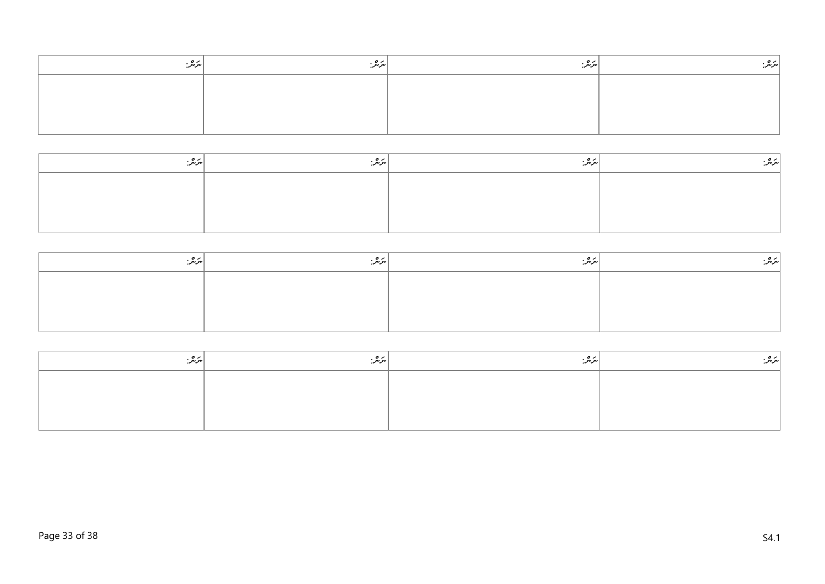| يزهر | $^{\circ}$ | ىئرىتر: |  |
|------|------------|---------|--|
|      |            |         |  |
|      |            |         |  |
|      |            |         |  |

| متريثر به | 。<br>'سرسر'۔ | يتزيترا | سرسر |
|-----------|--------------|---------|------|
|           |              |         |      |
|           |              |         |      |
|           |              |         |      |

| ىئرىتر. | $\sim$ | ا بر هه. | لىرىش |
|---------|--------|----------|-------|
|         |        |          |       |
|         |        |          |       |
|         |        |          |       |

| يترمثر | $^{\circ}$ | ىر پىر |
|--------|------------|--------|
|        |            |        |
|        |            |        |
|        |            |        |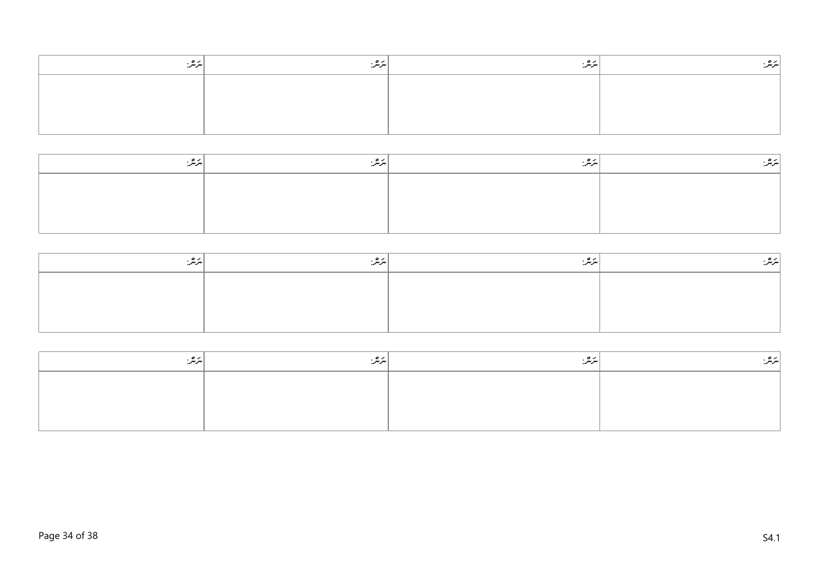| ير هو . | $\overline{\phantom{a}}$ | يرمر | اير هنه. |
|---------|--------------------------|------|----------|
|         |                          |      |          |
|         |                          |      |          |
|         |                          |      |          |

| ئىرتىر: | $\sim$<br>ا سرسر . | يئرمثر | o . |
|---------|--------------------|--------|-----|
|         |                    |        |     |
|         |                    |        |     |
|         |                    |        |     |

| انترنثر: | ر ه |  |
|----------|-----|--|
|          |     |  |
|          |     |  |
|          |     |  |

|  | . ه |
|--|-----|
|  |     |
|  |     |
|  |     |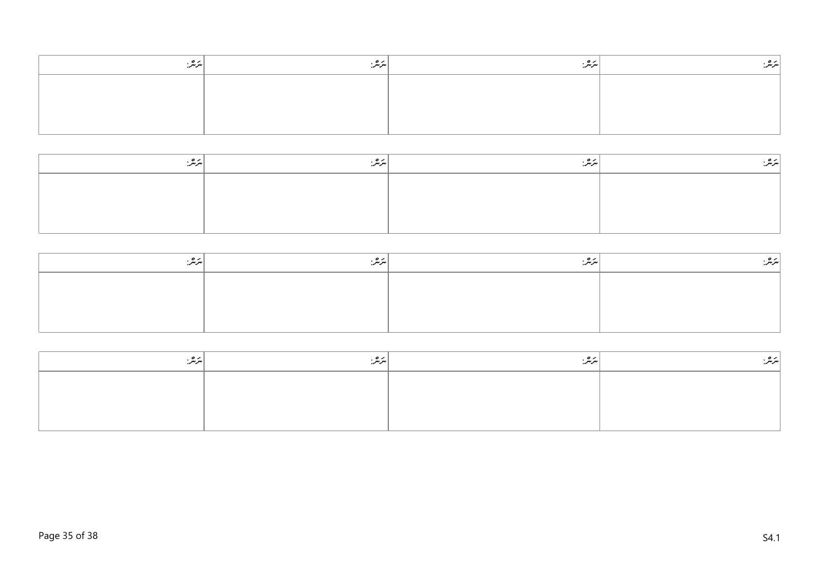| ير هو . | $\overline{\phantom{a}}$ | يرمر | اير هنه. |
|---------|--------------------------|------|----------|
|         |                          |      |          |
|         |                          |      |          |
|         |                          |      |          |

| ىر تىر: | $\circ$ $\sim$<br>" سرسر . | يبرحه | o . |
|---------|----------------------------|-------|-----|
|         |                            |       |     |
|         |                            |       |     |
|         |                            |       |     |

| الترنثر: | ' مرتكز: | الترنثر: | .,<br>سرسر. |
|----------|----------|----------|-------------|
|          |          |          |             |
|          |          |          |             |
|          |          |          |             |

|  | . ه |
|--|-----|
|  |     |
|  |     |
|  |     |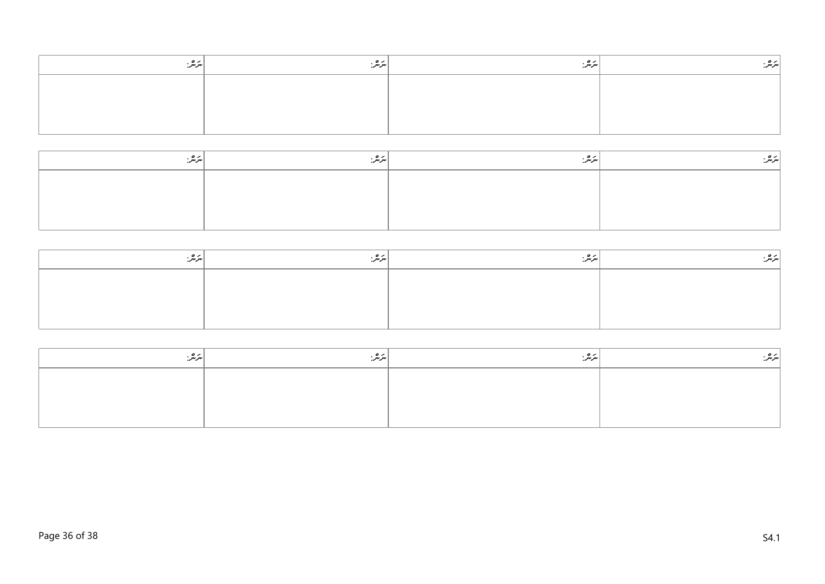| $\cdot$ | ο. | $\frac{\circ}{\cdot}$ | $\sim$<br>سرسر |
|---------|----|-----------------------|----------------|
|         |    |                       |                |
|         |    |                       |                |
|         |    |                       |                |

| يريثن | ' سرسر . |  |
|-------|----------|--|
|       |          |  |
|       |          |  |
|       |          |  |

| بره | $\overline{\phantom{a}}$ | $\overline{\phantom{a}}$<br>َ سومس |  |
|-----|--------------------------|------------------------------------|--|
|     |                          |                                    |  |
|     |                          |                                    |  |
|     |                          |                                    |  |

| 。<br>. س | ىرىىر |  |
|----------|-------|--|
|          |       |  |
|          |       |  |
|          |       |  |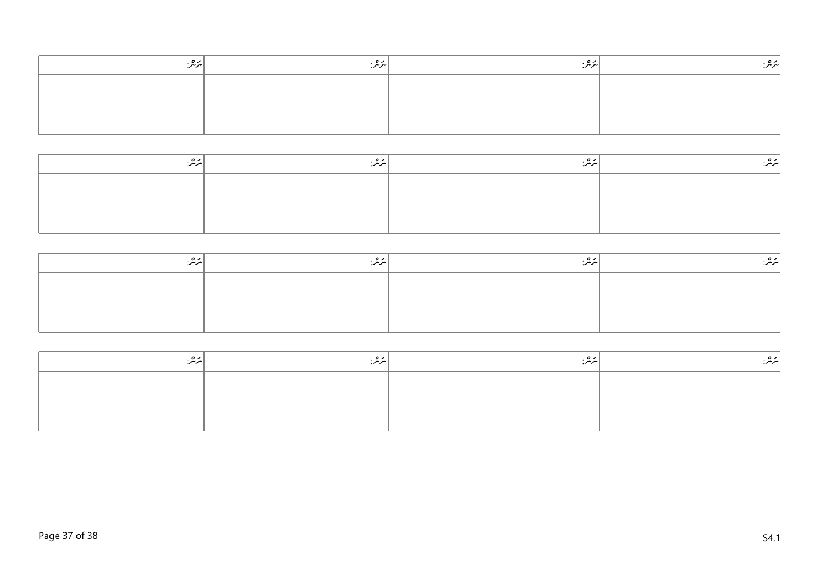| ير هو . | $\overline{\phantom{a}}$ | يرمر | لتزمثن |
|---------|--------------------------|------|--------|
|         |                          |      |        |
|         |                          |      |        |
|         |                          |      |        |

| ىر تىر: | $\circ$ $\sim$<br>" سرسر . | يبرحه | o . |
|---------|----------------------------|-------|-----|
|         |                            |       |     |
|         |                            |       |     |
|         |                            |       |     |

| انترنثر: | ر ه |  |
|----------|-----|--|
|          |     |  |
|          |     |  |
|          |     |  |

|  | . ه |
|--|-----|
|  |     |
|  |     |
|  |     |